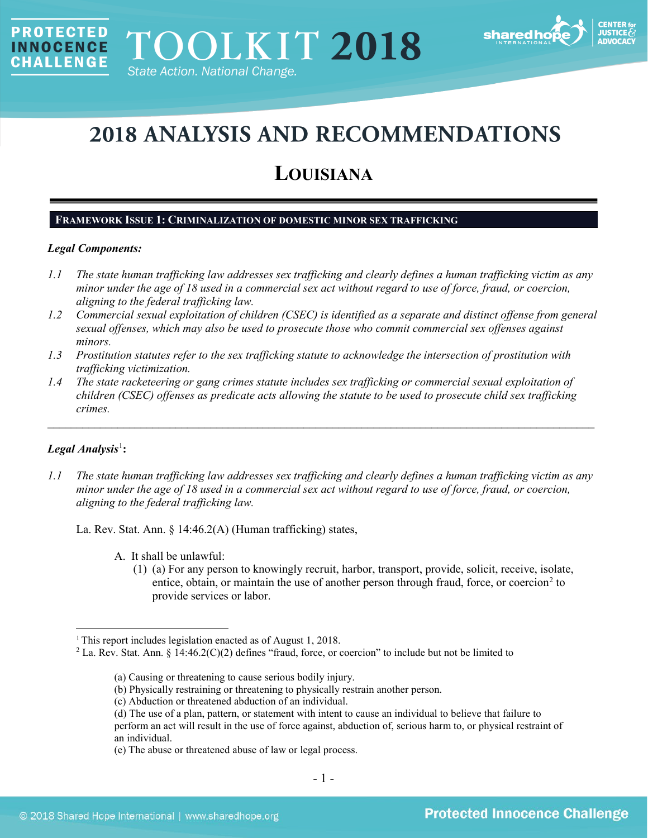

# **2018 ANALYSIS AND RECOMMENDATIONS**

# **LOUISIANA**

# **FRAMEWORK ISSUE 1: CRIMINALIZATION OF DOMESTIC MINOR SEX TRAFFICKING**

#### *Legal Components:*

**PROTECTED** 

**INNOCENCE CHALLENGE** 

- *1.1 The state human trafficking law addresses sex trafficking and clearly defines a human trafficking victim as any minor under the age of 18 used in a commercial sex act without regard to use of force, fraud, or coercion, aligning to the federal trafficking law.*
- *1.2 Commercial sexual exploitation of children (CSEC) is identified as a separate and distinct offense from general sexual offenses, which may also be used to prosecute those who commit commercial sex offenses against minors.*
- *1.3 Prostitution statutes refer to the sex trafficking statute to acknowledge the intersection of prostitution with trafficking victimization.*
- *1.4 The state racketeering or gang crimes statute includes sex trafficking or commercial sexual exploitation of children (CSEC) offenses as predicate acts allowing the statute to be used to prosecute child sex trafficking crimes.*

\_\_\_\_\_\_\_\_\_\_\_\_\_\_\_\_\_\_\_\_\_\_\_\_\_\_\_\_\_\_\_\_\_\_\_\_\_\_\_\_\_\_\_\_\_\_\_\_\_\_\_\_\_\_\_\_\_\_\_\_\_\_\_\_\_\_\_\_\_\_\_\_\_\_\_\_\_\_\_\_\_\_\_\_\_\_\_\_\_\_\_\_\_\_

# $Legal$  Analysis<sup>[1](#page-0-0)</sup>:

*1.1 The state human trafficking law addresses sex trafficking and clearly defines a human trafficking victim as any minor under the age of 18 used in a commercial sex act without regard to use of force, fraud, or coercion, aligning to the federal trafficking law.*

La. Rev. Stat. Ann. § 14:46.2(A) (Human trafficking) states,

- <span id="page-0-2"></span>A. It shall be unlawful:
	- (1) (a) For any person to knowingly recruit, harbor, transport, provide, solicit, receive, isolate, entice, obtain, or maintain the use of another person through fraud, force, or coercion<sup>[2](#page-0-1)</sup> to provide services or labor.

<span id="page-0-0"></span><sup>&</sup>lt;sup>1</sup> This report includes legislation enacted as of August 1, 2018.

<span id="page-0-1"></span><sup>2</sup> La. Rev. Stat. Ann. § 14:46.2(C)(2) defines "fraud, force, or coercion" to include but not be limited to

<sup>(</sup>a) Causing or threatening to cause serious bodily injury.

<sup>(</sup>b) Physically restraining or threatening to physically restrain another person.

<sup>(</sup>c) Abduction or threatened abduction of an individual.

<sup>(</sup>d) The use of a plan, pattern, or statement with intent to cause an individual to believe that failure to perform an act will result in the use of force against, abduction of, serious harm to, or physical restraint of an individual.

<sup>(</sup>e) The abuse or threatened abuse of law or legal process.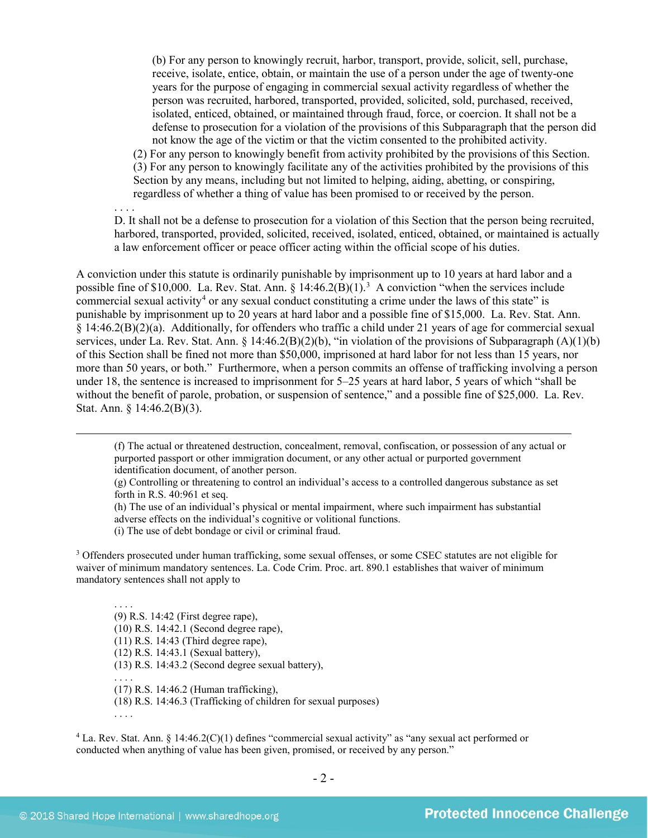(b) For any person to knowingly recruit, harbor, transport, provide, solicit, sell, purchase, receive, isolate, entice, obtain, or maintain the use of a person under the age of twenty-one years for the purpose of engaging in commercial sexual activity regardless of whether the person was recruited, harbored, transported, provided, solicited, sold, purchased, received, isolated, enticed, obtained, or maintained through fraud, force, or coercion. It shall not be a defense to prosecution for a violation of the provisions of this Subparagraph that the person did not know the age of the victim or that the victim consented to the prohibited activity.

(2) For any person to knowingly benefit from activity prohibited by the provisions of this Section. (3) For any person to knowingly facilitate any of the activities prohibited by the provisions of this Section by any means, including but not limited to helping, aiding, abetting, or conspiring, regardless of whether a thing of value has been promised to or received by the person.

<span id="page-1-2"></span>D. It shall not be a defense to prosecution for a violation of this Section that the person being recruited, harbored, transported, provided, solicited, received, isolated, enticed, obtained, or maintained is actually a law enforcement officer or peace officer acting within the official scope of his duties.

A conviction under this statute is ordinarily punishable by imprisonment up to 10 years at hard labor and a possible fine of \$10,000. La. Rev. Stat. Ann.  $\S$  14:46.2(B)(1).<sup>[3](#page-1-0)</sup> A conviction "when the services include commercial sexual activity<sup>[4](#page-1-1)</sup> or any sexual conduct constituting a crime under the laws of this state" is punishable by imprisonment up to 20 years at hard labor and a possible fine of \$15,000. La. Rev. Stat. Ann. § 14:46.2(B)(2)(a). Additionally, for offenders who traffic a child under 21 years of age for commercial sexual services, under La. Rev. Stat. Ann. § 14:46.2(B)(2)(b), "in violation of the provisions of Subparagraph (A)(1)(b) of this Section shall be fined not more than \$50,000, imprisoned at hard labor for not less than 15 years, nor more than 50 years, or both." Furthermore, when a person commits an offense of trafficking involving a person under 18, the sentence is increased to imprisonment for 5–25 years at hard labor, 5 years of which "shall be without the benefit of parole, probation, or suspension of sentence," and a possible fine of \$25,000. La. Rev. Stat. Ann. § 14:46.2(B)(3).

 (f) The actual or threatened destruction, concealment, removal, confiscation, or possession of any actual or purported passport or other immigration document, or any other actual or purported government identification document, of another person.

(g) Controlling or threatening to control an individual's access to a controlled dangerous substance as set forth in R.S. 40:961 et seq.

(h) The use of an individual's physical or mental impairment, where such impairment has substantial adverse effects on the individual's cognitive or volitional functions.

(i) The use of debt bondage or civil or criminal fraud.

<span id="page-1-0"></span><sup>3</sup> Offenders prosecuted under human trafficking, some sexual offenses, or some CSEC statutes are not eligible for waiver of minimum mandatory sentences. La. Code Crim. Proc. art. 890.1 establishes that waiver of minimum mandatory sentences shall not apply to

. . . . (9) R.S. 14:42 (First degree rape), (10) R.S. 14:42.1 (Second degree rape),

(11) R.S. 14:43 (Third degree rape),

(12) R.S. 14:43.1 (Sexual battery),

(13) R.S. 14:43.2 (Second degree sexual battery), . . . .

(17) R.S. 14:46.2 (Human trafficking),

(18) R.S. 14:46.3 (Trafficking of children for sexual purposes)

. . . .

. . . .

<span id="page-1-1"></span><sup>4</sup> La. Rev. Stat. Ann. § 14:46.2(C)(1) defines "commercial sexual activity" as "any sexual act performed or conducted when anything of value has been given, promised, or received by any person."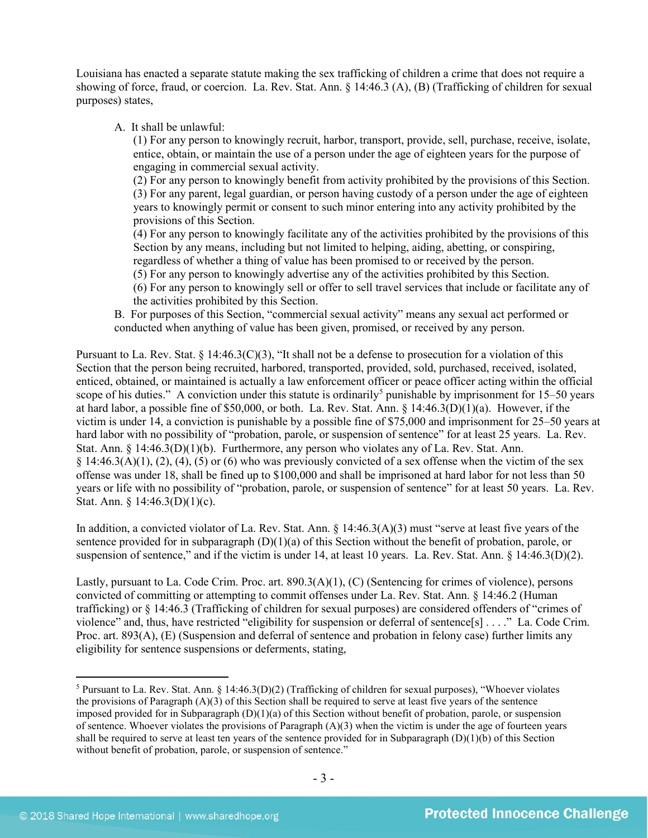Louisiana has enacted a separate statute making the sex trafficking of children a crime that does not require a showing of force, fraud, or coercion. La. Rev. Stat. Ann. § 14:46.3 (A), (B) (Trafficking of children for sexual purposes) states,

A. It shall be unlawful:

(1) For any person to knowingly recruit, harbor, transport, provide, sell, purchase, receive, isolate, entice, obtain, or maintain the use of a person under the age of eighteen years for the purpose of engaging in commercial sexual activity.

(2) For any person to knowingly benefit from activity prohibited by the provisions of this Section. (3) For any parent, legal guardian, or person having custody of a person under the age of eighteen years to knowingly permit or consent to such minor entering into any activity prohibited by the provisions of this Section.

(4) For any person to knowingly facilitate any of the activities prohibited by the provisions of this Section by any means, including but not limited to helping, aiding, abetting, or conspiring, regardless of whether a thing of value has been promised to or received by the person.

(5) For any person to knowingly advertise any of the activities prohibited by this Section.

(6) For any person to knowingly sell or offer to sell travel services that include or facilitate any of the activities prohibited by this Section.

B. For purposes of this Section, "commercial sexual activity" means any sexual act performed or conducted when anything of value has been given, promised, or received by any person.

Pursuant to La. Rev. Stat. § 14:46.3(C)(3), "It shall not be a defense to prosecution for a violation of this Section that the person being recruited, harbored, transported, provided, sold, purchased, received, isolated, enticed, obtained, or maintained is actually a law enforcement officer or peace officer acting within the official scope of his duties." A conviction under this statute is ordinarily<sup>[5](#page-2-0)</sup> punishable by imprisonment for  $15-50$  years at hard labor, a possible fine of \$50,000, or both. La. Rev. Stat. Ann. § 14:46.3(D)(1)(a). However, if the victim is under 14, a conviction is punishable by a possible fine of \$75,000 and imprisonment for 25–50 years at hard labor with no possibility of "probation, parole, or suspension of sentence" for at least 25 years. La. Rev. Stat. Ann. § 14:46.3(D)(1)(b). Furthermore, any person who violates any of La. Rev. Stat. Ann.  $§$  14:46.3(A)(1), (2), (4), (5) or (6) who was previously convicted of a sex offense when the victim of the sex offense was under 18, shall be fined up to \$100,000 and shall be imprisoned at hard labor for not less than 50 years or life with no possibility of "probation, parole, or suspension of sentence" for at least 50 years. La. Rev. Stat. Ann. § 14:46.3(D)(1)(c).

In addition, a convicted violator of La. Rev. Stat. Ann. § 14:46.3(A)(3) must "serve at least five years of the sentence provided for in subparagraph (D)(1)(a) of this Section without the benefit of probation, parole, or suspension of sentence," and if the victim is under 14, at least 10 years. La. Rev. Stat. Ann. § 14:46.3(D)(2).

Lastly, pursuant to La. Code Crim. Proc. art. 890.3(A)(1), (C) (Sentencing for crimes of violence), persons convicted of committing or attempting to commit offenses under La. Rev. Stat. Ann. § 14:46.2 (Human trafficking) or § 14:46.3 (Trafficking of children for sexual purposes) are considered offenders of "crimes of violence" and, thus, have restricted "eligibility for suspension or deferral of sentence[s] . . . ." La. Code Crim. Proc. art. 893(A), (E) (Suspension and deferral of sentence and probation in felony case) further limits any eligibility for sentence suspensions or deferments, stating,

<span id="page-2-0"></span> <sup>5</sup> Pursuant to La. Rev. Stat. Ann. § 14:46.3(D)(2) (Trafficking of children for sexual purposes), "Whoever violates the provisions of Paragraph (A)(3) of this Section shall be required to serve at least five years of the sentence imposed provided for in Subparagraph  $(D)(1)(a)$  of this Section without benefit of probation, parole, or suspension of sentence. Whoever violates the provisions of Paragraph  $(A)(3)$  when the victim is under the age of fourteen years shall be required to serve at least ten years of the sentence provided for in Subparagraph  $(D)(1)(b)$  of this Section without benefit of probation, parole, or suspension of sentence."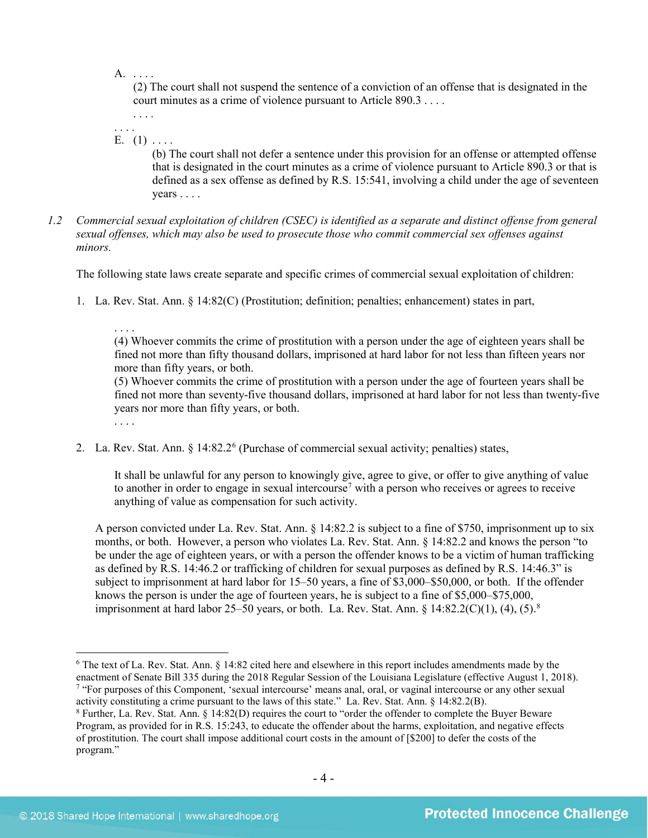$A_{1}$ . . . . .

(2) The court shall not suspend the sentence of a conviction of an offense that is designated in the court minutes as a crime of violence pursuant to Article 890.3 . . . .

. . . . . . . .

E.  $(1)$  ....

(b) The court shall not defer a sentence under this provision for an offense or attempted offense that is designated in the court minutes as a crime of violence pursuant to Article 890.3 or that is defined as a sex offense as defined by R.S. 15:541, involving a child under the age of seventeen years . . . .

*1.2 Commercial sexual exploitation of children (CSEC) is identified as a separate and distinct offense from general sexual offenses, which may also be used to prosecute those who commit commercial sex offenses against minors.*

The following state laws create separate and specific crimes of commercial sexual exploitation of children:

1. La. Rev. Stat. Ann. § 14:82(C) (Prostitution; definition; penalties; enhancement) states in part,

. . . . (4) Whoever commits the crime of prostitution with a person under the age of eighteen years shall be fined not more than fifty thousand dollars, imprisoned at hard labor for not less than fifteen years nor more than fifty years, or both.

(5) Whoever commits the crime of prostitution with a person under the age of fourteen years shall be fined not more than seventy-five thousand dollars, imprisoned at hard labor for not less than twenty-five years nor more than fifty years, or both.

<span id="page-3-3"></span>. . . .

2. La. Rev. Stat. Ann. § 14:82.2<sup>[6](#page-3-0)</sup> (Purchase of commercial sexual activity; penalties) states,

It shall be unlawful for any person to knowingly give, agree to give, or offer to give anything of value to another in order to engage in sexual intercourse<sup>[7](#page-3-1)</sup> with a person who receives or agrees to receive anything of value as compensation for such activity.

A person convicted under La. Rev. Stat. Ann. § 14:82.2 is subject to a fine of \$750, imprisonment up to six months, or both. However, a person who violates La. Rev. Stat. Ann. § 14:82.2 and knows the person "to be under the age of eighteen years, or with a person the offender knows to be a victim of human trafficking as defined by R.S. 14:46.2 or trafficking of children for sexual purposes as defined by R.S. 14:46.3" is subject to imprisonment at hard labor for 15–50 years, a fine of \$3,000–\$50,000, or both. If the offender knows the person is under the age of fourteen years, he is subject to a fine of \$5,000–\$75,000, imprisonment at hard labor 25–50 years, or both. La. Rev. Stat. Ann. §  $14:82.2(C)(1)$  $14:82.2(C)(1)$  $14:82.2(C)(1)$ ,  $(4)$ ,  $(5)$ .<sup>8</sup>

<span id="page-3-0"></span> <sup>6</sup> The text of La. Rev. Stat. Ann. § 14:82 cited here and elsewhere in this report includes amendments made by the enactment of Senate Bill 335 during the 2018 Regular Session of the Louisiana Legislature (effective August 1, 2018).

<span id="page-3-1"></span><sup>&</sup>lt;sup>7</sup> "For purposes of this Component, 'sexual intercourse' means anal, oral, or vaginal intercourse or any other sexual activity constituting a crime pursuant to the laws of this state." La. Rev. Stat. Ann.  $\S$  14:82.2(B).

<span id="page-3-2"></span><sup>&</sup>lt;sup>8</sup> Further, La. Rev. Stat. Ann. § 14:82(D) requires the court to "order the offender to complete the Buyer Beware Program, as provided for in R.S. 15:243, to educate the offender about the harms, exploitation, and negative effects of prostitution. The court shall impose additional court costs in the amount of [\$200] to defer the costs of the program."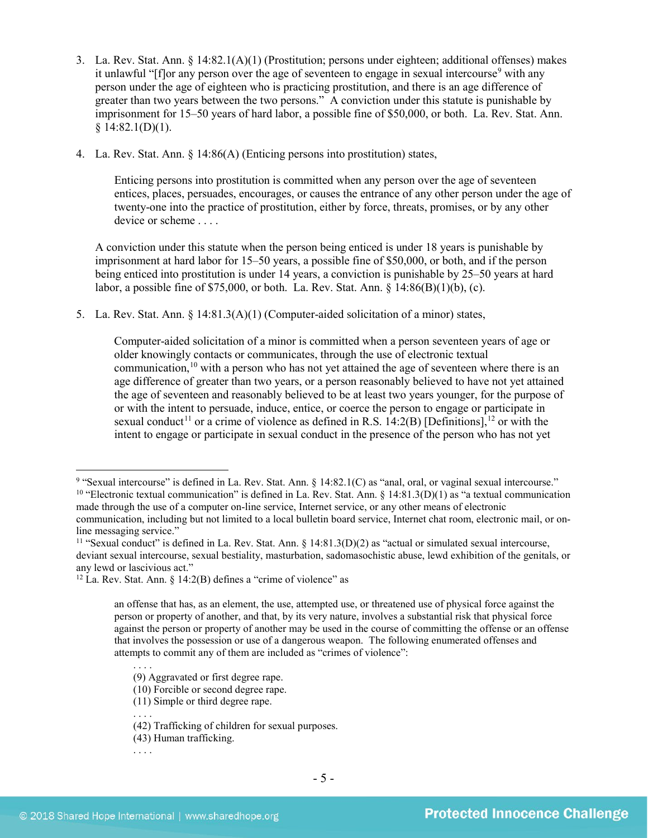- 3. La. Rev. Stat. Ann. § 14:82.1(A)(1) (Prostitution; persons under eighteen; additional offenses) makes it unlawful " $f$  or any person over the age of seventeen to engage in sexual intercourse<sup>[9](#page-4-0)</sup> with any person under the age of eighteen who is practicing prostitution, and there is an age difference of greater than two years between the two persons." A conviction under this statute is punishable by imprisonment for 15–50 years of hard labor, a possible fine of \$50,000, or both. La. Rev. Stat. Ann.  $§ 14:82.1(D)(1).$
- 4. La. Rev. Stat. Ann. § 14:86(A) (Enticing persons into prostitution) states,

Enticing persons into prostitution is committed when any person over the age of seventeen entices, places, persuades, encourages, or causes the entrance of any other person under the age of twenty-one into the practice of prostitution, either by force, threats, promises, or by any other device or scheme . . . .

A conviction under this statute when the person being enticed is under 18 years is punishable by imprisonment at hard labor for 15–50 years, a possible fine of \$50,000, or both, and if the person being enticed into prostitution is under 14 years, a conviction is punishable by 25–50 years at hard labor, a possible fine of \$75,000, or both. La. Rev. Stat. Ann. § 14:86(B)(1)(b), (c).

5. La. Rev. Stat. Ann. § 14:81.3(A)(1) (Computer-aided solicitation of a minor) states,

<span id="page-4-4"></span>Computer-aided solicitation of a minor is committed when a person seventeen years of age or older knowingly contacts or communicates, through the use of electronic textual communication,<sup>[10](#page-4-1)</sup> with a person who has not yet attained the age of seventeen where there is an age difference of greater than two years, or a person reasonably believed to have not yet attained the age of seventeen and reasonably believed to be at least two years younger, for the purpose of or with the intent to persuade, induce, entice, or coerce the person to engage or participate in sexual conduct<sup>[11](#page-4-2)</sup> or a crime of violence as defined in R.S.  $14:2(B)$  [Definitions],<sup>[12](#page-4-3)</sup> or with the intent to engage or participate in sexual conduct in the presence of the person who has not yet

. . . .

. . . .

<span id="page-4-1"></span><span id="page-4-0"></span><sup>9 &</sup>quot;Sexual intercourse" is defined in La. Rev. Stat. Ann. § 14:82.1(C) as "anal, oral, or vaginal sexual intercourse." <sup>10</sup> "Electronic textual communication" is defined in La. Rev. Stat. Ann. § 14:81.3(D)(1) as "a textual communication made through the use of a computer on-line service, Internet service, or any other means of electronic communication, including but not limited to a local bulletin board service, Internet chat room, electronic mail, or online messaging service."

<span id="page-4-2"></span><sup>&</sup>lt;sup>11</sup> "Sexual conduct" is defined in La. Rev. Stat. Ann.  $\S$  14:81.3(D)(2) as "actual or simulated sexual intercourse, deviant sexual intercourse, sexual bestiality, masturbation, sadomasochistic abuse, lewd exhibition of the genitals, or any lewd or lascivious act."

<span id="page-4-3"></span> $12$  La. Rev. Stat. Ann. § 14:2(B) defines a "crime of violence" as

an offense that has, as an element, the use, attempted use, or threatened use of physical force against the person or property of another, and that, by its very nature, involves a substantial risk that physical force against the person or property of another may be used in the course of committing the offense or an offense that involves the possession or use of a dangerous weapon. The following enumerated offenses and attempts to commit any of them are included as "crimes of violence":

<sup>(9)</sup> Aggravated or first degree rape.

<sup>(10)</sup> Forcible or second degree rape.

<sup>(11)</sup> Simple or third degree rape.

<sup>. . . .</sup> (42) Trafficking of children for sexual purposes.

<sup>(43)</sup> Human trafficking.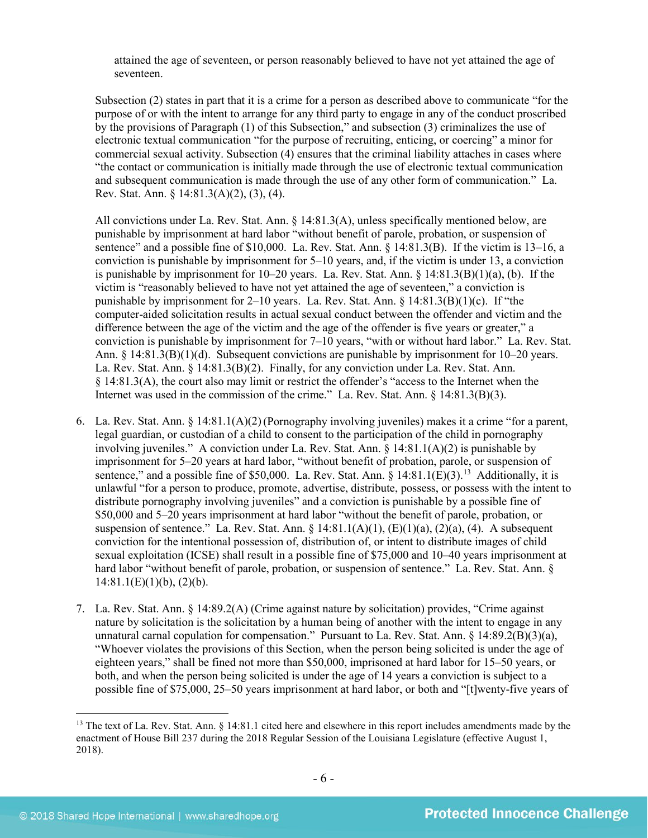attained the age of seventeen, or person reasonably believed to have not yet attained the age of seventeen.

Subsection (2) states in part that it is a crime for a person as described above to communicate "for the purpose of or with the intent to arrange for any third party to engage in any of the conduct proscribed by the provisions of Paragraph (1) of this Subsection," and subsection (3) criminalizes the use of electronic textual communication "for the purpose of recruiting, enticing, or coercing" a minor for commercial sexual activity. Subsection (4) ensures that the criminal liability attaches in cases where "the contact or communication is initially made through the use of electronic textual communication and subsequent communication is made through the use of any other form of communication." La. Rev. Stat. Ann. § 14:81.3(A)(2), (3), (4).

All convictions under La. Rev. Stat. Ann. § 14:81.3(A), unless specifically mentioned below, are punishable by imprisonment at hard labor "without benefit of parole, probation, or suspension of sentence" and a possible fine of \$10,000. La. Rev. Stat. Ann. § 14:81.3(B). If the victim is 13–16, a conviction is punishable by imprisonment for 5–10 years, and, if the victim is under 13, a conviction is punishable by imprisonment for 10–20 years. La. Rev. Stat. Ann. § 14:81.3(B)(1)(a), (b). If the victim is "reasonably believed to have not yet attained the age of seventeen," a conviction is punishable by imprisonment for 2–10 years. La. Rev. Stat. Ann.  $\S$  14:81.3(B)(1)(c). If "the computer-aided solicitation results in actual sexual conduct between the offender and victim and the difference between the age of the victim and the age of the offender is five years or greater," a conviction is punishable by imprisonment for 7–10 years, "with or without hard labor." La. Rev. Stat. Ann. § 14:81.3(B)(1)(d). Subsequent convictions are punishable by imprisonment for 10–20 years. La. Rev. Stat. Ann. § 14:81.3(B)(2). Finally, for any conviction under La. Rev. Stat. Ann. § 14:81.3(A), the court also may limit or restrict the offender's "access to the Internet when the Internet was used in the commission of the crime." La. Rev. Stat. Ann. § 14:81.3(B)(3).

- <span id="page-5-1"></span>6. La. Rev. Stat. Ann. § 14:81.1(A)(2)(Pornography involving juveniles) makes it a crime "for a parent, legal guardian, or custodian of a child to consent to the participation of the child in pornography involving juveniles." A conviction under La. Rev. Stat. Ann. § 14:81.1(A)(2) is punishable by imprisonment for 5–20 years at hard labor, "without benefit of probation, parole, or suspension of sentence," and a possible fine of \$50,000. La. Rev. Stat. Ann.  $\hat{\zeta}$  14:81.1(E)(3).<sup>[13](#page-5-0)</sup> Additionally, it is unlawful "for a person to produce, promote, advertise, distribute, possess, or possess with the intent to distribute pornography involving juveniles" and a conviction is punishable by a possible fine of \$50,000 and 5–20 years imprisonment at hard labor "without the benefit of parole, probation, or suspension of sentence." La. Rev. Stat. Ann. § 14:81.1(A)(1), (E)(1)(a), (2)(a), (4). A subsequent conviction for the intentional possession of, distribution of, or intent to distribute images of child sexual exploitation (ICSE) shall result in a possible fine of \$75,000 and 10–40 years imprisonment at hard labor "without benefit of parole, probation, or suspension of sentence." La. Rev. Stat. Ann. §  $14:81.1(E)(1)(b)$ ,  $(2)(b)$ .
- 7. La. Rev. Stat. Ann. § 14:89.2(A) (Crime against nature by solicitation) provides, "Crime against nature by solicitation is the solicitation by a human being of another with the intent to engage in any unnatural carnal copulation for compensation." Pursuant to La. Rev. Stat. Ann.  $\S$  14:89.2(B)(3)(a), "Whoever violates the provisions of this Section, when the person being solicited is under the age of eighteen years," shall be fined not more than \$50,000, imprisoned at hard labor for 15–50 years, or both, and when the person being solicited is under the age of 14 years a conviction is subject to a possible fine of \$75,000, 25–50 years imprisonment at hard labor, or both and "[t]wenty-five years of

<span id="page-5-0"></span><sup>&</sup>lt;sup>13</sup> The text of La. Rev. Stat. Ann. § 14:81.1 cited here and elsewhere in this report includes amendments made by the enactment of House Bill 237 during the 2018 Regular Session of the Louisiana Legislature (effective August 1, 2018).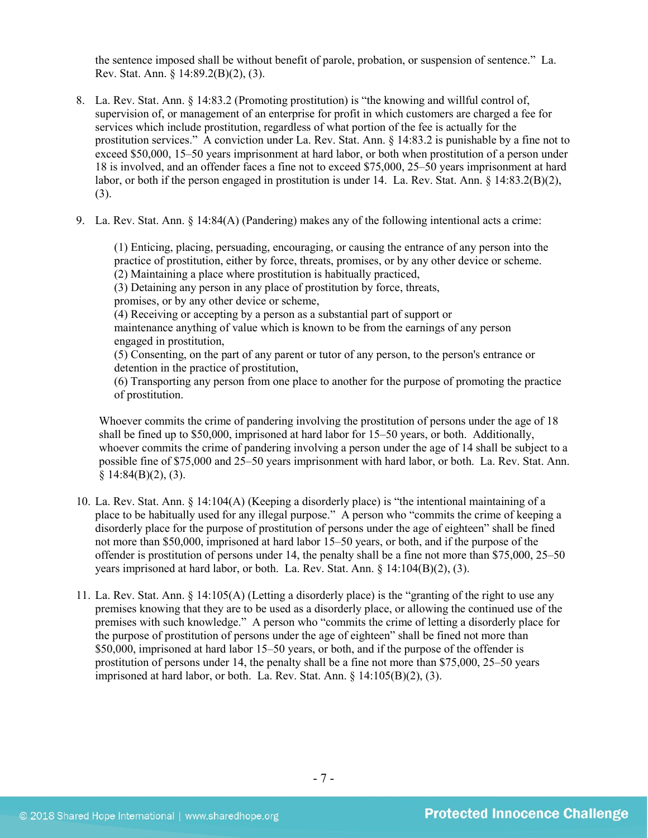the sentence imposed shall be without benefit of parole, probation, or suspension of sentence." La. Rev. Stat. Ann. § 14:89.2(B)(2), (3).

- 8. La. Rev. Stat. Ann. § 14:83.2 (Promoting prostitution) is "the knowing and willful control of, supervision of, or management of an enterprise for profit in which customers are charged a fee for services which include prostitution, regardless of what portion of the fee is actually for the prostitution services." A conviction under La. Rev. Stat. Ann. § 14:83.2 is punishable by a fine not to exceed \$50,000, 15–50 years imprisonment at hard labor, or both when prostitution of a person under 18 is involved, and an offender faces a fine not to exceed \$75,000, 25–50 years imprisonment at hard labor, or both if the person engaged in prostitution is under 14. La. Rev. Stat. Ann. § 14:83.2(B)(2), (3).
- 9. La. Rev. Stat. Ann. § 14:84(A) (Pandering) makes any of the following intentional acts a crime:

(1) Enticing, placing, persuading, encouraging, or causing the entrance of any person into the practice of prostitution, either by force, threats, promises, or by any other device or scheme. (2) Maintaining a place where prostitution is habitually practiced,

(3) Detaining any person in any place of prostitution by force, threats,

promises, or by any other device or scheme,

(4) Receiving or accepting by a person as a substantial part of support or

maintenance anything of value which is known to be from the earnings of any person engaged in prostitution,

(5) Consenting, on the part of any parent or tutor of any person, to the person's entrance or detention in the practice of prostitution,

(6) Transporting any person from one place to another for the purpose of promoting the practice of prostitution.

Whoever commits the crime of pandering involving the prostitution of persons under the age of 18 shall be fined up to \$50,000, imprisoned at hard labor for 15–50 years, or both. Additionally, whoever commits the crime of pandering involving a person under the age of 14 shall be subject to a possible fine of \$75,000 and 25–50 years imprisonment with hard labor, or both. La. Rev. Stat. Ann.  $§ 14:84(B)(2), (3).$ 

- 10. La. Rev. Stat. Ann. § 14:104(A) (Keeping a disorderly place) is "the intentional maintaining of a place to be habitually used for any illegal purpose." A person who "commits the crime of keeping a disorderly place for the purpose of prostitution of persons under the age of eighteen" shall be fined not more than \$50,000, imprisoned at hard labor 15–50 years, or both, and if the purpose of the offender is prostitution of persons under 14, the penalty shall be a fine not more than \$75,000, 25–50 years imprisoned at hard labor, or both. La. Rev. Stat. Ann. § 14:104(B)(2), (3).
- 11. La. Rev. Stat. Ann. § 14:105(A) (Letting a disorderly place) is the "granting of the right to use any premises knowing that they are to be used as a disorderly place, or allowing the continued use of the premises with such knowledge." A person who "commits the crime of letting a disorderly place for the purpose of prostitution of persons under the age of eighteen" shall be fined not more than \$50,000, imprisoned at hard labor 15–50 years, or both, and if the purpose of the offender is prostitution of persons under 14, the penalty shall be a fine not more than \$75,000, 25–50 years imprisoned at hard labor, or both. La. Rev. Stat. Ann.  $\S$  14:105(B)(2), (3).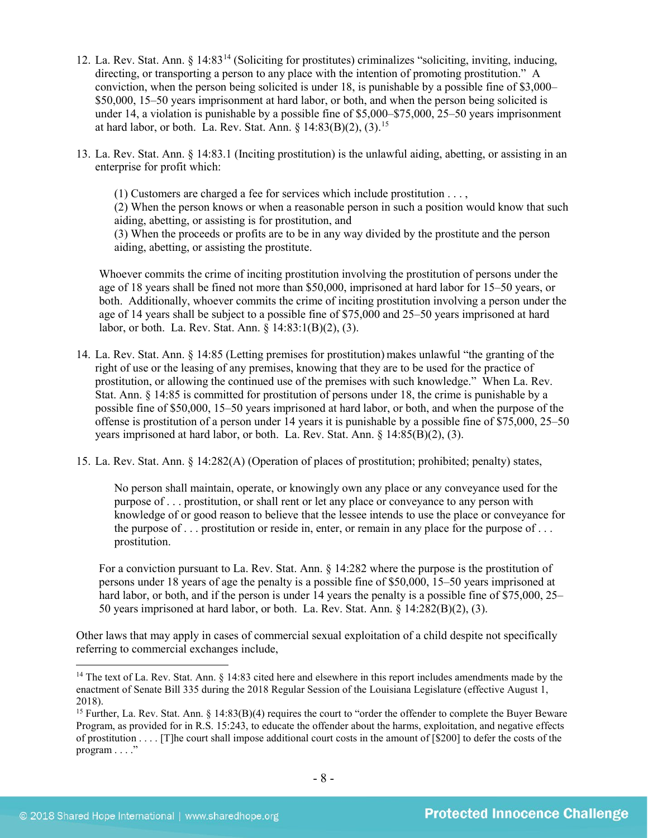- <span id="page-7-2"></span>12. La. Rev. Stat. Ann. § 14:83[14](#page-7-0) (Soliciting for prostitutes) criminalizes "soliciting, inviting, inducing, directing, or transporting a person to any place with the intention of promoting prostitution." A conviction, when the person being solicited is under 18, is punishable by a possible fine of \$3,000– \$50,000, 15–50 years imprisonment at hard labor, or both, and when the person being solicited is under 14, a violation is punishable by a possible fine of \$5,000–\$75,000, 25–50 years imprisonment at hard labor, or both. La. Rev. Stat. Ann.  $\S$  14:83(B)(2), (3).<sup>[15](#page-7-1)</sup>
- 13. La. Rev. Stat. Ann. § 14:83.1 (Inciting prostitution) is the unlawful aiding, abetting, or assisting in an enterprise for profit which:

(1) Customers are charged a fee for services which include prostitution . . . ,

(2) When the person knows or when a reasonable person in such a position would know that such aiding, abetting, or assisting is for prostitution, and

(3) When the proceeds or profits are to be in any way divided by the prostitute and the person aiding, abetting, or assisting the prostitute.

Whoever commits the crime of inciting prostitution involving the prostitution of persons under the age of 18 years shall be fined not more than \$50,000, imprisoned at hard labor for 15–50 years, or both. Additionally, whoever commits the crime of inciting prostitution involving a person under the age of 14 years shall be subject to a possible fine of \$75,000 and 25–50 years imprisoned at hard labor, or both. La. Rev. Stat. Ann. § 14:83:1(B)(2), (3).

- 14. La. Rev. Stat. Ann. § 14:85 (Letting premises for prostitution) makes unlawful "the granting of the right of use or the leasing of any premises, knowing that they are to be used for the practice of prostitution, or allowing the continued use of the premises with such knowledge." When La. Rev. Stat. Ann. § 14:85 is committed for prostitution of persons under 18, the crime is punishable by a possible fine of \$50,000, 15–50 years imprisoned at hard labor, or both, and when the purpose of the offense is prostitution of a person under 14 years it is punishable by a possible fine of \$75,000, 25–50 years imprisoned at hard labor, or both. La. Rev. Stat. Ann. § 14:85(B)(2), (3).
- 15. La. Rev. Stat. Ann. § 14:282(A) (Operation of places of prostitution; prohibited; penalty) states,

No person shall maintain, operate, or knowingly own any place or any conveyance used for the purpose of . . . prostitution, or shall rent or let any place or conveyance to any person with knowledge of or good reason to believe that the lessee intends to use the place or conveyance for the purpose of . . . prostitution or reside in, enter, or remain in any place for the purpose of . . . prostitution.

For a conviction pursuant to La. Rev. Stat. Ann. § 14:282 where the purpose is the prostitution of persons under 18 years of age the penalty is a possible fine of \$50,000, 15–50 years imprisoned at hard labor, or both, and if the person is under 14 years the penalty is a possible fine of \$75,000, 25– 50 years imprisoned at hard labor, or both. La. Rev. Stat. Ann. § 14:282(B)(2), (3).

Other laws that may apply in cases of commercial sexual exploitation of a child despite not specifically referring to commercial exchanges include,

<span id="page-7-0"></span><sup>&</sup>lt;sup>14</sup> The text of La. Rev. Stat. Ann. § 14:83 cited here and elsewhere in this report includes amendments made by the enactment of Senate Bill 335 during the 2018 Regular Session of the Louisiana Legislature (effective August 1, 2018).

<span id="page-7-1"></span><sup>15</sup> Further, La. Rev. Stat. Ann. § 14:83(B)(4) requires the court to "order the offender to complete the Buyer Beware Program, as provided for in R.S. 15:243, to educate the offender about the harms, exploitation, and negative effects of prostitution . . . . [T]he court shall impose additional court costs in the amount of [\$200] to defer the costs of the program . . . ."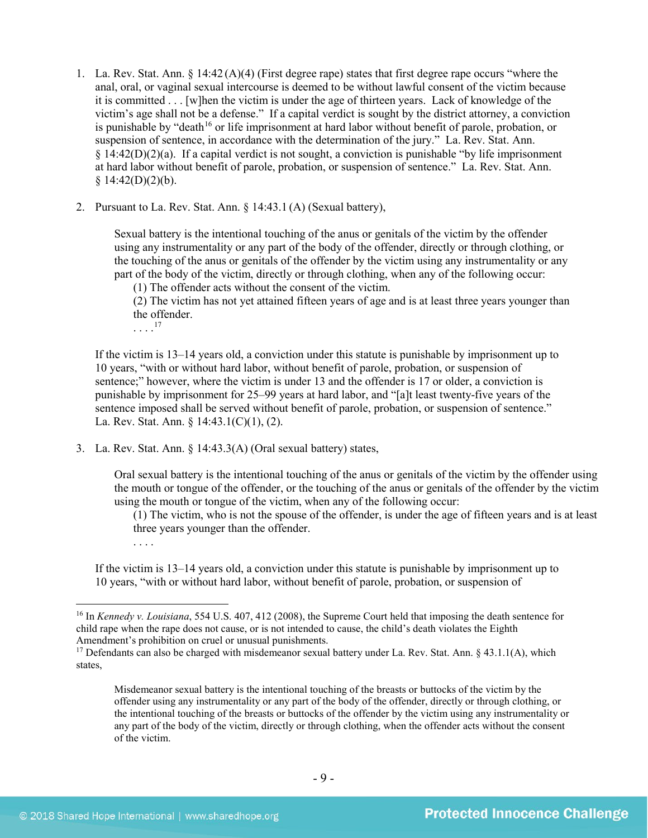- 1. La. Rev. Stat. Ann. § 14:42 (A)(4) (First degree rape) states that first degree rape occurs "where the anal, oral, or vaginal sexual intercourse is deemed to be without lawful consent of the victim because it is committed . . . [w]hen the victim is under the age of thirteen years. Lack of knowledge of the victim's age shall not be a defense." If a capital verdict is sought by the district attorney, a conviction is punishable by "death<sup>16</sup> or life imprisonment at hard labor without benefit of parole, probation, or suspension of sentence, in accordance with the determination of the jury." La. Rev. Stat. Ann.  $§$  14:42(D)(2)(a). If a capital verdict is not sought, a conviction is punishable "by life imprisonment" at hard labor without benefit of parole, probation, or suspension of sentence." La. Rev. Stat. Ann.  $§ 14:42(D)(2)(b).$
- 2. Pursuant to La. Rev. Stat. Ann. § 14:43.1 (A) (Sexual battery),

Sexual battery is the intentional touching of the anus or genitals of the victim by the offender using any instrumentality or any part of the body of the offender, directly or through clothing, or the touching of the anus or genitals of the offender by the victim using any instrumentality or any part of the body of the victim, directly or through clothing, when any of the following occur:

(1) The offender acts without the consent of the victim.

(2) The victim has not yet attained fifteen years of age and is at least three years younger than the offender.

. . . .[17](#page-8-1) 

If the victim is 13–14 years old, a conviction under this statute is punishable by imprisonment up to 10 years, "with or without hard labor, without benefit of parole, probation, or suspension of sentence;" however, where the victim is under 13 and the offender is 17 or older, a conviction is punishable by imprisonment for 25–99 years at hard labor, and "[a]t least twenty-five years of the sentence imposed shall be served without benefit of parole, probation, or suspension of sentence." La. Rev. Stat. Ann. § 14:43.1(C)(1), (2).

3. La. Rev. Stat. Ann. § 14:43.3(A) (Oral sexual battery) states,

Oral sexual battery is the intentional touching of the anus or genitals of the victim by the offender using the mouth or tongue of the offender, or the touching of the anus or genitals of the offender by the victim using the mouth or tongue of the victim, when any of the following occur:

(1) The victim, who is not the spouse of the offender, is under the age of fifteen years and is at least three years younger than the offender.

. . . .

If the victim is 13–14 years old, a conviction under this statute is punishable by imprisonment up to 10 years, "with or without hard labor, without benefit of parole, probation, or suspension of

<span id="page-8-0"></span> <sup>16</sup> In *Kennedy v. Louisiana*, 554 U.S. 407, 412 (2008), the Supreme Court held that imposing the death sentence for child rape when the rape does not cause, or is not intended to cause, the child's death violates the Eighth Amendment's prohibition on cruel or unusual punishments.

<span id="page-8-1"></span><sup>&</sup>lt;sup>17</sup> Defendants can also be charged with misdemeanor sexual battery under La. Rev. Stat. Ann. § 43.1.1(A), which states,

Misdemeanor sexual battery is the intentional touching of the breasts or buttocks of the victim by the offender using any instrumentality or any part of the body of the offender, directly or through clothing, or the intentional touching of the breasts or buttocks of the offender by the victim using any instrumentality or any part of the body of the victim, directly or through clothing, when the offender acts without the consent of the victim.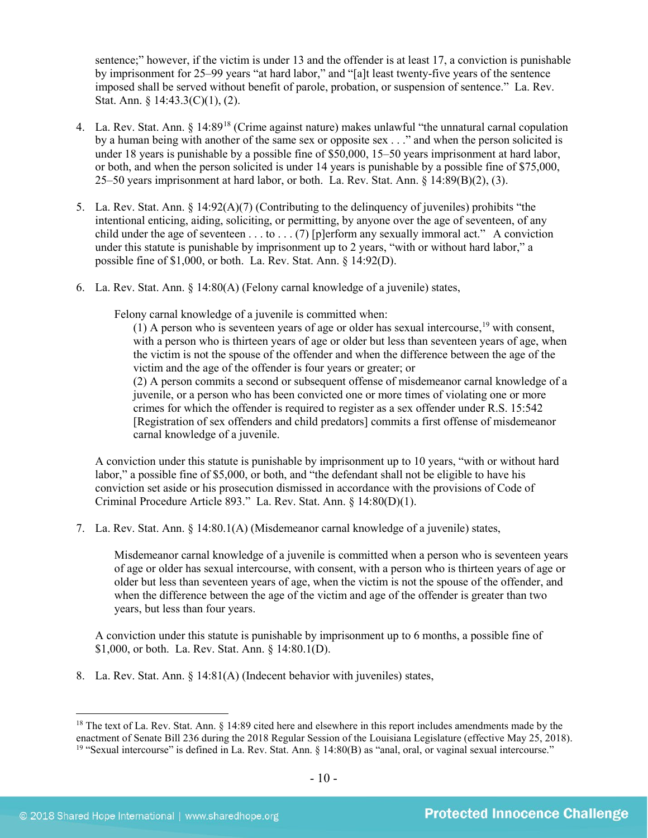sentence;" however, if the victim is under 13 and the offender is at least 17, a conviction is punishable by imprisonment for 25–99 years "at hard labor," and "[a]t least twenty-five years of the sentence imposed shall be served without benefit of parole, probation, or suspension of sentence." La. Rev. Stat. Ann. § 14:43.3(C)(1), (2).

- 4. La. Rev. Stat. Ann. § 14:89[18](#page-9-0) (Crime against nature) makes unlawful "the unnatural carnal copulation by a human being with another of the same sex or opposite sex . . ." and when the person solicited is under 18 years is punishable by a possible fine of \$50,000, 15–50 years imprisonment at hard labor, or both, and when the person solicited is under 14 years is punishable by a possible fine of \$75,000, 25–50 years imprisonment at hard labor, or both. La. Rev. Stat. Ann.  $\S$  14:89 $(B)(2)$ , (3).
- 5. La. Rev. Stat. Ann. § 14:92(A)(7) (Contributing to the delinquency of juveniles) prohibits "the intentional enticing, aiding, soliciting, or permitting, by anyone over the age of seventeen, of any child under the age of seventeen . . . to . . . (7) [p]erform any sexually immoral act." A conviction under this statute is punishable by imprisonment up to 2 years, "with or without hard labor," a possible fine of \$1,000, or both. La. Rev. Stat. Ann. § 14:92(D).
- 6. La. Rev. Stat. Ann. § 14:80(A) (Felony carnal knowledge of a juvenile) states,

Felony carnal knowledge of a juvenile is committed when:

(1) A person who is seventeen years of age or older has sexual intercourse, $19$  with consent, with a person who is thirteen years of age or older but less than seventeen years of age, when the victim is not the spouse of the offender and when the difference between the age of the victim and the age of the offender is four years or greater; or (2) A person commits a second or subsequent offense of misdemeanor carnal knowledge of a juvenile, or a person who has been convicted one or more times of violating one or more crimes for which the offender is required to register as a sex offender under R.S. 15:542 [Registration of sex offenders and child predators] commits a first offense of misdemeanor carnal knowledge of a juvenile.

A conviction under this statute is punishable by imprisonment up to 10 years, "with or without hard labor," a possible fine of \$5,000, or both, and "the defendant shall not be eligible to have his conviction set aside or his prosecution dismissed in accordance with the provisions of Code of Criminal Procedure Article 893." La. Rev. Stat. Ann. § 14:80(D)(1).

7. La. Rev. Stat. Ann. § 14:80.1(A) (Misdemeanor carnal knowledge of a juvenile) states,

Misdemeanor carnal knowledge of a juvenile is committed when a person who is seventeen years of age or older has sexual intercourse, with consent, with a person who is thirteen years of age or older but less than seventeen years of age, when the victim is not the spouse of the offender, and when the difference between the age of the victim and age of the offender is greater than two years, but less than four years.

A conviction under this statute is punishable by imprisonment up to 6 months, a possible fine of \$1,000, or both. La. Rev. Stat. Ann. § 14:80.1(D).

8. La. Rev. Stat. Ann. § 14:81(A) (Indecent behavior with juveniles) states,

<span id="page-9-1"></span><span id="page-9-0"></span><sup>&</sup>lt;sup>18</sup> The text of La. Rev. Stat. Ann. § 14:89 cited here and elsewhere in this report includes amendments made by the enactment of Senate Bill 236 during the 2018 Regular Session of the Louisiana Legislature (effective May 25, 2018). <sup>19</sup> "Sexual intercourse" is defined in La. Rev. Stat. Ann. § 14:80(B) as "anal, oral, or vaginal sexual intercourse."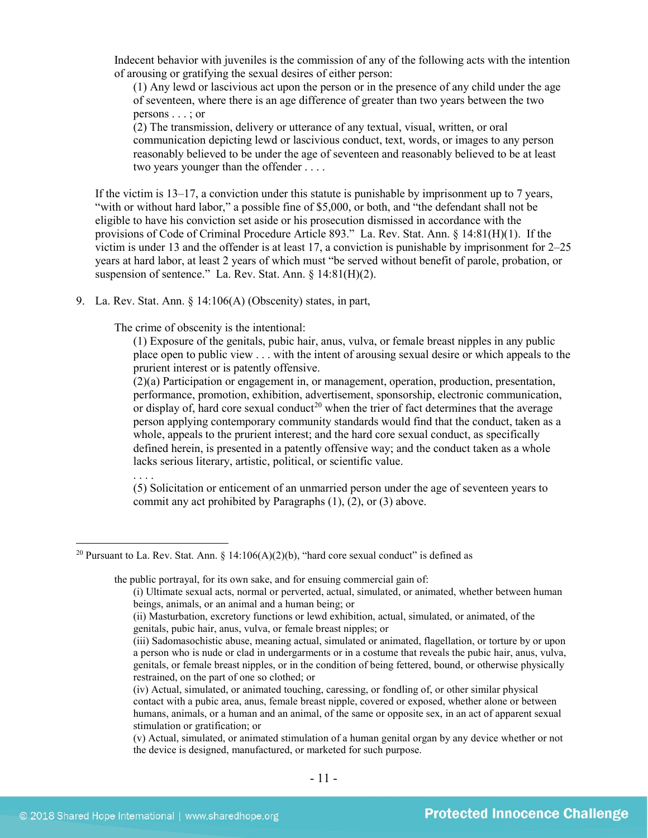Indecent behavior with juveniles is the commission of any of the following acts with the intention of arousing or gratifying the sexual desires of either person:

(1) Any lewd or lascivious act upon the person or in the presence of any child under the age of seventeen, where there is an age difference of greater than two years between the two persons . . . ; or

(2) The transmission, delivery or utterance of any textual, visual, written, or oral communication depicting lewd or lascivious conduct, text, words, or images to any person reasonably believed to be under the age of seventeen and reasonably believed to be at least two years younger than the offender . . . .

If the victim is 13–17, a conviction under this statute is punishable by imprisonment up to 7 years, "with or without hard labor," a possible fine of \$5,000, or both, and "the defendant shall not be eligible to have his conviction set aside or his prosecution dismissed in accordance with the provisions of Code of Criminal Procedure Article 893." La. Rev. Stat. Ann. § 14:81(H)(1). If the victim is under 13 and the offender is at least 17, a conviction is punishable by imprisonment for 2–25 years at hard labor, at least 2 years of which must "be served without benefit of parole, probation, or suspension of sentence." La. Rev. Stat. Ann.  $\S$  14:81(H)(2).

9. La. Rev. Stat. Ann. § 14:106(A) (Obscenity) states, in part,

The crime of obscenity is the intentional:

(1) Exposure of the genitals, pubic hair, anus, vulva, or female breast nipples in any public place open to public view . . . with the intent of arousing sexual desire or which appeals to the prurient interest or is patently offensive.

(2)(a) Participation or engagement in, or management, operation, production, presentation, performance, promotion, exhibition, advertisement, sponsorship, electronic communication, or display of, hard core sexual conduct<sup>[20](#page-10-0)</sup> when the trier of fact determines that the average person applying contemporary community standards would find that the conduct, taken as a whole, appeals to the prurient interest; and the hard core sexual conduct, as specifically defined herein, is presented in a patently offensive way; and the conduct taken as a whole lacks serious literary, artistic, political, or scientific value.

(5) Solicitation or enticement of an unmarried person under the age of seventeen years to commit any act prohibited by Paragraphs (1), (2), or (3) above.

the public portrayal, for its own sake, and for ensuing commercial gain of:

(ii) Masturbation, excretory functions or lewd exhibition, actual, simulated, or animated, of the genitals, pubic hair, anus, vulva, or female breast nipples; or

. . . .

<span id="page-10-0"></span><sup>&</sup>lt;sup>20</sup> Pursuant to La. Rev. Stat. Ann.  $\S 14:106(A)(2)(b)$ , "hard core sexual conduct" is defined as

<sup>(</sup>i) Ultimate sexual acts, normal or perverted, actual, simulated, or animated, whether between human beings, animals, or an animal and a human being; or

<sup>(</sup>iii) Sadomasochistic abuse, meaning actual, simulated or animated, flagellation, or torture by or upon a person who is nude or clad in undergarments or in a costume that reveals the pubic hair, anus, vulva, genitals, or female breast nipples, or in the condition of being fettered, bound, or otherwise physically restrained, on the part of one so clothed; or

<sup>(</sup>iv) Actual, simulated, or animated touching, caressing, or fondling of, or other similar physical contact with a pubic area, anus, female breast nipple, covered or exposed, whether alone or between humans, animals, or a human and an animal, of the same or opposite sex, in an act of apparent sexual stimulation or gratification; or

<sup>(</sup>v) Actual, simulated, or animated stimulation of a human genital organ by any device whether or not the device is designed, manufactured, or marketed for such purpose.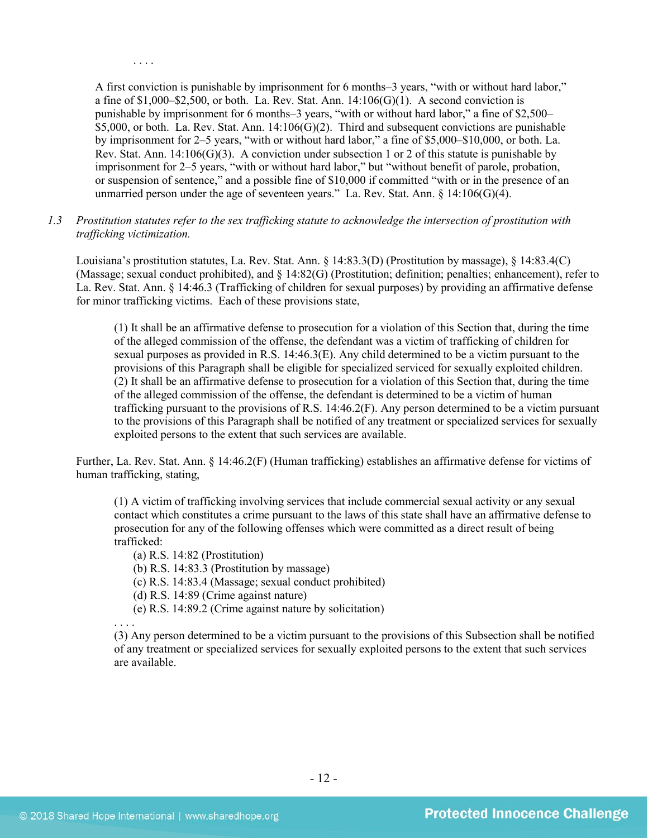A first conviction is punishable by imprisonment for 6 months–3 years, "with or without hard labor," a fine of  $$1,000–$2,500$ , or both. La. Rev. Stat. Ann.  $14:106(G)(1)$ . A second conviction is punishable by imprisonment for 6 months–3 years, "with or without hard labor," a fine of \$2,500– \$5,000, or both. La. Rev. Stat. Ann. 14:106(G)(2). Third and subsequent convictions are punishable by imprisonment for 2–5 years, "with or without hard labor," a fine of \$5,000–\$10,000, or both. La. Rev. Stat. Ann.  $14:106(G)(3)$ . A conviction under subsection 1 or 2 of this statute is punishable by imprisonment for 2–5 years, "with or without hard labor," but "without benefit of parole, probation, or suspension of sentence," and a possible fine of \$10,000 if committed "with or in the presence of an unmarried person under the age of seventeen years." La. Rev. Stat. Ann.  $\S$  14:106(G)(4).

*1.3 Prostitution statutes refer to the sex trafficking statute to acknowledge the intersection of prostitution with trafficking victimization.* 

Louisiana's prostitution statutes, La. Rev. Stat. Ann. § 14:83.3(D) (Prostitution by massage), § 14:83.4(C) (Massage; sexual conduct prohibited), and § 14:82(G) (Prostitution; definition; penalties; enhancement), refer to La. Rev. Stat. Ann. § 14:46.3 (Trafficking of children for sexual purposes) by providing an affirmative defense for minor trafficking victims. Each of these provisions state,

(1) It shall be an affirmative defense to prosecution for a violation of this Section that, during the time of the alleged commission of the offense, the defendant was a victim of trafficking of children for sexual purposes as provided in R.S. 14:46.3(E). Any child determined to be a victim pursuant to the provisions of this Paragraph shall be eligible for specialized serviced for sexually exploited children. (2) It shall be an affirmative defense to prosecution for a violation of this Section that, during the time of the alleged commission of the offense, the defendant is determined to be a victim of human trafficking pursuant to the provisions of R.S. 14:46.2(F). Any person determined to be a victim pursuant to the provisions of this Paragraph shall be notified of any treatment or specialized services for sexually exploited persons to the extent that such services are available.

Further, La. Rev. Stat. Ann. § 14:46.2(F) (Human trafficking) establishes an affirmative defense for victims of human trafficking, stating,

(1) A victim of trafficking involving services that include commercial sexual activity or any sexual contact which constitutes a crime pursuant to the laws of this state shall have an affirmative defense to prosecution for any of the following offenses which were committed as a direct result of being trafficked:

(a) R.S. 14:82 (Prostitution)

. . . .

(b) R.S. 14:83.3 (Prostitution by massage)

(c) R.S. 14:83.4 (Massage; sexual conduct prohibited)

(d) R.S. 14:89 (Crime against nature)

(e) R.S. 14:89.2 (Crime against nature by solicitation)

(3) Any person determined to be a victim pursuant to the provisions of this Subsection shall be notified of any treatment or specialized services for sexually exploited persons to the extent that such services are available.

. . . .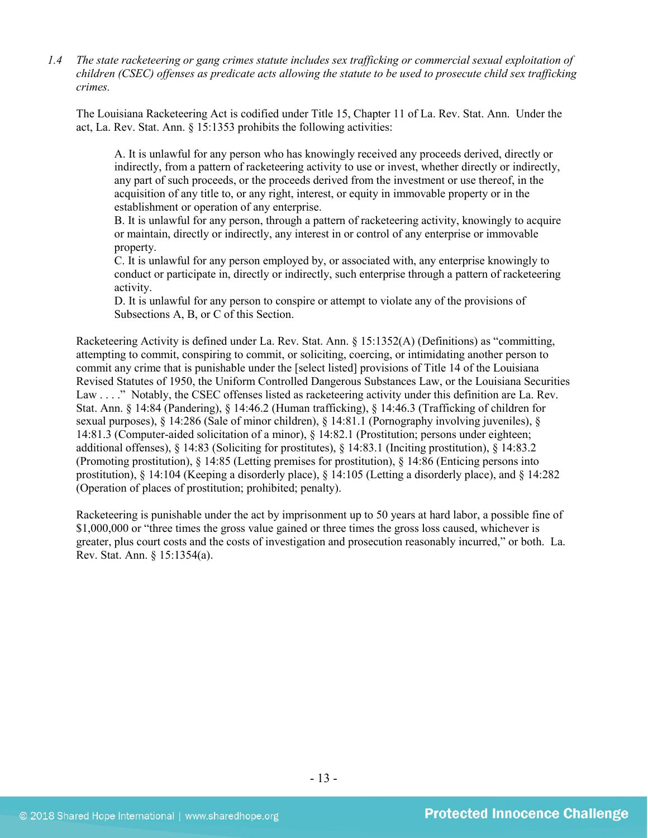*1.4 The state racketeering or gang crimes statute includes sex trafficking or commercial sexual exploitation of children (CSEC) offenses as predicate acts allowing the statute to be used to prosecute child sex trafficking crimes.* 

The Louisiana Racketeering Act is codified under Title 15, Chapter 11 of La. Rev. Stat. Ann. Under the act, La. Rev. Stat. Ann. § 15:1353 prohibits the following activities:

A. It is unlawful for any person who has knowingly received any proceeds derived, directly or indirectly, from a pattern of racketeering activity to use or invest, whether directly or indirectly, any part of such proceeds, or the proceeds derived from the investment or use thereof, in the acquisition of any title to, or any right, interest, or equity in immovable property or in the establishment or operation of any enterprise.

B. It is unlawful for any person, through a pattern of racketeering activity, knowingly to acquire or maintain, directly or indirectly, any interest in or control of any enterprise or immovable property.

C. It is unlawful for any person employed by, or associated with, any enterprise knowingly to conduct or participate in, directly or indirectly, such enterprise through a pattern of racketeering activity.

D. It is unlawful for any person to conspire or attempt to violate any of the provisions of Subsections A, B, or C of this Section.

Racketeering Activity is defined under La. Rev. Stat. Ann. § 15:1352(A) (Definitions) as "committing, attempting to commit, conspiring to commit, or soliciting, coercing, or intimidating another person to commit any crime that is punishable under the [select listed] provisions of Title 14 of the Louisiana Revised Statutes of 1950, the Uniform Controlled Dangerous Substances Law, or the Louisiana Securities Law . . . ." Notably, the CSEC offenses listed as racketeering activity under this definition are La. Rev. Stat. Ann. § 14:84 (Pandering), § 14:46.2 (Human trafficking), § 14:46.3 (Trafficking of children for sexual purposes), § 14:286 (Sale of minor children), § 14:81.1 (Pornography involving juveniles), § 14:81.3 (Computer-aided solicitation of a minor), § 14:82.1 (Prostitution; persons under eighteen; additional offenses), § 14:83 (Soliciting for prostitutes), § 14:83.1 (Inciting prostitution), § 14:83.2 (Promoting prostitution), § 14:85 (Letting premises for prostitution), § 14:86 (Enticing persons into prostitution), § 14:104 (Keeping a disorderly place), § 14:105 (Letting a disorderly place), and § 14:282 (Operation of places of prostitution; prohibited; penalty).

Racketeering is punishable under the act by imprisonment up to 50 years at hard labor, a possible fine of \$1,000,000 or "three times the gross value gained or three times the gross loss caused, whichever is greater, plus court costs and the costs of investigation and prosecution reasonably incurred," or both. La. Rev. Stat. Ann. § 15:1354(a).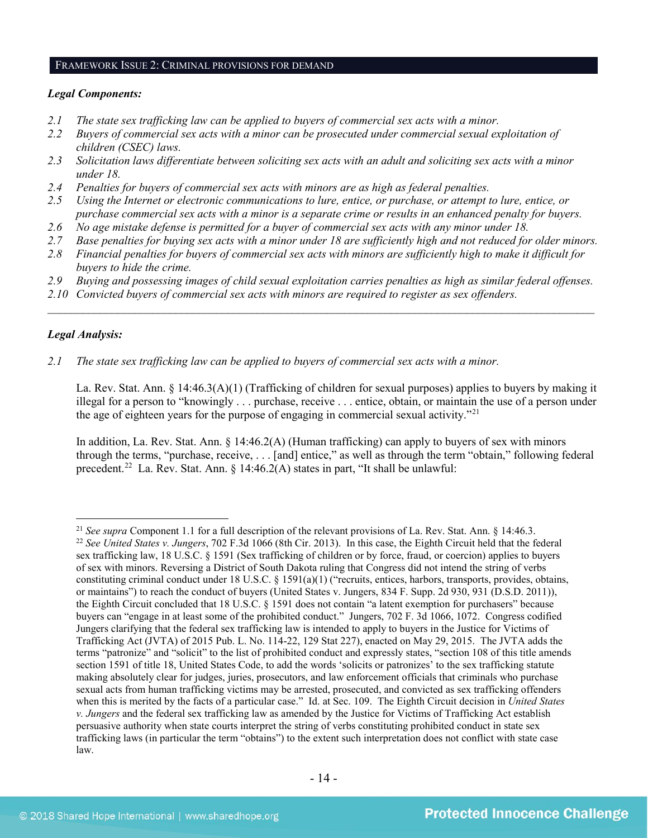#### FRAMEWORK ISSUE 2: CRIMINAL PROVISIONS FOR DEMAND

#### *Legal Components:*

- *2.1 The state sex trafficking law can be applied to buyers of commercial sex acts with a minor.*
- *2.2 Buyers of commercial sex acts with a minor can be prosecuted under commercial sexual exploitation of children (CSEC) laws.*
- *2.3 Solicitation laws differentiate between soliciting sex acts with an adult and soliciting sex acts with a minor under 18.*
- *2.4 Penalties for buyers of commercial sex acts with minors are as high as federal penalties.*
- *2.5 Using the Internet or electronic communications to lure, entice, or purchase, or attempt to lure, entice, or purchase commercial sex acts with a minor is a separate crime or results in an enhanced penalty for buyers.*
- *2.6 No age mistake defense is permitted for a buyer of commercial sex acts with any minor under 18.*
- *2.7 Base penalties for buying sex acts with a minor under 18 are sufficiently high and not reduced for older minors.*
- *2.8 Financial penalties for buyers of commercial sex acts with minors are sufficiently high to make it difficult for buyers to hide the crime.*
- *2.9 Buying and possessing images of child sexual exploitation carries penalties as high as similar federal offenses.*

\_\_\_\_\_\_\_\_\_\_\_\_\_\_\_\_\_\_\_\_\_\_\_\_\_\_\_\_\_\_\_\_\_\_\_\_\_\_\_\_\_\_\_\_\_\_\_\_\_\_\_\_\_\_\_\_\_\_\_\_\_\_\_\_\_\_\_\_\_\_\_\_\_\_\_\_\_\_\_\_\_\_\_\_\_\_\_\_\_\_\_\_\_\_

*2.10 Convicted buyers of commercial sex acts with minors are required to register as sex offenders.*

# *Legal Analysis:*

*2.1 The state sex trafficking law can be applied to buyers of commercial sex acts with a minor.*

La. Rev. Stat. Ann. § 14:46.3(A)(1) (Trafficking of children for sexual purposes) applies to buyers by making it illegal for a person to "knowingly . . . purchase, receive . . . entice, obtain, or maintain the use of a person under the age of eighteen years for the purpose of engaging in commercial sexual activity."<sup>[21](#page-13-0)</sup>

In addition, La. Rev. Stat. Ann. § 14:46.2(A) (Human trafficking) can apply to buyers of sex with minors through the terms, "purchase, receive, . . . [and] entice," as well as through the term "obtain," following federal precedent. [22](#page-13-1) La. Rev. Stat. Ann. § 14:46.2(A) states in part, "It shall be unlawful:

<span id="page-13-1"></span><span id="page-13-0"></span><sup>&</sup>lt;sup>21</sup> *See supra* Component 1.1 for a full description of the relevant provisions of La. Rev. Stat. Ann. § 14:46.3. <sup>22</sup> *See United States v. Jungers*, 702 F.3d 1066 (8th Cir. 2013). In this case, the Eighth Circuit held that the federal sex trafficking law, 18 U.S.C. § 1591 (Sex trafficking of children or by force, fraud, or coercion) applies to buyers of sex with minors. Reversing a District of South Dakota ruling that Congress did not intend the string of verbs constituting criminal conduct under 18 U.S.C. § 1591(a)(1) ("recruits, entices, harbors, transports, provides, obtains, or maintains") to reach the conduct of buyers (United States v. Jungers, 834 F. Supp. 2d 930, 931 (D.S.D. 2011)), the Eighth Circuit concluded that 18 U.S.C. § 1591 does not contain "a latent exemption for purchasers" because buyers can "engage in at least some of the prohibited conduct." Jungers, 702 F. 3d 1066, 1072. Congress codified Jungers clarifying that the federal sex trafficking law is intended to apply to buyers in the Justice for Victims of Trafficking Act (JVTA) of 2015 Pub. L. No. 114-22, 129 Stat 227), enacted on May 29, 2015. The JVTA adds the terms "patronize" and "solicit" to the list of prohibited conduct and expressly states, "section 108 of this title amends section 1591 of title 18, United States Code, to add the words 'solicits or patronizes' to the sex trafficking statute making absolutely clear for judges, juries, prosecutors, and law enforcement officials that criminals who purchase sexual acts from human trafficking victims may be arrested, prosecuted, and convicted as sex trafficking offenders when this is merited by the facts of a particular case." Id. at Sec. 109. The Eighth Circuit decision in *United States v. Jungers* and the federal sex trafficking law as amended by the Justice for Victims of Trafficking Act establish persuasive authority when state courts interpret the string of verbs constituting prohibited conduct in state sex trafficking laws (in particular the term "obtains") to the extent such interpretation does not conflict with state case law.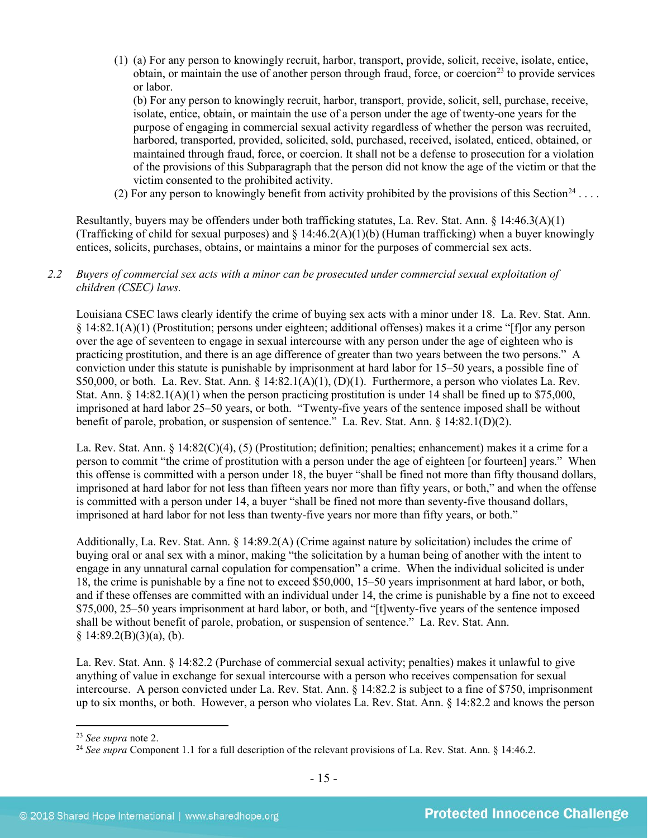(1) (a) For any person to knowingly recruit, harbor, transport, provide, solicit, receive, isolate, entice, obtain, or maintain the use of another person through fraud, force, or coercion<sup>[23](#page-14-0)</sup> to provide services or labor.

(b) For any person to knowingly recruit, harbor, transport, provide, solicit, sell, purchase, receive, isolate, entice, obtain, or maintain the use of a person under the age of twenty-one years for the purpose of engaging in commercial sexual activity regardless of whether the person was recruited, harbored, transported, provided, solicited, sold, purchased, received, isolated, enticed, obtained, or maintained through fraud, force, or coercion. It shall not be a defense to prosecution for a violation of the provisions of this Subparagraph that the person did not know the age of the victim or that the victim consented to the prohibited activity.

(2) For any person to knowingly benefit from activity prohibited by the provisions of this Section<sup>[24](#page-14-1)</sup> . . . .

Resultantly, buyers may be offenders under both trafficking statutes, La. Rev. Stat. Ann. § 14:46.3(A)(1) (Trafficking of child for sexual purposes) and § 14:46.2(A)(1)(b) (Human trafficking) when a buyer knowingly entices, solicits, purchases, obtains, or maintains a minor for the purposes of commercial sex acts.

# *2.2 Buyers of commercial sex acts with a minor can be prosecuted under commercial sexual exploitation of children (CSEC) laws.*

Louisiana CSEC laws clearly identify the crime of buying sex acts with a minor under 18. La. Rev. Stat. Ann. § 14:82.1(A)(1) (Prostitution; persons under eighteen; additional offenses) makes it a crime "[f]or any person over the age of seventeen to engage in sexual intercourse with any person under the age of eighteen who is practicing prostitution, and there is an age difference of greater than two years between the two persons." A conviction under this statute is punishable by imprisonment at hard labor for 15–50 years, a possible fine of \$50,000, or both. La. Rev. Stat. Ann. § 14:82.1(A)(1), (D)(1). Furthermore, a person who violates La. Rev. Stat. Ann. § 14:82.1(A)(1) when the person practicing prostitution is under 14 shall be fined up to \$75,000, imprisoned at hard labor 25–50 years, or both. "Twenty-five years of the sentence imposed shall be without benefit of parole, probation, or suspension of sentence." La. Rev. Stat. Ann. § 14:82.1(D)(2).

La. Rev. Stat. Ann. § 14:82(C)(4), (5) (Prostitution; definition; penalties; enhancement) makes it a crime for a person to commit "the crime of prostitution with a person under the age of eighteen [or fourteen] years." When this offense is committed with a person under 18, the buyer "shall be fined not more than fifty thousand dollars, imprisoned at hard labor for not less than fifteen years nor more than fifty years, or both," and when the offense is committed with a person under 14, a buyer "shall be fined not more than seventy-five thousand dollars, imprisoned at hard labor for not less than twenty-five years nor more than fifty years, or both."

Additionally, La. Rev. Stat. Ann. § 14:89.2(A) (Crime against nature by solicitation) includes the crime of buying oral or anal sex with a minor, making "the solicitation by a human being of another with the intent to engage in any unnatural carnal copulation for compensation" a crime. When the individual solicited is under 18, the crime is punishable by a fine not to exceed \$50,000, 15–50 years imprisonment at hard labor, or both, and if these offenses are committed with an individual under 14, the crime is punishable by a fine not to exceed \$75,000, 25–50 years imprisonment at hard labor, or both, and "[t]wenty-five years of the sentence imposed shall be without benefit of parole, probation, or suspension of sentence." La. Rev. Stat. Ann.  $§ 14:89.2(B)(3)(a), (b).$ 

La. Rev. Stat. Ann. § 14:82.2 (Purchase of commercial sexual activity; penalties) makes it unlawful to give anything of value in exchange for sexual intercourse with a person who receives compensation for sexual intercourse. A person convicted under La. Rev. Stat. Ann. § 14:82.2 is subject to a fine of \$750, imprisonment up to six months, or both. However, a person who violates La. Rev. Stat. Ann. § 14:82.2 and knows the person

<span id="page-14-0"></span> <sup>23</sup> *See supra* note [2.](#page-0-2)

<span id="page-14-1"></span><sup>&</sup>lt;sup>24</sup> See supra Component 1.1 for a full description of the relevant provisions of La. Rev. Stat. Ann. § 14:46.2.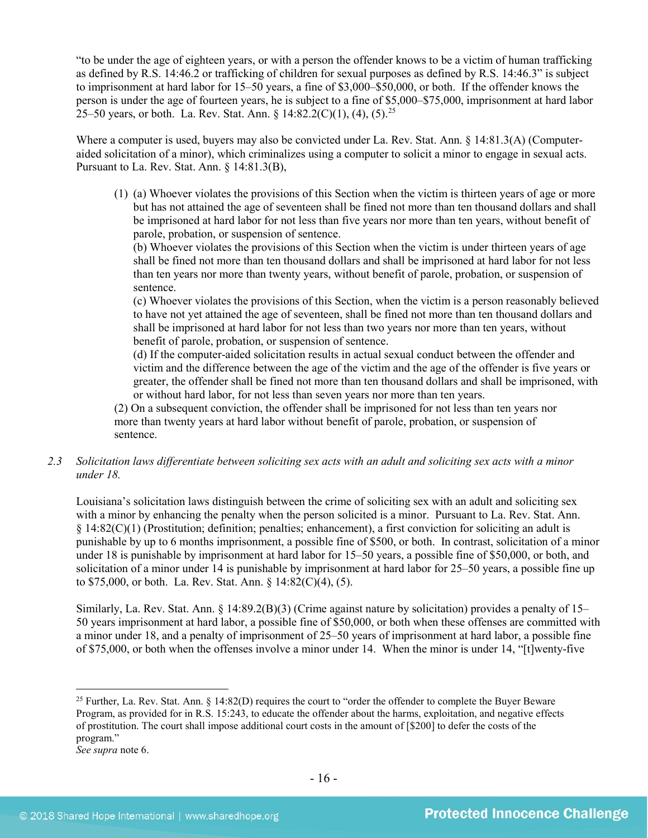"to be under the age of eighteen years, or with a person the offender knows to be a victim of human trafficking as defined by R.S. 14:46.2 or trafficking of children for sexual purposes as defined by R.S. 14:46.3" is subject to imprisonment at hard labor for 15–50 years, a fine of \$3,000–\$50,000, or both. If the offender knows the person is under the age of fourteen years, he is subject to a fine of \$5,000–\$75,000, imprisonment at hard labor [25](#page-15-0)–50 years, or both. La. Rev. Stat. Ann. §  $14:82.2(C)(1)$ ,  $(4)$ ,  $(5)$ . <sup>25</sup>

Where a computer is used, buyers may also be convicted under La. Rev. Stat. Ann. § 14:81.3(A) (Computeraided solicitation of a minor), which criminalizes using a computer to solicit a minor to engage in sexual acts. Pursuant to La. Rev. Stat. Ann. § 14:81.3(B),

(1) (a) Whoever violates the provisions of this Section when the victim is thirteen years of age or more but has not attained the age of seventeen shall be fined not more than ten thousand dollars and shall be imprisoned at hard labor for not less than five years nor more than ten years, without benefit of parole, probation, or suspension of sentence.

(b) Whoever violates the provisions of this Section when the victim is under thirteen years of age shall be fined not more than ten thousand dollars and shall be imprisoned at hard labor for not less than ten years nor more than twenty years, without benefit of parole, probation, or suspension of sentence.

(c) Whoever violates the provisions of this Section, when the victim is a person reasonably believed to have not yet attained the age of seventeen, shall be fined not more than ten thousand dollars and shall be imprisoned at hard labor for not less than two years nor more than ten years, without benefit of parole, probation, or suspension of sentence.

(d) If the computer-aided solicitation results in actual sexual conduct between the offender and victim and the difference between the age of the victim and the age of the offender is five years or greater, the offender shall be fined not more than ten thousand dollars and shall be imprisoned, with or without hard labor, for not less than seven years nor more than ten years.

(2) On a subsequent conviction, the offender shall be imprisoned for not less than ten years nor more than twenty years at hard labor without benefit of parole, probation, or suspension of sentence.

*2.3 Solicitation laws differentiate between soliciting sex acts with an adult and soliciting sex acts with a minor under 18.*

Louisiana's solicitation laws distinguish between the crime of soliciting sex with an adult and soliciting sex with a minor by enhancing the penalty when the person solicited is a minor. Pursuant to La. Rev. Stat. Ann. § 14:82(C)(1) (Prostitution; definition; penalties; enhancement), a first conviction for soliciting an adult is punishable by up to 6 months imprisonment, a possible fine of \$500, or both. In contrast, solicitation of a minor under 18 is punishable by imprisonment at hard labor for 15–50 years, a possible fine of \$50,000, or both, and solicitation of a minor under 14 is punishable by imprisonment at hard labor for 25–50 years, a possible fine up to \$75,000, or both. La. Rev. Stat. Ann. § 14:82(C)(4), (5).

Similarly, La. Rev. Stat. Ann. § 14:89.2(B)(3) (Crime against nature by solicitation) provides a penalty of 15– 50 years imprisonment at hard labor, a possible fine of \$50,000, or both when these offenses are committed with a minor under 18, and a penalty of imprisonment of 25–50 years of imprisonment at hard labor, a possible fine of \$75,000, or both when the offenses involve a minor under 14. When the minor is under 14, "[t]wenty-five

<span id="page-15-0"></span><sup>&</sup>lt;sup>25</sup> Further, La. Rev. Stat. Ann.  $\S$  14:82(D) requires the court to "order the offender to complete the Buyer Beware Program, as provided for in R.S. 15:243, to educate the offender about the harms, exploitation, and negative effects of prostitution. The court shall impose additional court costs in the amount of [\$200] to defer the costs of the program."

*See supra* note [6.](#page-3-3)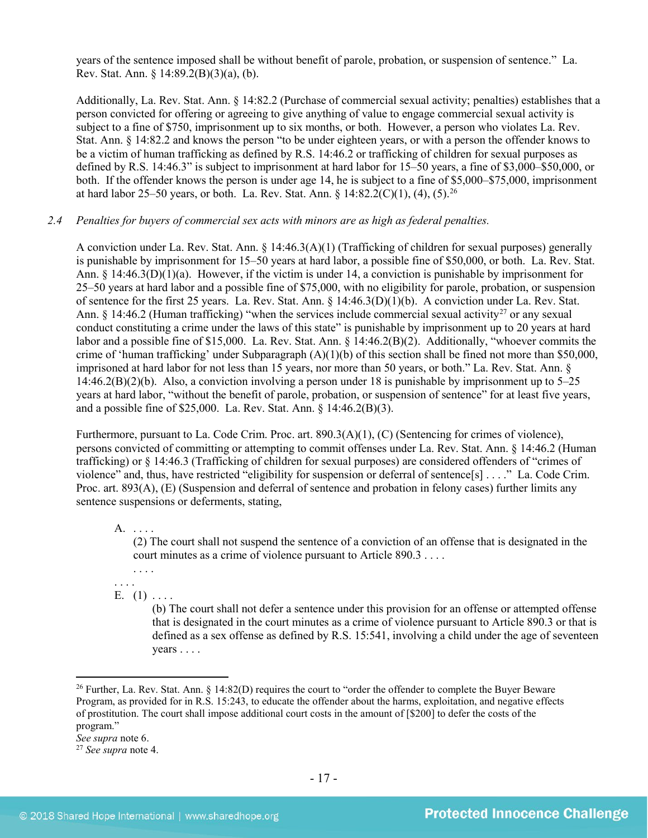years of the sentence imposed shall be without benefit of parole, probation, or suspension of sentence." La. Rev. Stat. Ann. § 14:89.2(B)(3)(a), (b).

Additionally, La. Rev. Stat. Ann. § 14:82.2 (Purchase of commercial sexual activity; penalties) establishes that a person convicted for offering or agreeing to give anything of value to engage commercial sexual activity is subject to a fine of \$750, imprisonment up to six months, or both. However, a person who violates La. Rev. Stat. Ann. § 14:82.2 and knows the person "to be under eighteen years, or with a person the offender knows to be a victim of human trafficking as defined by R.S. 14:46.2 or trafficking of children for sexual purposes as defined by R.S. 14:46.3" is subject to imprisonment at hard labor for 15–50 years, a fine of \$3,000–\$50,000, or both. If the offender knows the person is under age 14, he is subject to a fine of \$5,000–\$75,000, imprisonment at hard labor 25–50 years, or both. La. Rev. Stat. Ann. §  $14:82.2(C)(1)$ ,  $(4)$ ,  $(5)$ . <sup>[26](#page-16-0)</sup>

# *2.4 Penalties for buyers of commercial sex acts with minors are as high as federal penalties.*

A conviction under La. Rev. Stat. Ann. § 14:46.3(A)(1) (Trafficking of children for sexual purposes) generally is punishable by imprisonment for 15–50 years at hard labor, a possible fine of \$50,000, or both. La. Rev. Stat. Ann. § 14:46.3(D)(1)(a). However, if the victim is under 14, a conviction is punishable by imprisonment for 25–50 years at hard labor and a possible fine of \$75,000, with no eligibility for parole, probation, or suspension of sentence for the first 25 years. La. Rev. Stat. Ann. § 14:46.3(D)(1)(b). A conviction under La. Rev. Stat. Ann. § 14:46.2 (Human trafficking) "when the services include commercial sexual activity<sup>[27](#page-16-1)</sup> or any sexual conduct constituting a crime under the laws of this state" is punishable by imprisonment up to 20 years at hard labor and a possible fine of \$15,000. La. Rev. Stat. Ann. § 14:46.2(B)(2). Additionally, "whoever commits the crime of 'human trafficking' under Subparagraph  $(A)(1)(b)$  of this section shall be fined not more than \$50,000, imprisoned at hard labor for not less than 15 years, nor more than 50 years, or both." La. Rev. Stat. Ann. § 14:46.2(B)(2)(b). Also, a conviction involving a person under 18 is punishable by imprisonment up to 5–25 years at hard labor, "without the benefit of parole, probation, or suspension of sentence" for at least five years, and a possible fine of \$25,000. La. Rev. Stat. Ann. § 14:46.2(B)(3).

Furthermore, pursuant to La. Code Crim. Proc. art. 890.3(A)(1), (C) (Sentencing for crimes of violence), persons convicted of committing or attempting to commit offenses under La. Rev. Stat. Ann. § 14:46.2 (Human trafficking) or § 14:46.3 (Trafficking of children for sexual purposes) are considered offenders of "crimes of violence" and, thus, have restricted "eligibility for suspension or deferral of sentence[s] . . . ." La. Code Crim. Proc. art. 893(A), (E) (Suspension and deferral of sentence and probation in felony cases) further limits any sentence suspensions or deferments, stating,

# A. . . . .

(2) The court shall not suspend the sentence of a conviction of an offense that is designated in the court minutes as a crime of violence pursuant to Article 890.3 . . . .

. . . . E.  $(1)$  ....

. . . .

(b) The court shall not defer a sentence under this provision for an offense or attempted offense that is designated in the court minutes as a crime of violence pursuant to Article 890.3 or that is defined as a sex offense as defined by R.S. 15:541, involving a child under the age of seventeen years . . . .

<span id="page-16-0"></span><sup>&</sup>lt;sup>26</sup> Further, La. Rev. Stat. Ann.  $\S$  14:82(D) requires the court to "order the offender to complete the Buyer Beware Program, as provided for in R.S. 15:243, to educate the offender about the harms, exploitation, and negative effects of prostitution. The court shall impose additional court costs in the amount of [\$200] to defer the costs of the program."

*See supra* note [6.](#page-3-3)

<span id="page-16-1"></span><sup>27</sup> *See supra* note [4.](#page-1-2)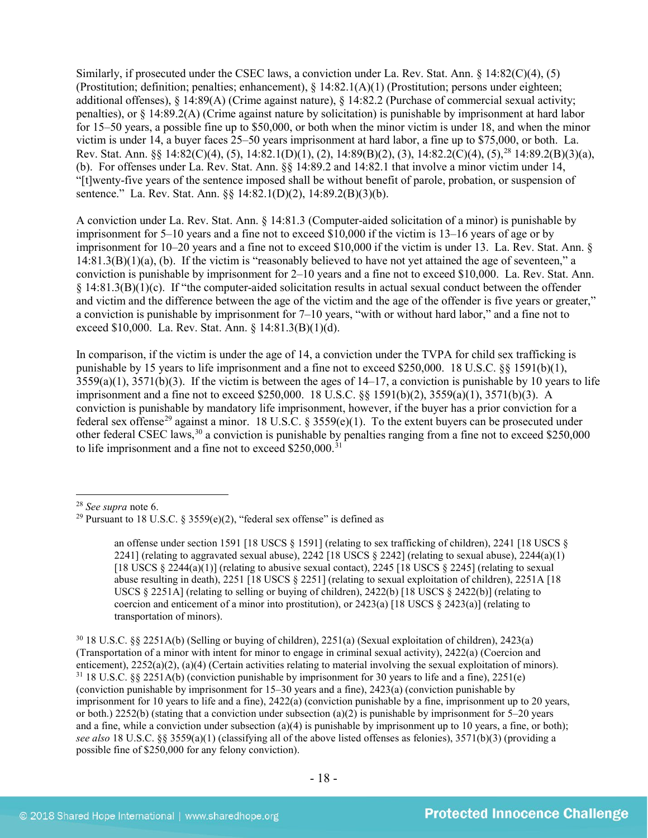Similarly, if prosecuted under the CSEC laws, a conviction under La. Rev. Stat. Ann. § 14:82(C)(4), (5) (Prostitution; definition; penalties; enhancement), § 14:82.1(A)(1) (Prostitution; persons under eighteen; additional offenses), § 14:89(A) (Crime against nature), § 14:82.2 (Purchase of commercial sexual activity; penalties), or § 14:89.2(A) (Crime against nature by solicitation) is punishable by imprisonment at hard labor for 15–50 years, a possible fine up to \$50,000, or both when the minor victim is under 18, and when the minor victim is under 14, a buyer faces 25–50 years imprisonment at hard labor, a fine up to \$75,000, or both. La. Rev. Stat. Ann. §§ 14:82(C)(4), (5), 14:82.1(D)(1), (2), 14:89(B)(2), (3), 14:82.2(C)(4), (5),[28](#page-17-0) 14:89.2(B)(3)(a), (b). For offenses under La. Rev. Stat. Ann. §§ 14:89.2 and 14:82.1 that involve a minor victim under 14, "[t]wenty-five years of the sentence imposed shall be without benefit of parole, probation, or suspension of sentence." La. Rev. Stat. Ann. §§ 14:82.1(D)(2), 14:89.2(B)(3)(b).

A conviction under La. Rev. Stat. Ann. § 14:81.3 (Computer-aided solicitation of a minor) is punishable by imprisonment for 5–10 years and a fine not to exceed \$10,000 if the victim is 13–16 years of age or by imprisonment for 10–20 years and a fine not to exceed \$10,000 if the victim is under 13. La. Rev. Stat. Ann. §  $14:81.3(B)(1)(a)$ , (b). If the victim is "reasonably believed to have not yet attained the age of seventeen," a conviction is punishable by imprisonment for 2–10 years and a fine not to exceed \$10,000. La. Rev. Stat. Ann. § 14:81.3(B)(1)(c). If "the computer-aided solicitation results in actual sexual conduct between the offender and victim and the difference between the age of the victim and the age of the offender is five years or greater," a conviction is punishable by imprisonment for 7–10 years, "with or without hard labor," and a fine not to exceed \$10,000. La. Rev. Stat. Ann. § 14:81.3(B)(1)(d).

<span id="page-17-4"></span>In comparison, if the victim is under the age of 14, a conviction under the TVPA for child sex trafficking is punishable by 15 years to life imprisonment and a fine not to exceed \$250,000. 18 U.S.C. §§ 1591(b)(1),  $3559(a)(1)$ ,  $3571(b)(3)$ . If the victim is between the ages of  $14-17$ , a conviction is punishable by 10 years to life imprisonment and a fine not to exceed \$250,000. 18 U.S.C. §§ 1591(b)(2), 3559(a)(1), 3571(b)(3). A conviction is punishable by mandatory life imprisonment, however, if the buyer has a prior conviction for a federal sex offense<sup>[29](#page-17-1)</sup> against a minor. 18 U.S.C. § 3559(e)(1). To the extent buyers can be prosecuted under other federal CSEC laws,<sup>[30](#page-17-2)</sup> a conviction is punishable by penalties ranging from a fine not to exceed \$250,000 to life imprisonment and a fine not to exceed \$250,000.<sup>[31](#page-17-3)</sup>

<span id="page-17-0"></span> <sup>28</sup> *See supra* note [6.](#page-3-3)

<span id="page-17-1"></span><sup>&</sup>lt;sup>29</sup> Pursuant to 18 U.S.C. § 3559(e)(2), "federal sex offense" is defined as

an offense under section 1591 [18 USCS § 1591] (relating to sex trafficking of children), 2241 [18 USCS § 2241] (relating to aggravated sexual abuse), 2242 [18 USCS  $\S$  2242] (relating to sexual abuse), 2244(a)(1) [18 USCS  $\S 2244(a)(1)$ ] (relating to abusive sexual contact), 2245 [18 USCS  $\S 2245$ ] (relating to sexual abuse resulting in death), 2251 [18 USCS § 2251] (relating to sexual exploitation of children), 2251A [18 USCS  $\S 2251$ A] (relating to selling or buying of children), 2422(b) [18 USCS  $\S 2422$ (b)] (relating to coercion and enticement of a minor into prostitution), or  $2423(a)$  [18 USCS § 2423(a)] (relating to transportation of minors).

<span id="page-17-3"></span><span id="page-17-2"></span><sup>30</sup> 18 U.S.C. §§ 2251A(b) (Selling or buying of children), 2251(a) (Sexual exploitation of children), 2423(a) (Transportation of a minor with intent for minor to engage in criminal sexual activity), 2422(a) (Coercion and enticement),  $2252(a)(2)$ ,  $(a)(4)$  (Certain activities relating to material involving the sexual exploitation of <sup>31</sup> 18 U.S.C. §§ 2251A(b) (conviction punishable by imprisonment for 30 years to life and a fine), 2251(e) (conviction punishable by imprisonment for 15–30 years and a fine), 2423(a) (conviction punishable by imprisonment for 10 years to life and a fine), 2422(a) (conviction punishable by a fine, imprisonment up to 20 years, or both.) 2252(b) (stating that a conviction under subsection (a)(2) is punishable by imprisonment for 5–20 years and a fine, while a conviction under subsection (a)(4) is punishable by imprisonment up to 10 years, a fine, or both); *see also* 18 U.S.C. §§ 3559(a)(1) (classifying all of the above listed offenses as felonies), 3571(b)(3) (providing a possible fine of \$250,000 for any felony conviction).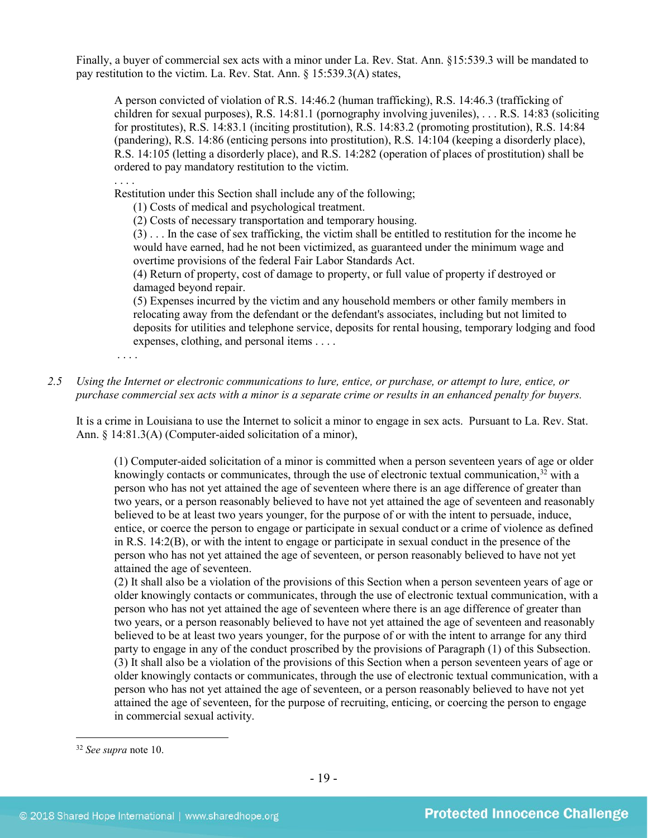Finally, a buyer of commercial sex acts with a minor under La. Rev. Stat. Ann. §15:539.3 will be mandated to pay restitution to the victim. La. Rev. Stat. Ann. § 15:539.3(A) states,

A person convicted of violation of R.S. 14:46.2 (human trafficking), R.S. 14:46.3 (trafficking of children for sexual purposes), R.S. 14:81.1 (pornography involving juveniles), . . . R.S. 14:83 (soliciting for prostitutes), R.S. 14:83.1 (inciting prostitution), R.S. 14:83.2 (promoting prostitution), R.S. 14:84 (pandering), R.S. 14:86 (enticing persons into prostitution), R.S. 14:104 (keeping a disorderly place), R.S. 14:105 (letting a disorderly place), and R.S. 14:282 (operation of places of prostitution) shall be ordered to pay mandatory restitution to the victim.

. . . . Restitution under this Section shall include any of the following;

(1) Costs of medical and psychological treatment.

(2) Costs of necessary transportation and temporary housing.

(3) . . . In the case of sex trafficking, the victim shall be entitled to restitution for the income he would have earned, had he not been victimized, as guaranteed under the minimum wage and overtime provisions of the federal Fair Labor Standards Act.

(4) Return of property, cost of damage to property, or full value of property if destroyed or damaged beyond repair.

(5) Expenses incurred by the victim and any household members or other family members in relocating away from the defendant or the defendant's associates, including but not limited to deposits for utilities and telephone service, deposits for rental housing, temporary lodging and food expenses, clothing, and personal items . . . .

. . . .

*2.5 Using the Internet or electronic communications to lure, entice, or purchase, or attempt to lure, entice, or purchase commercial sex acts with a minor is a separate crime or results in an enhanced penalty for buyers.*

It is a crime in Louisiana to use the Internet to solicit a minor to engage in sex acts. Pursuant to La. Rev. Stat. Ann. § 14:81.3(A) (Computer-aided solicitation of a minor),

(1) Computer-aided solicitation of a minor is committed when a person seventeen years of age or older knowingly contacts or communicates, through the use of electronic textual communication,  $32$  with a person who has not yet attained the age of seventeen where there is an age difference of greater than two years, or a person reasonably believed to have not yet attained the age of seventeen and reasonably believed to be at least two years younger, for the purpose of or with the intent to persuade, induce, entice, or coerce the person to engage or participate in sexual conduct or a crime of violence as defined in [R.S. 14:2\(B\),](https://www.lexis.com/research/buttonTFLink?_m=99d0f5a773918e7181bbcf01552bc950&_xfercite=%3ccite%20cc%3d%22USA%22%3e%3c%21%5bCDATA%5bLa.%20R.S.%2014%3a81.2%5d%5d%3e%3c%2fcite%3e&_butType=4&_butStat=0&_butNum=5&_butInline=1&_butinfo=LACODE%2015%3a539.1&_fmtstr=FULL&docnum=1&_startdoc=1&wchp=dGLzVlz-zSkAA&_md5=dbb10adb6468eeda4d3d1f1bc675eee1) or with the intent to engage or participate in sexual conduct in the presence of the person who has not yet attained the age of seventeen, or person reasonably believed to have not yet attained the age of seventeen.

(2) It shall also be a violation of the provisions of this Section when a person seventeen years of age or older knowingly contacts or communicates, through the use of electronic textual communication, with a person who has not yet attained the age of seventeen where there is an age difference of greater than two years, or a person reasonably believed to have not yet attained the age of seventeen and reasonably believed to be at least two years younger, for the purpose of or with the intent to arrange for any third party to engage in any of the conduct proscribed by the provisions of Paragraph (1) of this Subsection. (3) It shall also be a violation of the provisions of this Section when a person seventeen years of age or older knowingly contacts or communicates, through the use of electronic textual communication, with a person who has not yet attained the age of seventeen, or a person reasonably believed to have not yet attained the age of seventeen, for the purpose of recruiting, enticing, or coercing the person to engage in commercial sexual activity.

<span id="page-18-0"></span> <sup>32</sup> *See supra* note [10.](#page-4-4)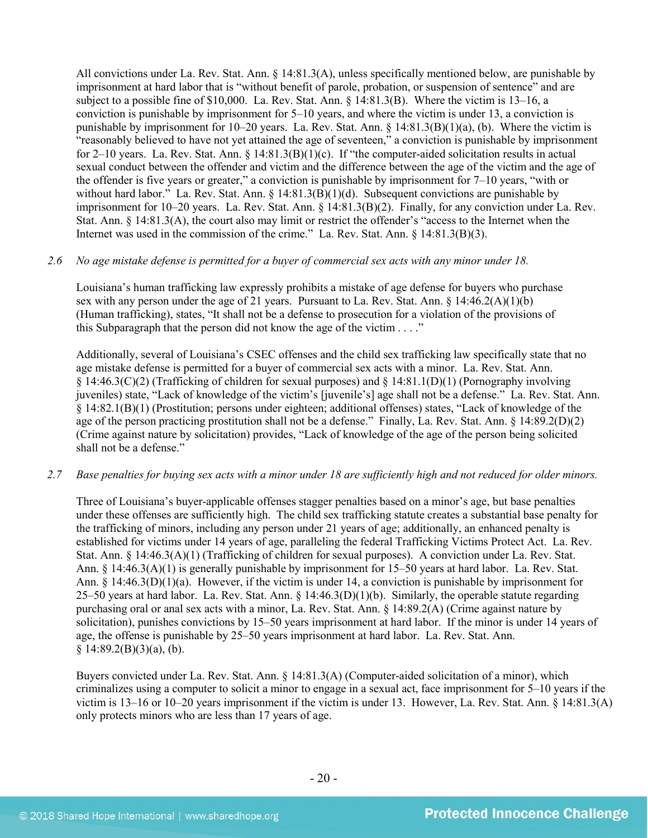All convictions under La. Rev. Stat. Ann. § 14:81.3(A), unless specifically mentioned below, are punishable by imprisonment at hard labor that is "without benefit of parole, probation, or suspension of sentence" and are subject to a possible fine of \$10,000. La. Rev. Stat. Ann. § 14:81.3(B). Where the victim is 13–16, a conviction is punishable by imprisonment for 5–10 years, and where the victim is under 13, a conviction is punishable by imprisonment for 10–20 years. La. Rev. Stat. Ann. § 14:81.3(B)(1)(a), (b). Where the victim is "reasonably believed to have not yet attained the age of seventeen," a conviction is punishable by imprisonment for 2–10 years. La. Rev. Stat. Ann. § 14:81.3(B)(1)(c). If "the computer-aided solicitation results in actual sexual conduct between the offender and victim and the difference between the age of the victim and the age of the offender is five years or greater," a conviction is punishable by imprisonment for 7–10 years, "with or without hard labor." La. Rev. Stat. Ann. § 14:81.3(B)(1)(d). Subsequent convictions are punishable by imprisonment for 10–20 years. La. Rev. Stat. Ann. § 14:81.3(B)(2). Finally, for any conviction under La. Rev. Stat. Ann. § 14:81.3(A), the court also may limit or restrict the offender's "access to the Internet when the Internet was used in the commission of the crime." La. Rev. Stat. Ann. § 14:81.3(B)(3).

# *2.6 No age mistake defense is permitted for a buyer of commercial sex acts with any minor under 18.*

Louisiana's human trafficking law expressly prohibits a mistake of age defense for buyers who purchase sex with any person under the age of 21 years. Pursuant to La. Rev. Stat. Ann.  $\S$  14:46.2(A)(1)(b) (Human trafficking), states, "It shall not be a defense to prosecution for a violation of the provisions of this Subparagraph that the person did not know the age of the victim . . . ."

Additionally, several of Louisiana's CSEC offenses and the child sex trafficking law specifically state that no age mistake defense is permitted for a buyer of commercial sex acts with a minor. La. Rev. Stat. Ann. § 14:46.3(C)(2) (Trafficking of children for sexual purposes) and § 14:81.1(D)(1) (Pornography involving juveniles) state, "Lack of knowledge of the victim's [juvenile's] age shall not be a defense." La. Rev. Stat. Ann. § 14:82.1(B)(1) (Prostitution; persons under eighteen; additional offenses) states, "Lack of knowledge of the age of the person practicing prostitution shall not be a defense." Finally, La. Rev. Stat. Ann. § 14:89.2(D)(2) (Crime against nature by solicitation) provides, "Lack of knowledge of the age of the person being solicited shall not be a defense."

*2.7 Base penalties for buying sex acts with a minor under 18 are sufficiently high and not reduced for older minors.*

Three of Louisiana's buyer-applicable offenses stagger penalties based on a minor's age, but base penalties under these offenses are sufficiently high. The child sex trafficking statute creates a substantial base penalty for the trafficking of minors, including any person under 21 years of age; additionally, an enhanced penalty is established for victims under 14 years of age, paralleling the federal Trafficking Victims Protect Act. La. Rev. Stat. Ann. § 14:46.3(A)(1) (Trafficking of children for sexual purposes). A conviction under La. Rev. Stat. Ann. § 14:46.3(A)(1) is generally punishable by imprisonment for 15–50 years at hard labor. La. Rev. Stat. Ann. § 14:46.3(D)(1)(a). However, if the victim is under 14, a conviction is punishable by imprisonment for 25–50 years at hard labor. La. Rev. Stat. Ann. § 14:46.3(D)(1)(b). Similarly, the operable statute regarding purchasing oral or anal sex acts with a minor, La. Rev. Stat. Ann. § 14:89.2(A) (Crime against nature by solicitation), punishes convictions by 15–50 years imprisonment at hard labor. If the minor is under 14 years of age, the offense is punishable by 25–50 years imprisonment at hard labor. La. Rev. Stat. Ann.  $§ 14:89.2(B)(3)(a), (b).$ 

Buyers convicted under La. Rev. Stat. Ann. § 14:81.3(A) (Computer-aided solicitation of a minor), which criminalizes using a computer to solicit a minor to engage in a sexual act, face imprisonment for 5–10 years if the victim is 13–16 or 10–20 years imprisonment if the victim is under 13. However, La. Rev. Stat. Ann. § 14:81.3(A) only protects minors who are less than 17 years of age.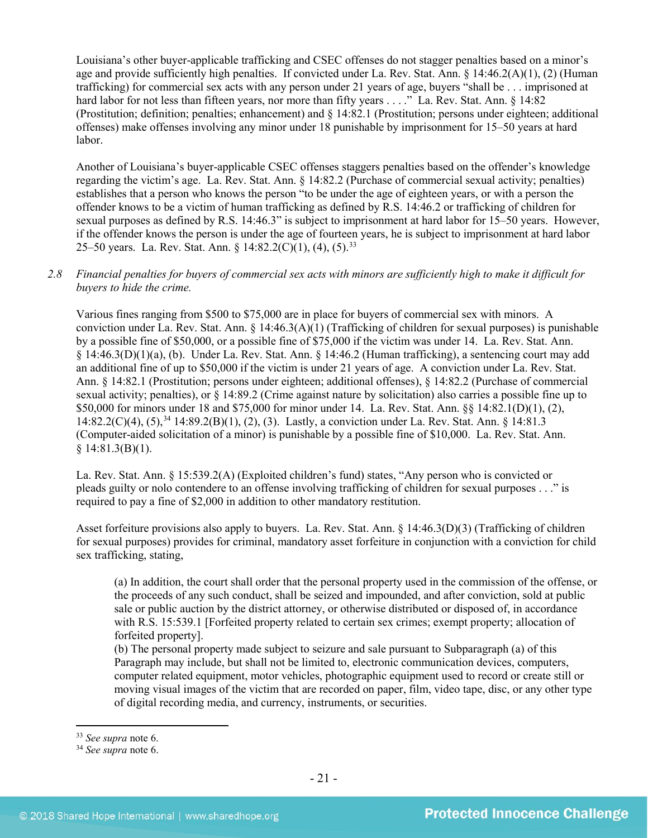Louisiana's other buyer-applicable trafficking and CSEC offenses do not stagger penalties based on a minor's age and provide sufficiently high penalties. If convicted under La. Rev. Stat. Ann. § 14:46.2(A)(1), (2) (Human trafficking) for commercial sex acts with any person under 21 years of age, buyers "shall be . . . imprisoned at hard labor for not less than fifteen years, nor more than fifty years . . . ." La. Rev. Stat. Ann. § 14:82 (Prostitution; definition; penalties; enhancement) and § 14:82.1 (Prostitution; persons under eighteen; additional offenses) make offenses involving any minor under 18 punishable by imprisonment for 15–50 years at hard labor.

Another of Louisiana's buyer-applicable CSEC offenses staggers penalties based on the offender's knowledge regarding the victim's age. La. Rev. Stat. Ann. § 14:82.2 (Purchase of commercial sexual activity; penalties) establishes that a person who knows the person "to be under the age of eighteen years, or with a person the offender knows to be a victim of human trafficking as defined by R.S. 14:46.2 or trafficking of children for sexual purposes as defined by R.S. 14:46.3" is subject to imprisonment at hard labor for 15–50 years. However, if the offender knows the person is under the age of fourteen years, he is subject to imprisonment at hard labor 25–50 years. La. Rev. Stat. Ann. § 14:82.2(C)(1), (4), (5).[33](#page-20-0)

# *2.8 Financial penalties for buyers of commercial sex acts with minors are sufficiently high to make it difficult for buyers to hide the crime.*

Various fines ranging from \$500 to \$75,000 are in place for buyers of commercial sex with minors. A conviction under La. Rev. Stat. Ann. § 14:46.3(A)(1) (Trafficking of children for sexual purposes) is punishable by a possible fine of \$50,000, or a possible fine of \$75,000 if the victim was under 14. La. Rev. Stat. Ann. § 14:46.3(D)(1)(a), (b). Under La. Rev. Stat. Ann. § 14:46.2 (Human trafficking), a sentencing court may add an additional fine of up to \$50,000 if the victim is under 21 years of age. A conviction under La. Rev. Stat. Ann. § 14:82.1 (Prostitution; persons under eighteen; additional offenses), § 14:82.2 (Purchase of commercial sexual activity; penalties), or § 14:89.2 (Crime against nature by solicitation) also carries a possible fine up to \$50,000 for minors under 18 and \$75,000 for minor under 14. La. Rev. Stat. Ann. §§ 14:82.1(D)(1), (2),  $14:82.2(C)(4)$ ,  $(5)$ ,  $^{34}$  $^{34}$  $^{34}$   $14:89.2(B)(1)$ ,  $(2)$ ,  $(3)$ . Lastly, a conviction under La. Rev. Stat. Ann. § 14:81.3 (Computer-aided solicitation of a minor) is punishable by a possible fine of \$10,000. La. Rev. Stat. Ann.  $§ 14:81.3(B)(1).$ 

La. Rev. Stat. Ann. § 15:539.2(A) (Exploited children's fund) states, "Any person who is convicted or pleads guilty or nolo contendere to an offense involving trafficking of children for sexual purposes . . ." is required to pay a fine of \$2,000 in addition to other mandatory restitution.

Asset forfeiture provisions also apply to buyers. La. Rev. Stat. Ann. § 14:46.3(D)(3) (Trafficking of children for sexual purposes) provides for criminal, mandatory asset forfeiture in conjunction with a conviction for child sex trafficking, stating,

(a) In addition, the court shall order that the personal property used in the commission of the offense, or the proceeds of any such conduct, shall be seized and impounded, and after conviction, sold at public sale or public auction by the district attorney, or otherwise distributed or disposed of, in accordance with R.S. 15:539.1 [Forfeited property related to certain sex crimes; exempt property; allocation of forfeited property].

(b) The personal property made subject to seizure and sale pursuant to Subparagraph (a) of this Paragraph may include, but shall not be limited to, electronic communication devices, computers, computer related equipment, motor vehicles, photographic equipment used to record or create still or moving visual images of the victim that are recorded on paper, film, video tape, disc, or any other type of digital recording media, and currency, instruments, or securities.

<span id="page-20-0"></span> <sup>33</sup> *See supra* note [6.](#page-3-3)

<span id="page-20-1"></span><sup>34</sup> *See supra* note [6.](#page-3-3)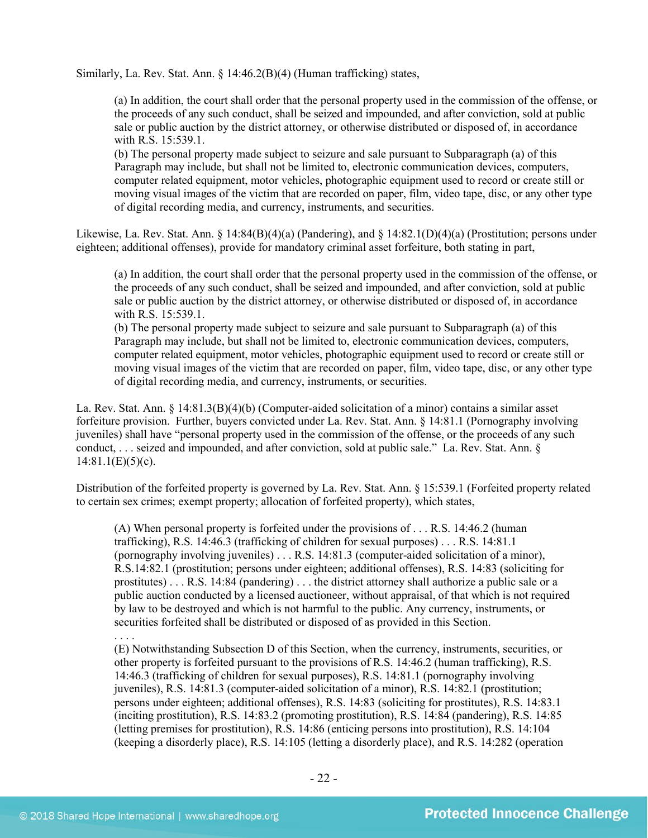Similarly, La. Rev. Stat. Ann. § 14:46.2(B)(4) (Human trafficking) states,

(a) In addition, the court shall order that the personal property used in the commission of the offense, or the proceeds of any such conduct, shall be seized and impounded, and after conviction, sold at public sale or public auction by the district attorney, or otherwise distributed or disposed of, in accordance with R.S. 15:539.1.

(b) The personal property made subject to seizure and sale pursuant to Subparagraph (a) of this Paragraph may include, but shall not be limited to, electronic communication devices, computers, computer related equipment, motor vehicles, photographic equipment used to record or create still or moving visual images of the victim that are recorded on paper, film, video tape, disc, or any other type of digital recording media, and currency, instruments, and securities.

Likewise, La. Rev. Stat. Ann. § 14:84(B)(4)(a) (Pandering), and § 14:82.1(D)(4)(a) (Prostitution; persons under eighteen; additional offenses), provide for mandatory criminal asset forfeiture, both stating in part,

(a) In addition, the court shall order that the personal property used in the commission of the offense, or the proceeds of any such conduct, shall be seized and impounded, and after conviction, sold at public sale or public auction by the district attorney, or otherwise distributed or disposed of, in accordance with R.S. 15:539.1.

(b) The personal property made subject to seizure and sale pursuant to Subparagraph (a) of this Paragraph may include, but shall not be limited to, electronic communication devices, computers, computer related equipment, motor vehicles, photographic equipment used to record or create still or moving visual images of the victim that are recorded on paper, film, video tape, disc, or any other type of digital recording media, and currency, instruments, or securities.

La. Rev. Stat. Ann. § 14:81.3(B)(4)(b) (Computer-aided solicitation of a minor) contains a similar asset forfeiture provision. Further, buyers convicted under La. Rev. Stat. Ann. § 14:81.1 (Pornography involving juveniles) shall have "personal property used in the commission of the offense, or the proceeds of any such conduct, . . . seized and impounded, and after conviction, sold at public sale." La. Rev. Stat. Ann. §  $14:81.1(E)(5)(c)$ .

Distribution of the forfeited property is governed by La. Rev. Stat. Ann. § 15:539.1 (Forfeited property related to certain sex crimes; exempt property; allocation of forfeited property), which states,

(A) When personal property is forfeited under the provisions of . . . R.S. 14:46.2 (human trafficking), R.S. 14:46.3 (trafficking of children for sexual purposes) . . . R.S. 14:81.1 (pornography involving juveniles) . . . R.S. 14:81.3 (computer-aided solicitation of a minor), R.S.14:82.1 (prostitution; persons under eighteen; additional offenses), R.S. 14:83 (soliciting for prostitutes) . . . R.S. 14:84 (pandering) . . . the district attorney shall authorize a public sale or a public auction conducted by a licensed auctioneer, without appraisal, of that which is not required by law to be destroyed and which is not harmful to the public. Any currency, instruments, or securities forfeited shall be distributed or disposed of as provided in this Section.

. . . . (E) Notwithstanding Subsection D of this Section, when the currency, instruments, securities, or other property is forfeited pursuant to the provisions of R.S. 14:46.2 (human trafficking), R.S. 14:46.3 (trafficking of children for sexual purposes), R.S. 14:81.1 (pornography involving juveniles), R.S. 14:81.3 (computer-aided solicitation of a minor), R.S. 14:82.1 (prostitution; persons under eighteen; additional offenses), R.S. 14:83 (soliciting for prostitutes), R.S. 14:83.1 (inciting prostitution), R.S. 14:83.2 (promoting prostitution), R.S. 14:84 (pandering), R.S. 14:85 (letting premises for prostitution), R.S. 14:86 (enticing persons into prostitution), R.S. 14:104 (keeping a disorderly place), R.S. 14:105 (letting a disorderly place), and R.S. 14:282 (operation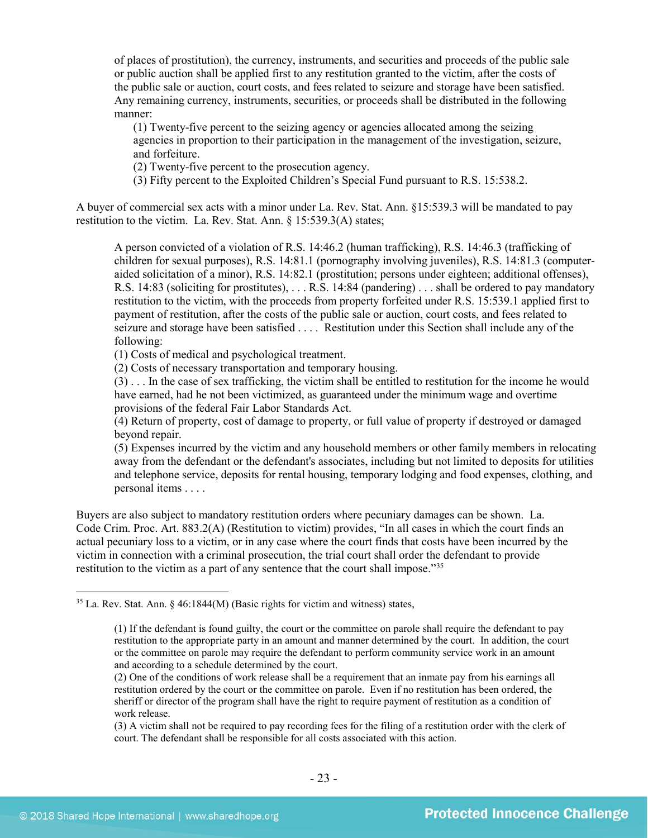of places of prostitution), the currency, instruments, and securities and proceeds of the public sale or public auction shall be applied first to any restitution granted to the victim, after the costs of the public sale or auction, court costs, and fees related to seizure and storage have been satisfied. Any remaining currency, instruments, securities, or proceeds shall be distributed in the following manner:

(1) Twenty-five percent to the seizing agency or agencies allocated among the seizing agencies in proportion to their participation in the management of the investigation, seizure, and forfeiture.

(2) Twenty-five percent to the prosecution agency.

(3) Fifty percent to the Exploited Children's Special Fund pursuant to R.S. 15:538.2.

A buyer of commercial sex acts with a minor under La. Rev. Stat. Ann. §15:539.3 will be mandated to pay restitution to the victim. La. Rev. Stat. Ann. § 15:539.3(A) states;

A person convicted of a violation of R.S. 14:46.2 (human trafficking), R.S. 14:46.3 (trafficking of children for sexual purposes), R.S. 14:81.1 (pornography involving juveniles), R.S. 14:81.3 (computeraided solicitation of a minor), R.S. 14:82.1 (prostitution; persons under eighteen; additional offenses), R.S. 14:83 (soliciting for prostitutes), . . . R.S. 14:84 (pandering) . . . shall be ordered to pay mandatory restitution to the victim, with the proceeds from property forfeited under R.S. 15:539.1 applied first to payment of restitution, after the costs of the public sale or auction, court costs, and fees related to seizure and storage have been satisfied . . . . Restitution under this Section shall include any of the following:

(1) Costs of medical and psychological treatment.

(2) Costs of necessary transportation and temporary housing.

(3) . . . In the case of sex trafficking, the victim shall be entitled to restitution for the income he would have earned, had he not been victimized, as guaranteed under the minimum wage and overtime provisions of the federal Fair Labor Standards Act.

(4) Return of property, cost of damage to property, or full value of property if destroyed or damaged beyond repair.

(5) Expenses incurred by the victim and any household members or other family members in relocating away from the defendant or the defendant's associates, including but not limited to deposits for utilities and telephone service, deposits for rental housing, temporary lodging and food expenses, clothing, and personal items . . . .

Buyers are also subject to mandatory restitution orders where pecuniary damages can be shown. La. Code Crim. Proc. Art. 883.2(A) (Restitution to victim) provides, "In all cases in which the court finds an actual pecuniary loss to a victim, or in any case where the court finds that costs have been incurred by the victim in connection with a criminal prosecution, the trial court shall order the defendant to provide restitution to the victim as a part of any sentence that the court shall impose."[35](#page-22-0)

<span id="page-22-0"></span> $35$  La. Rev. Stat. Ann. § 46:1844(M) (Basic rights for victim and witness) states,

<span id="page-22-1"></span><sup>(1)</sup> If the defendant is found guilty, the court or the committee on parole shall require the defendant to pay restitution to the appropriate party in an amount and manner determined by the court. In addition, the court or the committee on parole may require the defendant to perform community service work in an amount and according to a schedule determined by the court.

<sup>(2)</sup> One of the conditions of work release shall be a requirement that an inmate pay from his earnings all restitution ordered by the court or the committee on parole. Even if no restitution has been ordered, the sheriff or director of the program shall have the right to require payment of restitution as a condition of work release.

<sup>(3)</sup> A victim shall not be required to pay recording fees for the filing of a restitution order with the clerk of court. The defendant shall be responsible for all costs associated with this action.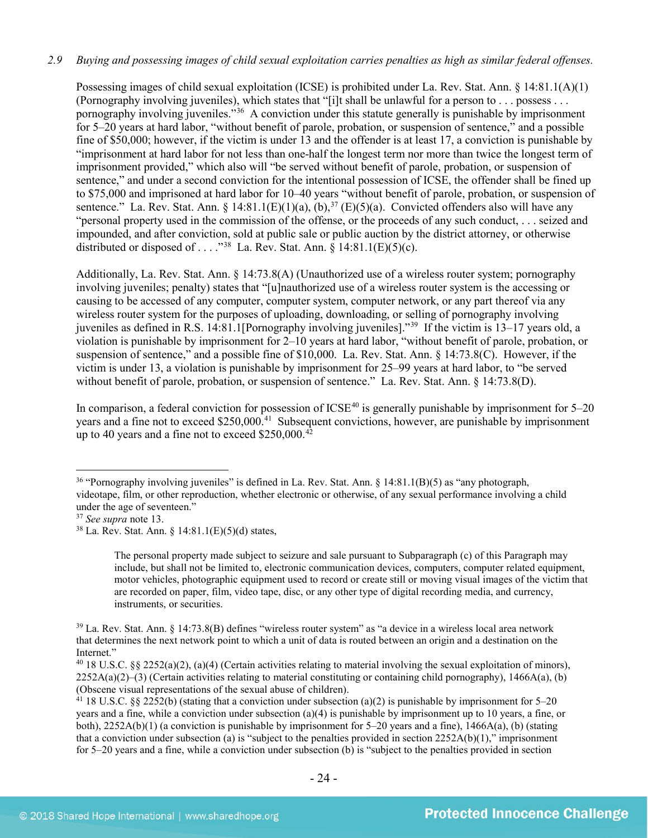# *2.9 Buying and possessing images of child sexual exploitation carries penalties as high as similar federal offenses.*

Possessing images of child sexual exploitation (ICSE) is prohibited under La. Rev. Stat. Ann. § 14:81.1(A)(1) (Pornography involving juveniles), which states that "[i]t shall be unlawful for a person to . . . possess . . . pornography involving juveniles."[36](#page-23-0) A conviction under this statute generally is punishable by imprisonment for 5–20 years at hard labor, "without benefit of parole, probation, or suspension of sentence," and a possible fine of \$50,000; however, if the victim is under 13 and the offender is at least 17, a conviction is punishable by "imprisonment at hard labor for not less than one-half the longest term nor more than twice the longest term of imprisonment provided," which also will "be served without benefit of parole, probation, or suspension of sentence," and under a second conviction for the intentional possession of ICSE, the offender shall be fined up to \$75,000 and imprisoned at hard labor for 10–40 years "without benefit of parole, probation, or suspension of sentence." La. Rev. Stat. Ann. § 14:81.1(E)(1)(a), (b),<sup>[37](#page-23-1)</sup> (E)(5)(a). Convicted offenders also will have any "personal property used in the commission of the offense, or the proceeds of any such conduct, . . . seized and impounded, and after conviction, sold at public sale or public auction by the district attorney, or otherwise distributed or disposed of . . . ."[38](#page-23-2) La. Rev. Stat. Ann. § 14:81.1(E)(5)(c).

Additionally, La. Rev. Stat. Ann. § 14:73.8(A) (Unauthorized use of a wireless router system; pornography involving juveniles; penalty) states that "[u]nauthorized use of a wireless router system is the accessing or causing to be accessed of any computer, computer system, computer network, or any part thereof via any wireless router system for the purposes of uploading, downloading, or selling of pornography involving juveniles as defined in R.S. 14:81.1[Pornography involving juveniles]."[39](#page-23-3) If the victim is 13–17 years old, a violation is punishable by imprisonment for 2–10 years at hard labor, "without benefit of parole, probation, or suspension of sentence," and a possible fine of \$10,000. La. Rev. Stat. Ann. § 14:73.8(C). However, if the victim is under 13, a violation is punishable by imprisonment for 25–99 years at hard labor, to "be served without benefit of parole, probation, or suspension of sentence." La. Rev. Stat. Ann. § 14:73.8(D).

<span id="page-23-6"></span>In comparison, a federal conviction for possession of  $ICSE<sup>40</sup>$  $ICSE<sup>40</sup>$  $ICSE<sup>40</sup>$  is generally punishable by imprisonment for  $5-20$ years and a fine not to exceed \$250,000.<sup>41</sup> Subsequent convictions, however, are punishable by imprisonment up to 40 years and a fine not to exceed \$250,000. $42$ 

<span id="page-23-0"></span><sup>&</sup>lt;sup>36</sup> "Pornography involving juveniles" is defined in La. Rev. Stat. Ann. § 14:81.1(B)(5) as "any photograph, videotape, film, or other reproduction, whether electronic or otherwise, of any sexual performance involving a child under the age of seventeen."

<span id="page-23-1"></span><sup>37</sup> *See supra* note [13.](#page-5-1)

<span id="page-23-2"></span> $38$  La. Rev. Stat. Ann. § 14:81.1(E)(5)(d) states,

The personal property made subject to seizure and sale pursuant to Subparagraph (c) of this Paragraph may include, but shall not be limited to, electronic communication devices, computers, computer related equipment, motor vehicles, photographic equipment used to record or create still or moving visual images of the victim that are recorded on paper, film, video tape, disc, or any other type of digital recording media, and currency, instruments, or securities.

<span id="page-23-3"></span><sup>&</sup>lt;sup>39</sup> La. Rev. Stat. Ann. § 14:73.8(B) defines "wireless router system" as "a device in a wireless local area network that determines the next network point to which a unit of data is routed between an origin and a destination on the Internet."

<span id="page-23-4"></span><sup>&</sup>lt;sup>40</sup> 18 U.S.C. §§ 2252(a)(2), (a)(4) (Certain activities relating to material involving the sexual exploitation of minors),  $2252A(a)(2)$ –(3) (Certain activities relating to material constituting or containing child pornography), 1466A(a), (b) (Obscene visual representations of the sexual abuse of children).

<span id="page-23-5"></span><sup>&</sup>lt;sup>41</sup> 18 U.S.C. §§ 2252(b) (stating that a conviction under subsection (a)(2) is punishable by imprisonment for 5–20 years and a fine, while a conviction under subsection (a)(4) is punishable by imprisonment up to 10 years, a fine, or both),  $2252A(b)(1)$  (a conviction is punishable by imprisonment for 5–20 years and a fine), 1466A(a), (b) (stating that a conviction under subsection (a) is "subject to the penalties provided in section  $2252A(b)(1)$ ," imprisonment for 5–20 years and a fine, while a conviction under subsection (b) is "subject to the penalties provided in section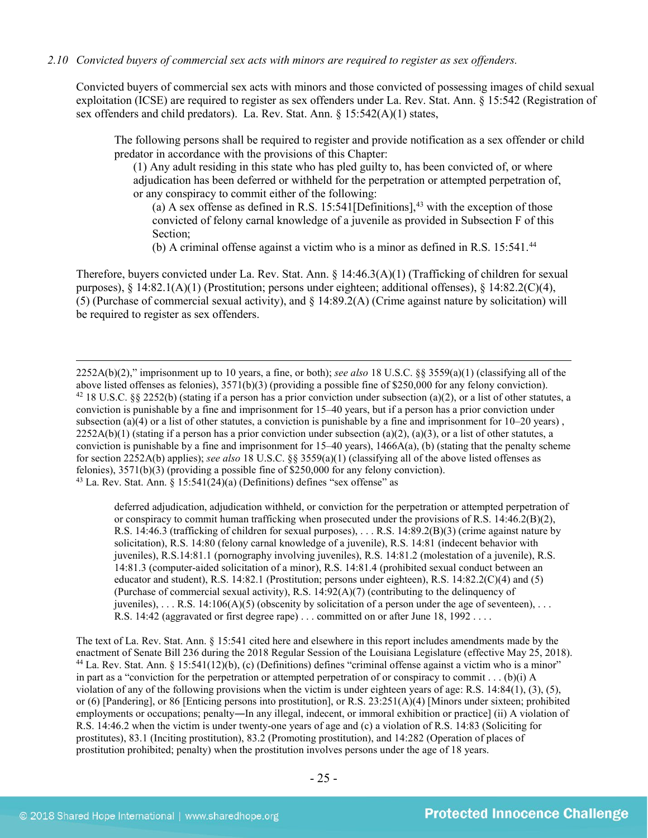#### *2.10 Convicted buyers of commercial sex acts with minors are required to register as sex offenders.*

Convicted buyers of commercial sex acts with minors and those convicted of possessing images of child sexual exploitation (ICSE) are required to register as sex offenders under La. Rev. Stat. Ann. § 15:542 (Registration of sex offenders and child predators). La. Rev. Stat. Ann. § 15:542(A)(1) states,

The following persons shall be required to register and provide notification as a sex offender or child predator in accordance with the provisions of this Chapter:

(1) Any adult residing in this state who has pled guilty to, has been convicted of, or where adjudication has been deferred or withheld for the perpetration or attempted perpetration of, or any conspiracy to commit either of the following:

(a) A sex offense as defined in R.S. 15:541 [Definitions],  $43$  with the exception of those convicted of felony carnal knowledge of a juvenile as provided in Subsection F of this Section;

(b) A criminal offense against a victim who is a minor as defined in R.S. 15:541.[44](#page-24-1)

Therefore, buyers convicted under La. Rev. Stat. Ann. § 14:46.3(A)(1) (Trafficking of children for sexual purposes), § 14:82.1(A)(1) (Prostitution; persons under eighteen; additional offenses), § 14:82.2(C)(4), (5) (Purchase of commercial sexual activity), and § 14:89.2(A) (Crime against nature by solicitation) will be required to register as sex offenders.

 2252A(b)(2)," imprisonment up to 10 years, a fine, or both); *see also* 18 U.S.C. §§ 3559(a)(1) (classifying all of the above listed offenses as felonies), 3571(b)(3) (providing a possible fine of \$250,000 for any felony conviction).  $42$  18 U.S.C. §§ 2252(b) (stating if a person has a prior conviction under subsection (a)(2), or a list of other statutes, a conviction is punishable by a fine and imprisonment for 15–40 years, but if a person has a prior conviction under subsection (a)(4) or a list of other statutes, a conviction is punishable by a fine and imprisonment for  $10-20$  years),  $2252A(b)(1)$  (stating if a person has a prior conviction under subsection (a)(2), (a)(3), or a list of other statutes, a conviction is punishable by a fine and imprisonment for  $15-40$  years),  $1466A(a)$ , (b) (stating that the penalty scheme for section 2252A(b) applies); *see also* 18 U.S.C. §§ 3559(a)(1) (classifying all of the above listed offenses as felonies), 3571(b)(3) (providing a possible fine of \$250,000 for any felony conviction).  $43$  La. Rev. Stat. Ann. § 15:541(24)(a) (Definitions) defines "sex offense" as

<span id="page-24-0"></span>deferred adjudication, adjudication withheld, or conviction for the perpetration or attempted perpetration of or conspiracy to commit human trafficking when prosecuted under the provisions of R.S.  $14:46.2(B)(2)$ , R.S. 14:46.3 (trafficking of children for sexual purposes), . . . R.S. 14:89.2(B)(3) (crime against nature by solicitation), R.S. 14:80 (felony carnal knowledge of a juvenile), R.S. 14:81 (indecent behavior with juveniles), R.S.14:81.1 (pornography involving juveniles), R.S. 14:81.2 (molestation of a juvenile), R.S. 14:81.3 (computer-aided solicitation of a minor), R.S. 14:81.4 (prohibited sexual conduct between an educator and student), R.S. 14:82.1 (Prostitution; persons under eighteen), R.S. 14:82.2(C)(4) and (5) (Purchase of commercial sexual activity), R.S. 14:92(A)(7) (contributing to the delinquency of juveniles), . . . R.S. 14:106(A)(5) (obscenity by solicitation of a person under the age of seventeen), . . . R.S. 14:42 (aggravated or first degree rape) . . . committed on or after June 18, 1992 . . . .

<span id="page-24-1"></span>The text of La. Rev. Stat. Ann. § 15:541 cited here and elsewhere in this report includes amendments made by the enactment of Senate Bill 236 during the 2018 Regular Session of the Louisiana Legislature (effective May 25, 2018). <sup>44</sup> La. Rev. Stat. Ann. § 15:541(12)(b), (c) (Definitions) defines "criminal offense against a victim who is a minor" in part as a "conviction for the perpetration or attempted perpetration of or conspiracy to commit . . . (b)(i) A violation of any of the following provisions when the victim is under eighteen years of age: R.S. 14:84(1), (3), (5), or (6) [Pandering], or 86 [Enticing persons into prostitution], or R.S. 23:251(A)(4) [Minors under sixteen; prohibited employments or occupations; penalty—In any illegal, indecent, or immoral exhibition or practice] (ii) A violation of R.S. 14:46.2 when the victim is under twenty-one years of age and (c) a violation of R.S. 14:83 (Soliciting for prostitutes), 83.1 (Inciting prostitution), 83.2 (Promoting prostitution), and 14:282 (Operation of places of prostitution prohibited; penalty) when the prostitution involves persons under the age of 18 years.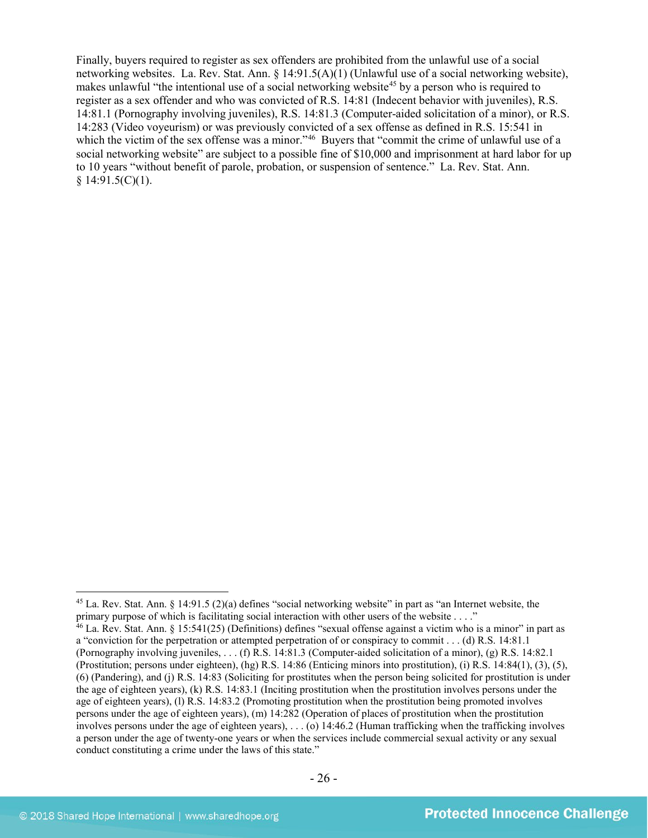<span id="page-25-3"></span><span id="page-25-2"></span>Finally, buyers required to register as sex offenders are prohibited from the unlawful use of a social networking websites. La. Rev. Stat. Ann. § 14:91.5(A)(1) (Unlawful use of a social networking website), makes unlawful "the intentional use of a social networking website<sup>[45](#page-25-0)</sup> by a person who is required to register as a sex offender and who was convicted of R.S. 14:81 (Indecent behavior with juveniles), R.S. 14:81.1 (Pornography involving juveniles), R.S. 14:81.3 (Computer-aided solicitation of a minor), or R.S. 14:283 (Video voyeurism) or was previously convicted of a sex offense as defined in R.S. 15:541 in which the victim of the sex offense was a minor."<sup>[46](#page-25-1)</sup> Buyers that "commit the crime of unlawful use of a social networking website" are subject to a possible fine of \$10,000 and imprisonment at hard labor for up to 10 years "without benefit of parole, probation, or suspension of sentence." La. Rev. Stat. Ann.  $$14:91.5(C)(1).$ 

<span id="page-25-0"></span><sup>&</sup>lt;sup>45</sup> La. Rev. Stat. Ann. § 14:91.5 (2)(a) defines "social networking website" in part as "an Internet website, the primary purpose of which is facilitating social interaction with other users of the website . . . ."

<span id="page-25-1"></span> $^{46}$  La. Rev. Stat. Ann. § 15:541(25) (Definitions) defines "sexual offense against a victim who is a minor" in part as a "conviction for the perpetration or attempted perpetration of or conspiracy to commit . . . (d) R.S. 14:81.1 (Pornography involving juveniles, . . . (f) R.S. 14:81.3 (Computer-aided solicitation of a minor), (g) R.S. 14:82.1 (Prostitution; persons under eighteen), (hg) R.S. 14:86 (Enticing minors into prostitution), (i) R.S. 14:84(1), (3), (5), (6) (Pandering), and (j) R.S. 14:83 (Soliciting for prostitutes when the person being solicited for prostitution is under the age of eighteen years), (k) R.S. 14:83.1 (Inciting prostitution when the prostitution involves persons under the age of eighteen years), (l) R.S. 14:83.2 (Promoting prostitution when the prostitution being promoted involves persons under the age of eighteen years), (m) 14:282 (Operation of places of prostitution when the prostitution involves persons under the age of eighteen years), . . . (o) 14:46.2 (Human trafficking when the trafficking involves a person under the age of twenty-one years or when the services include commercial sexual activity or any sexual conduct constituting a crime under the laws of this state."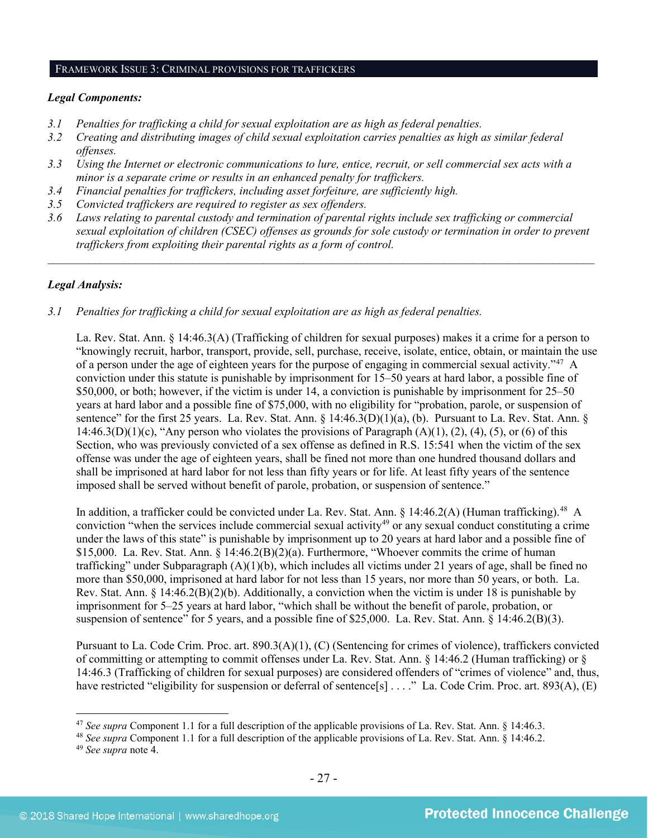#### FRAMEWORK ISSUE 3: CRIMINAL PROVISIONS FOR TRAFFICKERS

#### *Legal Components:*

- *3.1 Penalties for trafficking a child for sexual exploitation are as high as federal penalties.*
- *3.2 Creating and distributing images of child sexual exploitation carries penalties as high as similar federal offenses.*
- *3.3 Using the Internet or electronic communications to lure, entice, recruit, or sell commercial sex acts with a minor is a separate crime or results in an enhanced penalty for traffickers.*
- *3.4 Financial penalties for traffickers, including asset forfeiture, are sufficiently high.*
- *3.5 Convicted traffickers are required to register as sex offenders.*
- *3.6 Laws relating to parental custody and termination of parental rights include sex trafficking or commercial sexual exploitation of children (CSEC) offenses as grounds for sole custody or termination in order to prevent traffickers from exploiting their parental rights as a form of control.*

*\_\_\_\_\_\_\_\_\_\_\_\_\_\_\_\_\_\_\_\_\_\_\_\_\_\_\_\_\_\_\_\_\_\_\_\_\_\_\_\_\_\_\_\_\_\_\_\_\_\_\_\_\_\_\_\_\_\_\_\_\_\_\_\_\_\_\_\_\_\_\_\_\_\_\_\_\_\_\_\_\_\_\_\_\_\_\_\_\_\_\_\_\_\_*

# *Legal Analysis:*

*3.1 Penalties for trafficking a child for sexual exploitation are as high as federal penalties.*

La. Rev. Stat. Ann. § 14:46.3(A) (Trafficking of children for sexual purposes) makes it a crime for a person to "knowingly recruit, harbor, transport, provide, sell, purchase, receive, isolate, entice, obtain, or maintain the use of a person under the age of eighteen years for the purpose of engaging in commercial sexual activity."[47](#page-26-0) A conviction under this statute is punishable by imprisonment for 15–50 years at hard labor, a possible fine of \$50,000, or both; however, if the victim is under 14, a conviction is punishable by imprisonment for 25–50 years at hard labor and a possible fine of \$75,000, with no eligibility for "probation, parole, or suspension of sentence" for the first 25 years. La. Rev. Stat. Ann. § 14:46.3(D)(1)(a), (b). Pursuant to La. Rev. Stat. Ann. § 14:46.3(D)(1)(c), "Any person who violates the provisions of Paragraph  $(A)(1)$ ,  $(2)$ ,  $(4)$ ,  $(5)$ , or  $(6)$  of this Section, who was previously convicted of a sex offense as defined in R.S. 15:541 when the victim of the sex offense was under the age of eighteen years, shall be fined not more than one hundred thousand dollars and shall be imprisoned at hard labor for not less than fifty years or for life. At least fifty years of the sentence imposed shall be served without benefit of parole, probation, or suspension of sentence."

In addition, a trafficker could be convicted under La. Rev. Stat. Ann. § 14:46.2(A) (Human trafficking).<sup>[48](#page-26-1)</sup> A conviction "when the services include commercial sexual activity<sup>[49](#page-26-2)</sup> or any sexual conduct constituting a crime under the laws of this state" is punishable by imprisonment up to 20 years at hard labor and a possible fine of \$15,000. La. Rev. Stat. Ann. § 14:46.2(B)(2)(a). Furthermore, "Whoever commits the crime of human trafficking" under Subparagraph  $(A)(1)(b)$ , which includes all victims under 21 years of age, shall be fined no more than \$50,000, imprisoned at hard labor for not less than 15 years, nor more than 50 years, or both. La. Rev. Stat. Ann.  $\S$  14:46.2(B)(2)(b). Additionally, a conviction when the victim is under 18 is punishable by imprisonment for 5–25 years at hard labor, "which shall be without the benefit of parole, probation, or suspension of sentence" for 5 years, and a possible fine of \$25,000. La. Rev. Stat. Ann. § 14:46.2(B)(3).

Pursuant to La. Code Crim. Proc. art. 890.3(A)(1), (C) (Sentencing for crimes of violence), traffickers convicted of committing or attempting to commit offenses under La. Rev. Stat. Ann. § 14:46.2 (Human trafficking) or § 14:46.3 (Trafficking of children for sexual purposes) are considered offenders of "crimes of violence" and, thus, have restricted "eligibility for suspension or deferral of sentence[s] . . . ." La. Code Crim. Proc. art. 893(A), (E)

<span id="page-26-0"></span> <sup>47</sup> *See supra* Component 1.1 for a full description of the applicable provisions of La. Rev. Stat. Ann. § 14:46.3.

<span id="page-26-1"></span><sup>48</sup> *See supra* Component 1.1 for a full description of the applicable provisions of La. Rev. Stat. Ann. § 14:46.2.

<span id="page-26-2"></span><sup>49</sup> *See supra* note [4.](#page-1-2)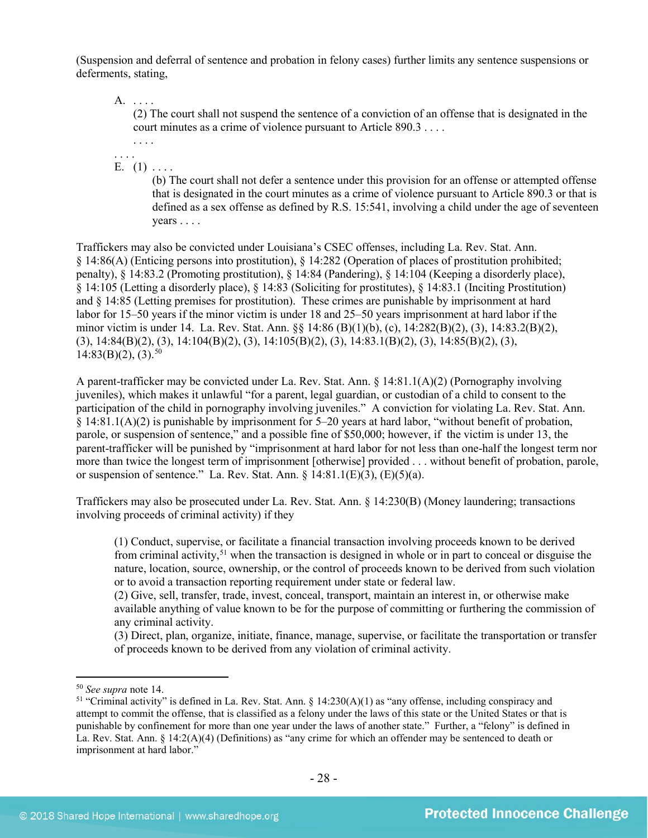(Suspension and deferral of sentence and probation in felony cases) further limits any sentence suspensions or deferments, stating,

A. . . . .

(2) The court shall not suspend the sentence of a conviction of an offense that is designated in the court minutes as a crime of violence pursuant to Article 890.3 . . . .

. . . .  $E. (1) \ldots$ 

. . . .

(b) The court shall not defer a sentence under this provision for an offense or attempted offense that is designated in the court minutes as a crime of violence pursuant to Article 890.3 or that is defined as a sex offense as defined by R.S. 15:541, involving a child under the age of seventeen years . . . .

Traffickers may also be convicted under Louisiana's CSEC offenses, including La. Rev. Stat. Ann. § 14:86(A) (Enticing persons into prostitution), § 14:282 (Operation of places of prostitution prohibited; penalty), § 14:83.2 (Promoting prostitution), § 14:84 (Pandering), § 14:104 (Keeping a disorderly place), § 14:105 (Letting a disorderly place), § 14:83 (Soliciting for prostitutes), § 14:83.1 (Inciting Prostitution) and § 14:85 (Letting premises for prostitution). These crimes are punishable by imprisonment at hard labor for 15–50 years if the minor victim is under 18 and 25–50 years imprisonment at hard labor if the minor victim is under 14. La. Rev. Stat. Ann. §§ 14:86 (B)(1)(b), (c), 14:282(B)(2), (3), 14:83.2(B)(2), (3), 14:84(B)(2), (3), 14:104(B)(2), (3), 14:105(B)(2), (3), 14:83.1(B)(2), (3), 14:85(B)(2), (3),  $14:83(B)(2)$ , (3).<sup>[50](#page-27-0)</sup>

A parent-trafficker may be convicted under La. Rev. Stat. Ann. § 14:81.1(A)(2) (Pornography involving juveniles), which makes it unlawful "for a parent, legal guardian, or custodian of a child to consent to the participation of the child in pornography involving juveniles." A conviction for violating La. Rev. Stat. Ann. § 14:81.1(A)(2) is punishable by imprisonment for 5–20 years at hard labor, "without benefit of probation, parole, or suspension of sentence," and a possible fine of \$50,000; however, if the victim is under 13, the parent-trafficker will be punished by "imprisonment at hard labor for not less than one-half the longest term nor more than twice the longest term of imprisonment [otherwise] provided . . . without benefit of probation, parole, or suspension of sentence." La. Rev. Stat. Ann.  $\S$  14:81.1(E)(3), (E)(5)(a).

Traffickers may also be prosecuted under La. Rev. Stat. Ann. § 14:230(B) (Money laundering; transactions involving proceeds of criminal activity) if they

(1) Conduct, supervise, or facilitate a financial transaction involving proceeds known to be derived from criminal activity,<sup>[51](#page-27-1)</sup> when the transaction is designed in whole or in part to conceal or disguise the nature, location, source, ownership, or the control of proceeds known to be derived from such violation or to avoid a transaction reporting requirement under state or federal law.

(2) Give, sell, transfer, trade, invest, conceal, transport, maintain an interest in, or otherwise make available anything of value known to be for the purpose of committing or furthering the commission of any criminal activity.

(3) Direct, plan, organize, initiate, finance, manage, supervise, or facilitate the transportation or transfer of proceeds known to be derived from any violation of criminal activity.

<span id="page-27-0"></span> <sup>50</sup> *See supra* note [14.](#page-7-2)

<span id="page-27-1"></span><sup>51</sup> "Criminal activity" is defined in La. Rev. Stat. Ann. § 14:230(A)(1) as "any offense, including conspiracy and attempt to commit the offense, that is classified as a felony under the laws of this state or the United States or that is punishable by confinement for more than one year under the laws of another state." Further, a "felony" is defined in La. Rev. Stat. Ann. § 14:2(A)(4) (Definitions) as "any crime for which an offender may be sentenced to death or imprisonment at hard labor."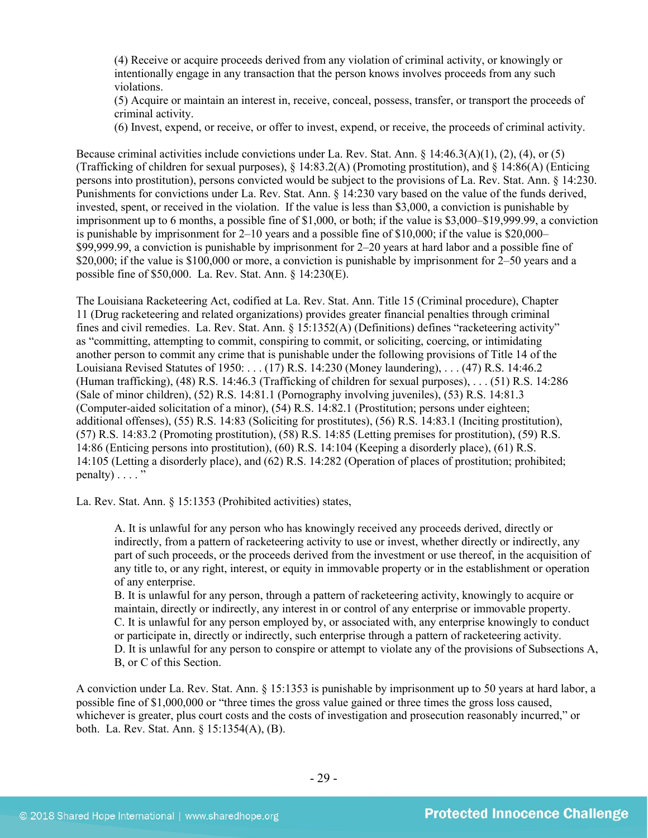(4) Receive or acquire proceeds derived from any violation of criminal activity, or knowingly or intentionally engage in any transaction that the person knows involves proceeds from any such violations.

(5) Acquire or maintain an interest in, receive, conceal, possess, transfer, or transport the proceeds of criminal activity.

(6) Invest, expend, or receive, or offer to invest, expend, or receive, the proceeds of criminal activity.

Because criminal activities include convictions under La. Rev. Stat. Ann. § 14:46.3(A)(1), (2), (4), or (5) (Trafficking of children for sexual purposes), § 14:83.2(A) (Promoting prostitution), and § 14:86(A) (Enticing persons into prostitution), persons convicted would be subject to the provisions of La. Rev. Stat. Ann. § 14:230. Punishments for convictions under La. Rev. Stat. Ann. § 14:230 vary based on the value of the funds derived, invested, spent, or received in the violation. If the value is less than \$3,000, a conviction is punishable by imprisonment up to 6 months, a possible fine of \$1,000, or both; if the value is \$3,000–\$19,999.99, a conviction is punishable by imprisonment for 2–10 years and a possible fine of \$10,000; if the value is \$20,000– \$99,999.99, a conviction is punishable by imprisonment for 2–20 years at hard labor and a possible fine of \$20,000; if the value is \$100,000 or more, a conviction is punishable by imprisonment for 2–50 years and a possible fine of \$50,000. La. Rev. Stat. Ann. § 14:230(E).

The Louisiana Racketeering Act, codified at La. Rev. Stat. Ann. Title 15 (Criminal procedure), Chapter 11 (Drug racketeering and related organizations) provides greater financial penalties through criminal fines and civil remedies. La. Rev. Stat. Ann. § 15:1352(A) (Definitions) defines "racketeering activity" as "committing, attempting to commit, conspiring to commit, or soliciting, coercing, or intimidating another person to commit any crime that is punishable under the following provisions of Title 14 of the Louisiana Revised Statutes of 1950: . . . (17) [R.S. 14:230](https://owa.regent.edu/owa/redir.aspx?C=0e2d79adea07471dbdda445e0bdec5a1&URL=https%3a%2f%2fwww.lexis.com%2fresearch%2fbuttonTFLink%3f_m%3d77bedd41a1d353e2f7fb983c7e7d9776%26_xfercite%3d%253ccite%2520cc%253d%2522USA%2522%253e%253c%2521%255bCDATA%255bLa.%2520R.S.%252015%253a1352%255d%255d%253e%253c%252fcite%253e%26_butType%3d4%26_butStat%3d0%26_butNum%3d17%26_butInline%3d1%26_butinfo%3dLACODE%252014%253a230%26_fmtstr%3dFULL%26docnum%3d1%26_startdoc%3d1%26wchp%3ddGLbVzS-zSkAA%26_md5%3d250b0b7bf18842c9490cfcc3fc704d6e) (Money laundering), . . . (47) R.S. 14:46.2 (Human trafficking), (48) R.S. 14:46.3 (Trafficking of children for sexual purposes), . . . (51) R.S. 14:286 (Sale of minor children), (52) R.S. 14:81.1 (Pornography involving juveniles), (53) R.S. 14:81.3 (Computer-aided solicitation of a minor), (54) R.S. 14:82.1 (Prostitution; persons under eighteen; additional offenses), (55) R.S. 14:83 (Soliciting for prostitutes), (56) R.S. 14:83.1 (Inciting prostitution), (57) R.S. 14:83.2 (Promoting prostitution), (58) R.S. 14:85 (Letting premises for prostitution), (59) R.S. 14:86 (Enticing persons into prostitution), (60) R.S. 14:104 (Keeping a disorderly place), (61) R.S. 14:105 (Letting a disorderly place), and (62) R.S. 14:282 (Operation of places of prostitution; prohibited;  $penalty$ )  $\ldots$  .  $\overline{y}$ 

La. Rev. Stat. Ann. § 15:1353 (Prohibited activities) states,

A. It is unlawful for any person who has knowingly received any proceeds derived, directly or indirectly, from a pattern of racketeering activity to use or invest, whether directly or indirectly, any part of such proceeds, or the proceeds derived from the investment or use thereof, in the acquisition of any title to, or any right, interest, or equity in immovable property or in the establishment or operation of any enterprise.

B. It is unlawful for any person, through a pattern of racketeering activity, knowingly to acquire or maintain, directly or indirectly, any interest in or control of any enterprise or immovable property. C. It is unlawful for any person employed by, or associated with, any enterprise knowingly to conduct or participate in, directly or indirectly, such enterprise through a pattern of racketeering activity. D. It is unlawful for any person to conspire or attempt to violate any of the provisions of Subsections A, B, or C of this Section.

A conviction under La. Rev. Stat. Ann. § 15:1353 is punishable by imprisonment up to 50 years at hard labor, a possible fine of \$1,000,000 or "three times the gross value gained or three times the gross loss caused, whichever is greater, plus court costs and the costs of investigation and prosecution reasonably incurred," or both. La. Rev. Stat. Ann. § 15:1354(A), (B).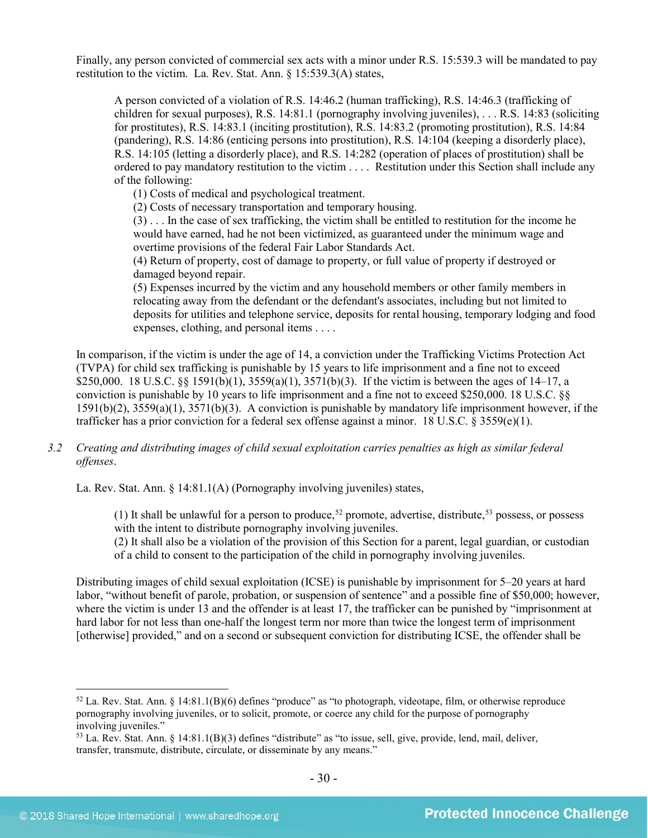Finally, any person convicted of commercial sex acts with a minor under R.S. 15:539.3 will be mandated to pay restitution to the victim. La. Rev. Stat. Ann. § 15:539.3(A) states,

A person convicted of a violation of R.S. 14:46.2 (human trafficking), R.S. 14:46.3 (trafficking of children for sexual purposes), R.S. 14:81.1 (pornography involving juveniles), . . . R.S. 14:83 (soliciting for prostitutes), R.S. 14:83.1 (inciting prostitution), R.S. 14:83.2 (promoting prostitution), R.S. 14:84 (pandering), R.S. 14:86 (enticing persons into prostitution), R.S. 14:104 (keeping a disorderly place), R.S. 14:105 (letting a disorderly place), and R.S. 14:282 (operation of places of prostitution) shall be ordered to pay mandatory restitution to the victim . . . . Restitution under this Section shall include any of the following:

(1) Costs of medical and psychological treatment.

(2) Costs of necessary transportation and temporary housing.

(3) . . . In the case of sex trafficking, the victim shall be entitled to restitution for the income he would have earned, had he not been victimized, as guaranteed under the minimum wage and overtime provisions of the federal Fair Labor Standards Act.

(4) Return of property, cost of damage to property, or full value of property if destroyed or damaged beyond repair.

(5) Expenses incurred by the victim and any household members or other family members in relocating away from the defendant or the defendant's associates, including but not limited to deposits for utilities and telephone service, deposits for rental housing, temporary lodging and food expenses, clothing, and personal items . . . .

In comparison, if the victim is under the age of 14, a conviction under the Trafficking Victims Protection Act (TVPA) for child sex trafficking is punishable by 15 years to life imprisonment and a fine not to exceed \$250,000. 18 U.S.C. §§ 1591(b)(1),  $3559(a)(1)$ ,  $3571(b)(3)$ . If the victim is between the ages of 14–17, a conviction is punishable by 10 years to life imprisonment and a fine not to exceed \$250,000. 18 U.S.C. §§ 1591(b)(2), 3559(a)(1), 3571(b)(3). A conviction is punishable by mandatory life imprisonment however, if the trafficker has a prior conviction for a federal sex offense against a minor. 18 U.S.C. § 3559(e)(1).

# *3.2 Creating and distributing images of child sexual exploitation carries penalties as high as similar federal offenses*.

La. Rev. Stat. Ann. § 14:81.1(A) (Pornography involving juveniles) states,

(1) It shall be unlawful for a person to produce,  $52$  promote, advertise, distribute,  $53$  possess, or possess with the intent to distribute pornography involving juveniles.

(2) It shall also be a violation of the provision of this Section for a parent, legal guardian, or custodian of a child to consent to the participation of the child in pornography involving juveniles.

Distributing images of child sexual exploitation (ICSE) is punishable by imprisonment for 5–20 years at hard labor, "without benefit of parole, probation, or suspension of sentence" and a possible fine of \$50,000; however, where the victim is under 13 and the offender is at least 17, the trafficker can be punished by "imprisonment at hard labor for not less than one-half the longest term nor more than twice the longest term of imprisonment [otherwise] provided," and on a second or subsequent conviction for distributing ICSE, the offender shall be

<span id="page-29-0"></span> $52$  La. Rev. Stat. Ann. § 14:81.1(B)(6) defines "produce" as "to photograph, videotape, film, or otherwise reproduce pornography involving juveniles, or to solicit, promote, or coerce any child for the purpose of pornography involving juveniles."

<span id="page-29-1"></span> $53$  La. Rev. Stat. Ann. § 14:81.1(B)(3) defines "distribute" as "to issue, sell, give, provide, lend, mail, deliver, transfer, transmute, distribute, circulate, or disseminate by any means."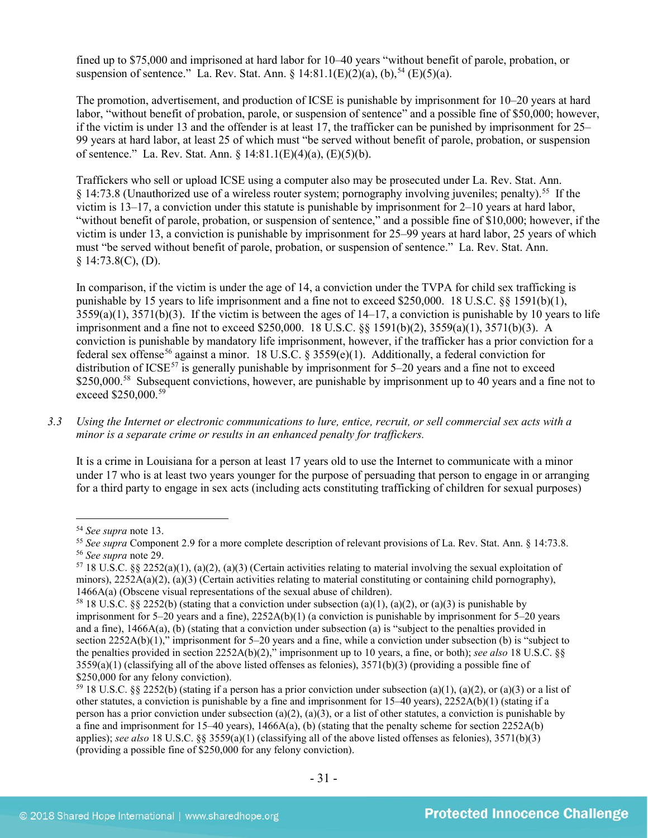fined up to \$75,000 and imprisoned at hard labor for 10–40 years "without benefit of parole, probation, or suspension of sentence." La. Rev. Stat. Ann.  $\S$  14:81.1(E)(2)(a), (b),  $54$  (E)(5)(a).

The promotion, advertisement, and production of ICSE is punishable by imprisonment for 10–20 years at hard labor, "without benefit of probation, parole, or suspension of sentence" and a possible fine of \$50,000; however, if the victim is under 13 and the offender is at least 17, the trafficker can be punished by imprisonment for 25– 99 years at hard labor, at least 25 of which must "be served without benefit of parole, probation, or suspension of sentence." La. Rev. Stat. Ann. § 14:81.1(E)(4)(a), (E)(5)(b).

Traffickers who sell or upload ICSE using a computer also may be prosecuted under La. Rev. Stat. Ann. § 14:73.8 (Unauthorized use of a wireless router system; pornography involving juveniles; penalty)[.55](#page-30-1) If the victim is 13–17, a conviction under this statute is punishable by imprisonment for 2–10 years at hard labor, "without benefit of parole, probation, or suspension of sentence," and a possible fine of \$10,000; however, if the victim is under 13, a conviction is punishable by imprisonment for 25–99 years at hard labor, 25 years of which must "be served without benefit of parole, probation, or suspension of sentence." La. Rev. Stat. Ann.  $§$  14:73.8(C), (D).

In comparison, if the victim is under the age of 14, a conviction under the TVPA for child sex trafficking is punishable by 15 years to life imprisonment and a fine not to exceed \$250,000. 18 U.S.C. §§ 1591(b)(1), 3559(a)(1), 3571(b)(3). If the victim is between the ages of 14–17, a conviction is punishable by 10 years to life imprisonment and a fine not to exceed \$250,000. 18 U.S.C. §§ 1591(b)(2), 3559(a)(1), 3571(b)(3). A conviction is punishable by mandatory life imprisonment, however, if the trafficker has a prior conviction for a federal sex offense<sup>[56](#page-30-2)</sup> against a minor. 18 U.S.C. § 3559(e)(1). Additionally, a federal conviction for distribution of ICSE<sup>[57](#page-30-3)</sup> is generally punishable by imprisonment for  $5-20$  years and a fine not to exceed \$250,000.<sup>[58](#page-30-4)</sup> Subsequent convictions, however, are punishable by imprisonment up to 40 years and a fine not to exceed \$250,000.<sup>[59](#page-30-5)</sup>

*3.3 Using the Internet or electronic communications to lure, entice, recruit, or sell commercial sex acts with a minor is a separate crime or results in an enhanced penalty for traffickers.*

It is a crime in Louisiana for a person at least 17 years old to use the Internet to communicate with a minor under 17 who is at least two years younger for the purpose of persuading that person to engage in or arranging for a third party to engage in sex acts (including acts constituting trafficking of children for sexual purposes)

<span id="page-30-0"></span> <sup>54</sup> *See supra* note [13.](#page-5-1)

<span id="page-30-2"></span><span id="page-30-1"></span><sup>&</sup>lt;sup>55</sup> See supra Component 2.9 for a more complete description of relevant provisions of La. Rev. Stat. Ann. § 14:73.8. <sup>56</sup> *See supra* note [29.](#page-17-4)

<span id="page-30-3"></span> $57\,18$  U.S.C. §§ 2252(a)(1), (a)(2), (a)(3) (Certain activities relating to material involving the sexual exploitation of minors),  $2252A(a)(2)$ ,  $(a)(3)$  (Certain activities relating to material constituting or containing child pornography), 1466A(a) (Obscene visual representations of the sexual abuse of children).<br><sup>58</sup> 18 U.S.C. §§ 2252(b) (stating that a conviction under subsection (a)(1), (a)(2), or (a)(3) is punishable by

<span id="page-30-4"></span>imprisonment for 5–20 years and a fine), 2252A(b)(1) (a conviction is punishable by imprisonment for 5–20 years and a fine), 1466A(a), (b) (stating that a conviction under subsection (a) is "subject to the penalties provided in section 2252A(b)(1)," imprisonment for 5–20 years and a fine, while a conviction under subsection (b) is "subject to the penalties provided in section 2252A(b)(2)," imprisonment up to 10 years, a fine, or both); *see also* 18 U.S.C. §§ 3559(a)(1) (classifying all of the above listed offenses as felonies), 3571(b)(3) (providing a possible fine of \$250,000 for any felony conviction).<br><sup>59</sup> 18 U.S.C. §§ 2252(b) (stating if a person has a prior conviction under subsection (a)(1), (a)(2), or (a)(3) or a list of

<span id="page-30-5"></span>other statutes, a conviction is punishable by a fine and imprisonment for  $15-40$  years),  $2252A(b)(1)$  (stating if a person has a prior conviction under subsection (a)(2), (a)(3), or a list of other statutes, a conviction is punishable by a fine and imprisonment for 15–40 years),  $1466A(a)$ , (b) (stating that the penalty scheme for section 2252A(b) applies); *see also* 18 U.S.C. §§ 3559(a)(1) (classifying all of the above listed offenses as felonies), 3571(b)(3) (providing a possible fine of \$250,000 for any felony conviction).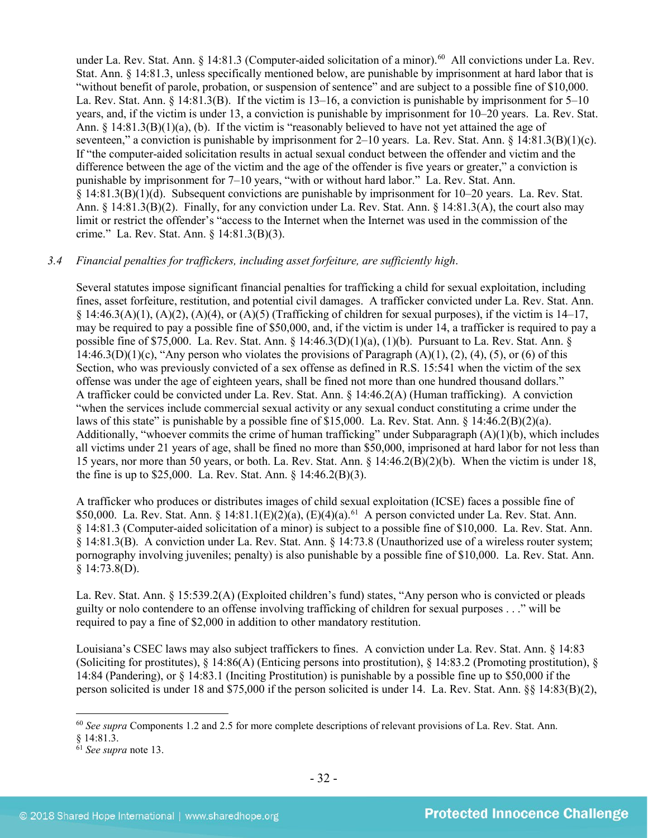under La. Rev. Stat. Ann. § 14:81.3 (Computer-aided solicitation of a minor).<sup>60</sup> All convictions under La. Rev. Stat. Ann. § 14:81.3, unless specifically mentioned below, are punishable by imprisonment at hard labor that is "without benefit of parole, probation, or suspension of sentence" and are subject to a possible fine of \$10,000. La. Rev. Stat. Ann. § 14:81.3(B). If the victim is 13–16, a conviction is punishable by imprisonment for 5–10 years, and, if the victim is under 13, a conviction is punishable by imprisonment for 10–20 years. La. Rev. Stat. Ann.  $\S$  14:81.3(B)(1)(a), (b). If the victim is "reasonably believed to have not yet attained the age of seventeen," a conviction is punishable by imprisonment for 2–10 years. La. Rev. Stat. Ann. § 14:81.3(B)(1)(c). If "the computer-aided solicitation results in actual sexual conduct between the offender and victim and the difference between the age of the victim and the age of the offender is five years or greater," a conviction is punishable by imprisonment for 7–10 years, "with or without hard labor." La. Rev. Stat. Ann. § 14:81.3(B)(1)(d). Subsequent convictions are punishable by imprisonment for 10–20 years. La. Rev. Stat. Ann. § 14:81.3(B)(2). Finally, for any conviction under La. Rev. Stat. Ann. § 14:81.3(A), the court also may limit or restrict the offender's "access to the Internet when the Internet was used in the commission of the crime." La. Rev. Stat. Ann. § 14:81.3(B)(3).

# *3.4 Financial penalties for traffickers, including asset forfeiture, are sufficiently high*.

Several statutes impose significant financial penalties for trafficking a child for sexual exploitation, including fines, asset forfeiture, restitution, and potential civil damages. A trafficker convicted under La. Rev. Stat. Ann. § 14:46.3(A)(1), (A)(2), (A)(4), or (A)(5) (Trafficking of children for sexual purposes), if the victim is 14–17, may be required to pay a possible fine of \$50,000, and, if the victim is under 14, a trafficker is required to pay a possible fine of \$75,000. La. Rev. Stat. Ann. § 14:46.3(D)(1)(a), (1)(b). Pursuant to La. Rev. Stat. Ann. § 14:46.3(D)(1)(c), "Any person who violates the provisions of Paragraph  $(A)(1)$ ,  $(2)$ ,  $(4)$ ,  $(5)$ , or  $(6)$  of this Section, who was previously convicted of a sex offense as defined in R.S. 15:541 when the victim of the sex offense was under the age of eighteen years, shall be fined not more than one hundred thousand dollars." A trafficker could be convicted under La. Rev. Stat. Ann. § 14:46.2(A) (Human trafficking). A conviction "when the services include commercial sexual activity or any sexual conduct constituting a crime under the laws of this state" is punishable by a possible fine of \$15,000. La. Rev. Stat. Ann. § 14:46.2(B)(2)(a). Additionally, "whoever commits the crime of human trafficking" under Subparagraph (A)(1)(b), which includes all victims under 21 years of age, shall be fined no more than \$50,000, imprisoned at hard labor for not less than 15 years, nor more than 50 years, or both. La. Rev. Stat. Ann. § 14:46.2(B)(2)(b). When the victim is under 18, the fine is up to \$25,000. La. Rev. Stat. Ann. § 14:46.2(B)(3).

A trafficker who produces or distributes images of child sexual exploitation (ICSE) faces a possible fine of \$50,000. La. Rev. Stat. Ann. § 14:81.1(E)(2)(a), (E)(4)(a).<sup>61</sup> A person convicted under La. Rev. Stat. Ann. § 14:81.3 (Computer-aided solicitation of a minor) is subject to a possible fine of \$10,000. La. Rev. Stat. Ann. § 14:81.3(B). A conviction under La. Rev. Stat. Ann. § 14:73.8 (Unauthorized use of a wireless router system; pornography involving juveniles; penalty) is also punishable by a possible fine of \$10,000. La. Rev. Stat. Ann.  $§$  14:73.8(D).

La. Rev. Stat. Ann. § 15:539.2(A) (Exploited children's fund) states, "Any person who is convicted or pleads guilty or nolo contendere to an offense involving trafficking of children for sexual purposes . . ." will be required to pay a fine of \$2,000 in addition to other mandatory restitution.

Louisiana's CSEC laws may also subject traffickers to fines. A conviction under La. Rev. Stat. Ann. § 14:83 (Soliciting for prostitutes),  $\S$  14:86(A) (Enticing persons into prostitution),  $\S$  14:83.2 (Promoting prostitution),  $\S$ 14:84 (Pandering), or § 14:83.1 (Inciting Prostitution) is punishable by a possible fine up to \$50,000 if the person solicited is under 18 and \$75,000 if the person solicited is under 14. La. Rev. Stat. Ann. §§ 14:83(B)(2),

<span id="page-31-0"></span> <sup>60</sup> *See supra* Components 1.2 and 2.5 for more complete descriptions of relevant provisions of La. Rev. Stat. Ann. § 14:81.3.

<span id="page-31-1"></span><sup>61</sup> *See supra* note [13.](#page-5-1)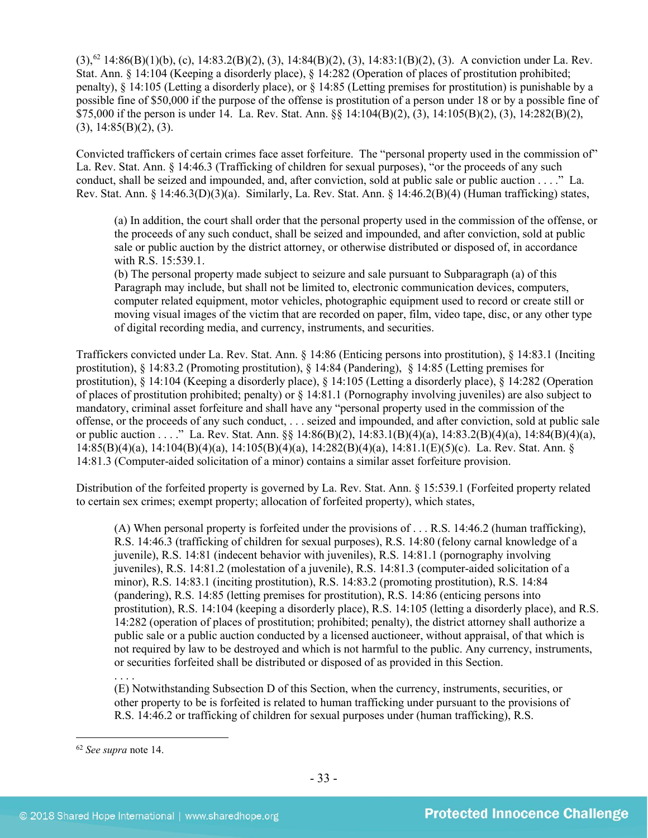$(3)$ ,<sup>[62](#page-32-0)</sup> 14:86(B)(1)(b), (c), 14:83.2(B)(2), (3), 14:84(B)(2), (3), 14:83:1(B)(2), (3). A conviction under La. Rev. Stat. Ann. § 14:104 (Keeping a disorderly place), § 14:282 (Operation of places of prostitution prohibited; penalty), § 14:105 (Letting a disorderly place), or § 14:85 (Letting premises for prostitution) is punishable by a possible fine of \$50,000 if the purpose of the offense is prostitution of a person under 18 or by a possible fine of \$75,000 if the person is under 14. La. Rev. Stat. Ann. §§ 14:104(B)(2), (3), 14:105(B)(2), (3), 14:282(B)(2),  $(3)$ , 14:85 $(B)(2)$ ,  $(3)$ .

Convicted traffickers of certain crimes face asset forfeiture. The "personal property used in the commission of" La. Rev. Stat. Ann. § 14:46.3 (Trafficking of children for sexual purposes), "or the proceeds of any such conduct, shall be seized and impounded, and, after conviction, sold at public sale or public auction . . . ." La. Rev. Stat. Ann. § 14:46.3(D)(3)(a). Similarly, La. Rev. Stat. Ann. § 14:46.2(B)(4) (Human trafficking) states,

(a) In addition, the court shall order that the personal property used in the commission of the offense, or the proceeds of any such conduct, shall be seized and impounded, and after conviction, sold at public sale or public auction by the district attorney, or otherwise distributed or disposed of, in accordance with R.S. 15:539.1.

(b) The personal property made subject to seizure and sale pursuant to Subparagraph (a) of this Paragraph may include, but shall not be limited to, electronic communication devices, computers, computer related equipment, motor vehicles, photographic equipment used to record or create still or moving visual images of the victim that are recorded on paper, film, video tape, disc, or any other type of digital recording media, and currency, instruments, and securities.

Traffickers convicted under La. Rev. Stat. Ann. § 14:86 (Enticing persons into prostitution), § 14:83.1 (Inciting prostitution), § 14:83.2 (Promoting prostitution), § 14:84 (Pandering), § 14:85 (Letting premises for prostitution), § 14:104 (Keeping a disorderly place), § 14:105 (Letting a disorderly place), § 14:282 (Operation of places of prostitution prohibited; penalty) or § 14:81.1 (Pornography involving juveniles) are also subject to mandatory, criminal asset forfeiture and shall have any "personal property used in the commission of the offense, or the proceeds of any such conduct, . . . seized and impounded, and after conviction, sold at public sale or public auction . . . ." La. Rev. Stat. Ann. §§ 14:86(B)(2), 14:83.1(B)(4)(a), 14:83.2(B)(4)(a), 14:84(B)(4)(a), 14:85(B)(4)(a), 14:104(B)(4)(a), 14:105(B)(4)(a), 14:282(B)(4)(a), 14:81.1(E)(5)(c). La. Rev. Stat. Ann. § 14:81.3 (Computer-aided solicitation of a minor) contains a similar asset forfeiture provision.

Distribution of the forfeited property is governed by La. Rev. Stat. Ann. § 15:539.1 (Forfeited property related to certain sex crimes; exempt property; allocation of forfeited property), which states,

(A) When personal property is forfeited under the provisions of . . . R.S. 14:46.2 (human trafficking), R.S. 14:46.3 (trafficking of children for sexual purposes), R.S. 14:80 (felony carnal knowledge of a juvenile), R.S. 14:81 (indecent behavior with juveniles), R.S. 14:81.1 (pornography involving juveniles), R.S. 14:81.2 (molestation of a juvenile), R.S. 14:81.3 (computer-aided solicitation of a minor), R.S. 14:83.1 (inciting prostitution), R.S. 14:83.2 (promoting prostitution), R.S. 14:84 (pandering), R.S. 14:85 (letting premises for prostitution), R.S. 14:86 (enticing persons into prostitution), R.S. 14:104 (keeping a disorderly place), R.S. 14:105 (letting a disorderly place), and R.S. 14:282 (operation of places of prostitution; prohibited; penalty), the district attorney shall authorize a public sale or a public auction conducted by a licensed auctioneer, without appraisal, of that which is not required by law to be destroyed and which is not harmful to the public. Any currency, instruments, or securities forfeited shall be distributed or disposed of as provided in this Section.

(E) Notwithstanding Subsection D of this Section, when the currency, instruments, securities, or other property to be is forfeited is related to human trafficking under pursuant to the provisions of R.S. 14:46.2 or trafficking of children for sexual purposes under (human trafficking), R.S.

. . . .

<span id="page-32-0"></span> <sup>62</sup> *See supra* note [14.](#page-7-2)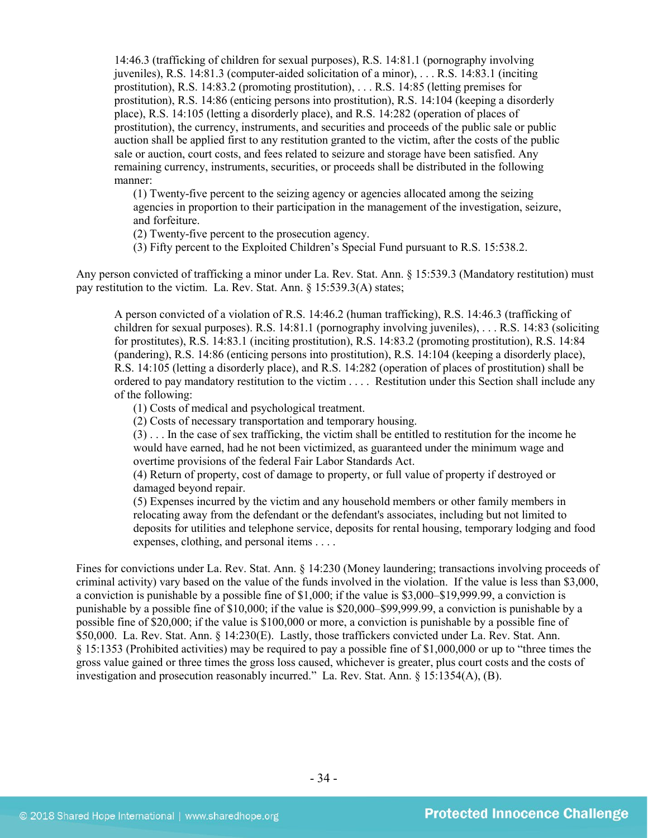14:46.3 (trafficking of children for sexual purposes), R.S. 14:81.1 (pornography involving juveniles), R.S. 14:81.3 (computer-aided solicitation of a minor), . . . R.S. 14:83.1 (inciting prostitution), R.S. 14:83.2 (promoting prostitution), . . . R.S. 14:85 (letting premises for prostitution), R.S. 14:86 (enticing persons into prostitution), R.S. 14:104 (keeping a disorderly place), R.S. 14:105 (letting a disorderly place), and R.S. 14:282 (operation of places of prostitution), the currency, instruments, and securities and proceeds of the public sale or public auction shall be applied first to any restitution granted to the victim, after the costs of the public sale or auction, court costs, and fees related to seizure and storage have been satisfied. Any remaining currency, instruments, securities, or proceeds shall be distributed in the following manner:

(1) Twenty-five percent to the seizing agency or agencies allocated among the seizing agencies in proportion to their participation in the management of the investigation, seizure, and forfeiture.

(2) Twenty-five percent to the prosecution agency.

(3) Fifty percent to the Exploited Children's Special Fund pursuant to R.S. 15:538.2.

Any person convicted of trafficking a minor under La. Rev. Stat. Ann. § 15:539.3 (Mandatory restitution) must pay restitution to the victim. La. Rev. Stat. Ann. § 15:539.3(A) states;

A person convicted of a violation of R.S. 14:46.2 (human trafficking), R.S. 14:46.3 (trafficking of children for sexual purposes). R.S. 14:81.1 (pornography involving juveniles), . . . R.S. 14:83 (soliciting for prostitutes), R.S. 14:83.1 (inciting prostitution), R.S. 14:83.2 (promoting prostitution), R.S. 14:84 (pandering), R.S. 14:86 (enticing persons into prostitution), R.S. 14:104 (keeping a disorderly place), R.S. 14:105 (letting a disorderly place), and R.S. 14:282 (operation of places of prostitution) shall be ordered to pay mandatory restitution to the victim . . . . Restitution under this Section shall include any of the following:

(1) Costs of medical and psychological treatment.

(2) Costs of necessary transportation and temporary housing.

(3) . . . In the case of sex trafficking, the victim shall be entitled to restitution for the income he would have earned, had he not been victimized, as guaranteed under the minimum wage and overtime provisions of the federal Fair Labor Standards Act.

(4) Return of property, cost of damage to property, or full value of property if destroyed or damaged beyond repair.

(5) Expenses incurred by the victim and any household members or other family members in relocating away from the defendant or the defendant's associates, including but not limited to deposits for utilities and telephone service, deposits for rental housing, temporary lodging and food expenses, clothing, and personal items . . . .

Fines for convictions under La. Rev. Stat. Ann. § 14:230 (Money laundering; transactions involving proceeds of criminal activity) vary based on the value of the funds involved in the violation. If the value is less than \$3,000, a conviction is punishable by a possible fine of \$1,000; if the value is \$3,000–\$19,999.99, a conviction is punishable by a possible fine of \$10,000; if the value is \$20,000–\$99,999.99, a conviction is punishable by a possible fine of \$20,000; if the value is \$100,000 or more, a conviction is punishable by a possible fine of \$50,000. La. Rev. Stat. Ann. § 14:230(E). Lastly, those traffickers convicted under La. Rev. Stat. Ann. § 15:1353 (Prohibited activities) may be required to pay a possible fine of \$1,000,000 or up to "three times the gross value gained or three times the gross loss caused, whichever is greater, plus court costs and the costs of investigation and prosecution reasonably incurred." La. Rev. Stat. Ann. § 15:1354(A), (B).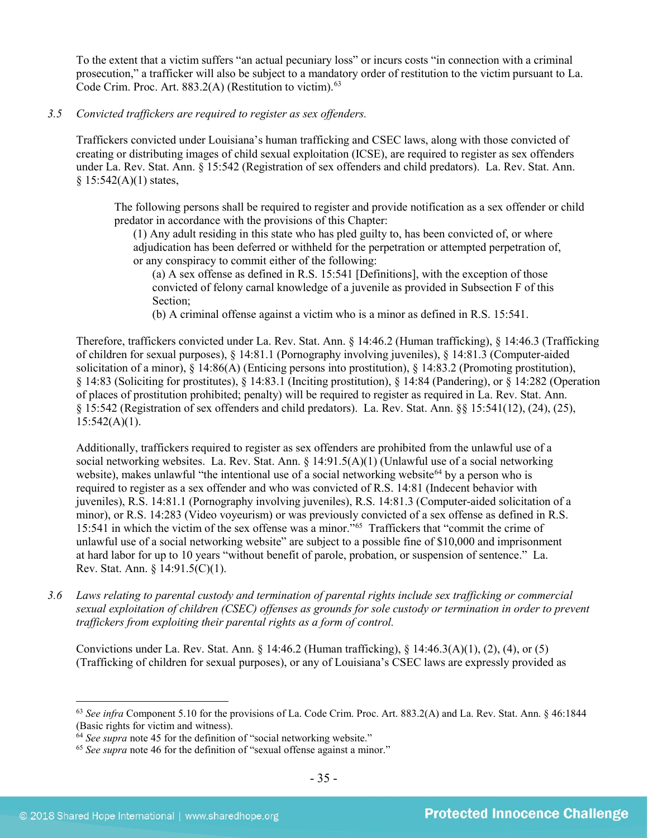To the extent that a victim suffers "an actual pecuniary loss" or incurs costs "in connection with a criminal prosecution," a trafficker will also be subject to a mandatory order of restitution to the victim pursuant to La. Code Crim. Proc. Art.  $883.2(A)$  (Restitution to victim).<sup>63</sup>

### *3.5 Convicted traffickers are required to register as sex offenders.*

Traffickers convicted under Louisiana's human trafficking and CSEC laws, along with those convicted of creating or distributing images of child sexual exploitation (ICSE), are required to register as sex offenders under La. Rev. Stat. Ann. § 15:542 (Registration of sex offenders and child predators). La. Rev. Stat. Ann.  $§ 15:542(A)(1)$  states,

The following persons shall be required to register and provide notification as a sex offender or child predator in accordance with the provisions of this Chapter:

(1) Any adult residing in this state who has pled guilty to, has been convicted of, or where adjudication has been deferred or withheld for the perpetration or attempted perpetration of, or any conspiracy to commit either of the following:

(a) A sex offense as defined in R.S. 15:541 [Definitions], with the exception of those convicted of felony carnal knowledge of a juvenile as provided in Subsection F of this Section;

(b) A criminal offense against a victim who is a minor as defined in R.S. 15:541.

Therefore, traffickers convicted under La. Rev. Stat. Ann. § 14:46.2 (Human trafficking), § 14:46.3 (Trafficking of children for sexual purposes), § 14:81.1 (Pornography involving juveniles), § 14:81.3 (Computer-aided solicitation of a minor), § 14:86(A) (Enticing persons into prostitution), § 14:83.2 (Promoting prostitution), § 14:83 (Soliciting for prostitutes), § 14:83.1 (Inciting prostitution), § 14:84 (Pandering), or § 14:282 (Operation of places of prostitution prohibited; penalty) will be required to register as required in La. Rev. Stat. Ann. § 15:542 (Registration of sex offenders and child predators). La. Rev. Stat. Ann. §§ 15:541(12), (24), (25),  $15:542(A)(1)$ .

Additionally, traffickers required to register as sex offenders are prohibited from the unlawful use of a social networking websites. La. Rev. Stat. Ann. § 14:91.5(A)(1) (Unlawful use of a social networking website), makes unlawful "the intentional use of a social networking website<sup>[64](#page-34-1)</sup> by a person who is required to register as a sex offender and who was convicted of R.S. 14:81 (Indecent behavior with juveniles), R.S. 14:81.1 (Pornography involving juveniles), R.S. 14:81.3 (Computer-aided solicitation of a minor), or R.S. 14:283 (Video voyeurism) or was previously convicted of a sex offense as defined in R.S. 15:541 in which the victim of the sex offense was a minor."[65](#page-34-2) Traffickers that "commit the crime of unlawful use of a social networking website" are subject to a possible fine of \$10,000 and imprisonment at hard labor for up to 10 years "without benefit of parole, probation, or suspension of sentence." La. Rev. Stat. Ann. § 14:91.5(C)(1).

*3.6 Laws relating to parental custody and termination of parental rights include sex trafficking or commercial sexual exploitation of children (CSEC) offenses as grounds for sole custody or termination in order to prevent traffickers from exploiting their parental rights as a form of control.*

Convictions under La. Rev. Stat. Ann. § 14:46.2 (Human trafficking), § 14:46.3(A)(1), (2), (4), or (5) (Trafficking of children for sexual purposes), or any of Louisiana's CSEC laws are expressly provided as

<span id="page-34-0"></span> <sup>63</sup> *See infra* Component 5.10 for the provisions of La. Code Crim. Proc. Art. 883.2(A) and La. Rev. Stat. Ann. § 46:1844 (Basic rights for victim and witness).

<span id="page-34-1"></span><sup>&</sup>lt;sup>64</sup> See supra note [45](#page-25-2) for the definition of "social networking website."

<span id="page-34-2"></span><sup>65</sup> *See supra* note [46](#page-25-3) for the definition of "sexual offense against a minor."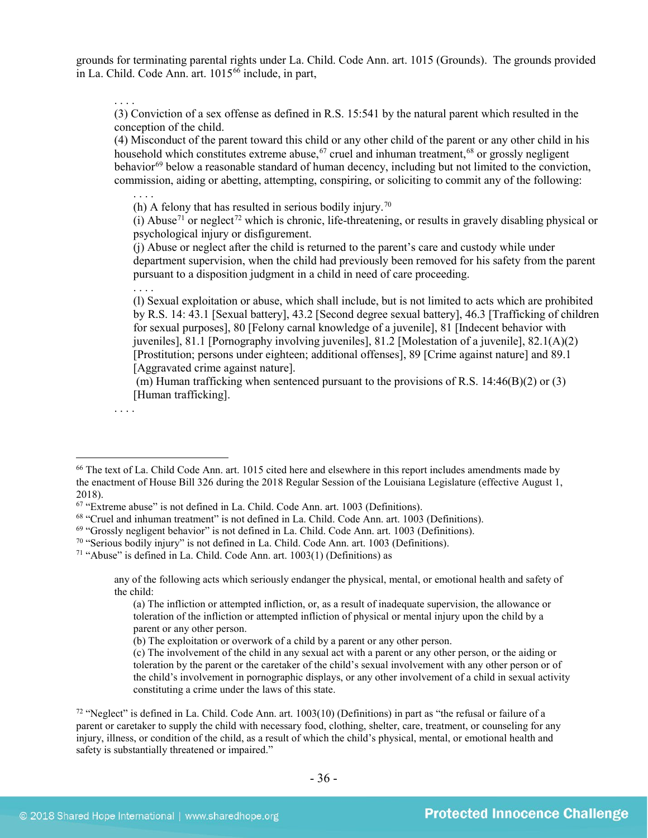grounds for terminating parental rights under La. Child. Code Ann. art. 1015 (Grounds). The grounds provided in La. Child. Code Ann. art. 1015[66](#page-35-0) include, in part,

(3) Conviction of a sex offense as defined in R.S. 15:541 by the natural parent which resulted in the conception of the child.

(4) Misconduct of the parent toward this child or any other child of the parent or any other child in his household which constitutes extreme abuse,<sup>[67](#page-35-1)</sup> cruel and inhuman treatment,<sup>[68](#page-35-2)</sup> or grossly negligent behavior<sup>[69](#page-35-3)</sup> below a reasonable standard of human decency, including but not limited to the conviction, commission, aiding or abetting, attempting, conspiring, or soliciting to commit any of the following:

. . . . (h) A felony that has resulted in serious bodily injury.[70](#page-35-4)

(i) Abuse<sup>[71](#page-35-5)</sup> or neglect<sup>[72](#page-35-6)</sup> which is chronic, life-threatening, or results in gravely disabling physical or psychological injury or disfigurement.

(j) Abuse or neglect after the child is returned to the parent's care and custody while under department supervision, when the child had previously been removed for his safety from the parent pursuant to a disposition judgment in a child in need of care proceeding.

. . . .

. . . .

. . . .

(l) Sexual exploitation or abuse, which shall include, but is not limited to acts which are prohibited by R.S. 14: 43.1 [Sexual battery], 43.2 [Second degree sexual battery], 46.3 [Trafficking of children for sexual purposes], 80 [Felony carnal knowledge of a juvenile], 81 [Indecent behavior with juveniles], 81.1 [Pornography involving juveniles], 81.2 [Molestation of a juvenile], 82.1(A)(2) [Prostitution; persons under eighteen; additional offenses], 89 [Crime against nature] and 89.1 [Aggravated crime against nature].

(m) Human trafficking when sentenced pursuant to the provisions of R.S.  $14:46(B)(2)$  or (3) [Human trafficking].

<span id="page-35-0"></span> <sup>66</sup> The text of La. Child Code Ann. art. 1015 cited here and elsewhere in this report includes amendments made by the enactment of House Bill 326 during the 2018 Regular Session of the Louisiana Legislature (effective August 1, 2018).

<span id="page-35-1"></span><sup>67</sup> "Extreme abuse" is not defined in La. Child. Code Ann. art. 1003 (Definitions).

<span id="page-35-2"></span><sup>68</sup> "Cruel and inhuman treatment" is not defined in La. Child. Code Ann. art. 1003 (Definitions).

<span id="page-35-3"></span> $69$  "Grossly negligent behavior" is not defined in La. Child. Code Ann. art. 1003 (Definitions).

<span id="page-35-4"></span><sup>70</sup> "Serious bodily injury" is not defined in La. Child. Code Ann. art. 1003 (Definitions).

<span id="page-35-5"></span><sup>&</sup>lt;sup>71</sup> "Abuse" is defined in La. Child. Code Ann. art.  $1003(1)$  (Definitions) as

any of the following acts which seriously endanger the physical, mental, or emotional health and safety of the child:

<sup>(</sup>a) The infliction or attempted infliction, or, as a result of inadequate supervision, the allowance or toleration of the infliction or attempted infliction of physical or mental injury upon the child by a parent or any other person.

<sup>(</sup>b) The exploitation or overwork of a child by a parent or any other person.

<sup>(</sup>c) The involvement of the child in any sexual act with a parent or any other person, or the aiding or toleration by the parent or the caretaker of the child's sexual involvement with any other person or of the child's involvement in pornographic displays, or any other involvement of a child in sexual activity constituting a crime under the laws of this state.

<span id="page-35-6"></span> $72$  "Neglect" is defined in La. Child. Code Ann. art. 1003(10) (Definitions) in part as "the refusal or failure of a parent or caretaker to supply the child with necessary food, clothing, shelter, care, treatment, or counseling for any injury, illness, or condition of the child, as a result of which the child's physical, mental, or emotional health and safety is substantially threatened or impaired."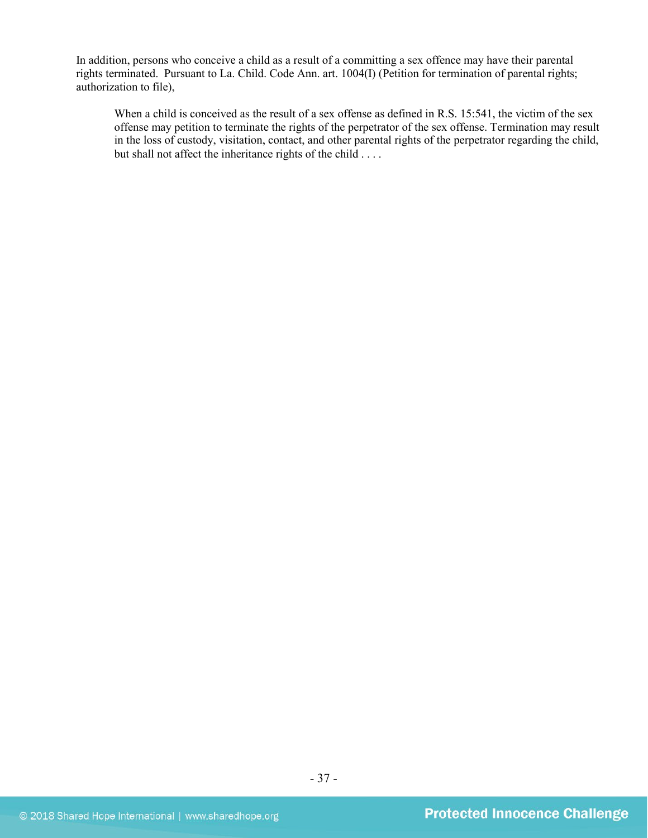In addition, persons who conceive a child as a result of a committing a sex offence may have their parental rights terminated. Pursuant to La. Child. Code Ann. art. 1004(I) (Petition for termination of parental rights; authorization to file),

When a child is conceived as the result of a sex offense as defined in R.S. 15:541, the victim of the sex offense may petition to terminate the rights of the perpetrator of the sex offense. Termination may result in the loss of custody, visitation, contact, and other parental rights of the perpetrator regarding the child, but shall not affect the inheritance rights of the child . . . .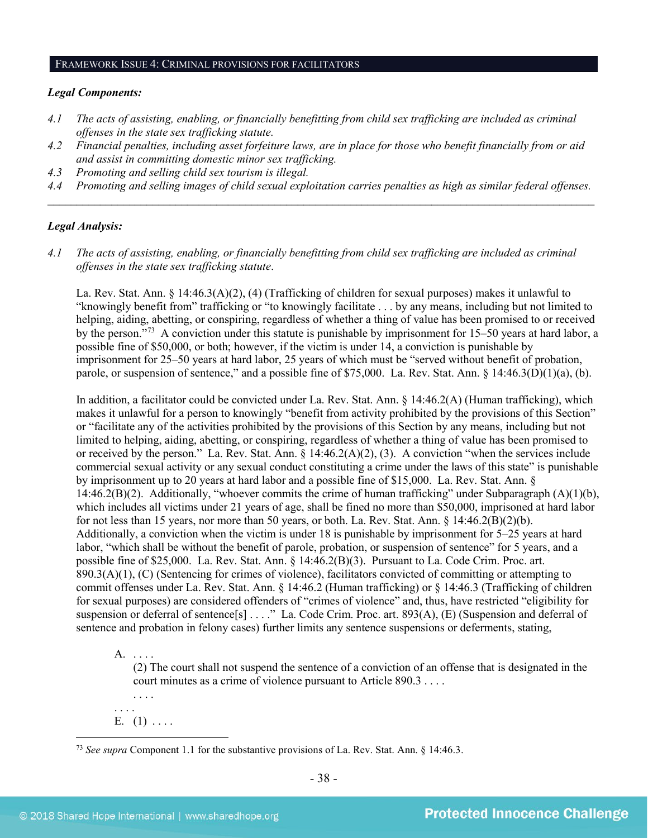### FRAMEWORK ISSUE 4: CRIMINAL PROVISIONS FOR FACILITATORS

#### *Legal Components:*

- *4.1 The acts of assisting, enabling, or financially benefitting from child sex trafficking are included as criminal offenses in the state sex trafficking statute.*
- *4.2 Financial penalties, including asset forfeiture laws, are in place for those who benefit financially from or aid and assist in committing domestic minor sex trafficking.*
- *4.3 Promoting and selling child sex tourism is illegal.*
- *4.4 Promoting and selling images of child sexual exploitation carries penalties as high as similar federal offenses. \_\_\_\_\_\_\_\_\_\_\_\_\_\_\_\_\_\_\_\_\_\_\_\_\_\_\_\_\_\_\_\_\_\_\_\_\_\_\_\_\_\_\_\_\_\_\_\_\_\_\_\_\_\_\_\_\_\_\_\_\_\_\_\_\_\_\_\_\_\_\_\_\_\_\_\_\_\_\_\_\_\_\_\_\_\_\_\_\_\_\_\_\_\_*

#### *Legal Analysis:*

*4.1 The acts of assisting, enabling, or financially benefitting from child sex trafficking are included as criminal offenses in the state sex trafficking statute*.

La. Rev. Stat. Ann. § 14:46.3(A)(2), (4) (Trafficking of children for sexual purposes) makes it unlawful to "knowingly benefit from" trafficking or "to knowingly facilitate . . . by any means, including but not limited to helping, aiding, abetting, or conspiring, regardless of whether a thing of value has been promised to or received by the person.["73](#page-37-0) A conviction under this statute is punishable by imprisonment for 15–50 years at hard labor, a possible fine of \$50,000, or both; however, if the victim is under 14, a conviction is punishable by imprisonment for 25–50 years at hard labor, 25 years of which must be "served without benefit of probation, parole, or suspension of sentence," and a possible fine of \$75,000. La. Rev. Stat. Ann. § 14:46.3(D)(1)(a), (b).

In addition, a facilitator could be convicted under La. Rev. Stat. Ann. § 14:46.2(A) (Human trafficking), which makes it unlawful for a person to knowingly "benefit from activity prohibited by the provisions of this Section" or "facilitate any of the activities prohibited by the provisions of this Section by any means, including but not limited to helping, aiding, abetting, or conspiring, regardless of whether a thing of value has been promised to or received by the person." La. Rev. Stat. Ann. § 14:46.2(A)(2), (3). A conviction "when the services include commercial sexual activity or any sexual conduct constituting a crime under the laws of this state" is punishable by imprisonment up to 20 years at hard labor and a possible fine of \$15,000. La. Rev. Stat. Ann. § 14:46.2(B)(2). Additionally, "whoever commits the crime of human trafficking" under Subparagraph (A)(1)(b), which includes all victims under 21 years of age, shall be fined no more than \$50,000, imprisoned at hard labor for not less than 15 years, nor more than 50 years, or both. La. Rev. Stat. Ann. § 14:46.2(B)(2)(b). Additionally, a conviction when the victim is under 18 is punishable by imprisonment for 5–25 years at hard labor, "which shall be without the benefit of parole, probation, or suspension of sentence" for 5 years, and a possible fine of \$25,000. La. Rev. Stat. Ann. § 14:46.2(B)(3). Pursuant to La. Code Crim. Proc. art. 890.3(A)(1), (C) (Sentencing for crimes of violence), facilitators convicted of committing or attempting to commit offenses under La. Rev. Stat. Ann. § 14:46.2 (Human trafficking) or § 14:46.3 (Trafficking of children for sexual purposes) are considered offenders of "crimes of violence" and, thus, have restricted "eligibility for suspension or deferral of sentence[s] . . . ." La. Code Crim. Proc. art. 893(A), (E) (Suspension and deferral of sentence and probation in felony cases) further limits any sentence suspensions or deferments, stating,

A. . . . .

(2) The court shall not suspend the sentence of a conviction of an offense that is designated in the court minutes as a crime of violence pursuant to Article 890.3 . . . .

. . . . E.  $(1)$  ....

. . . .

<span id="page-37-0"></span> <sup>73</sup> *See supra* Component 1.1 for the substantive provisions of La. Rev. Stat. Ann. § 14:46.3.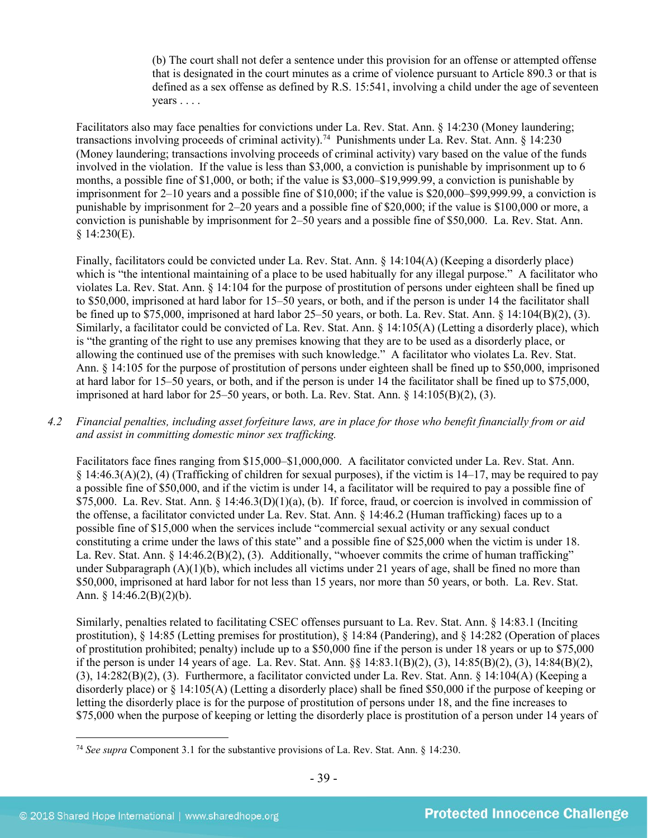(b) The court shall not defer a sentence under this provision for an offense or attempted offense that is designated in the court minutes as a crime of violence pursuant to Article 890.3 or that is defined as a sex offense as defined by R.S. 15:541, involving a child under the age of seventeen years . . . .

Facilitators also may face penalties for convictions under La. Rev. Stat. Ann. § 14:230 (Money laundering; transactions involving proceeds of criminal activity).<sup>[74](#page-38-0)</sup> Punishments under La. Rev. Stat. Ann. § 14:230 (Money laundering; transactions involving proceeds of criminal activity) vary based on the value of the funds involved in the violation. If the value is less than \$3,000, a conviction is punishable by imprisonment up to 6 months, a possible fine of \$1,000, or both; if the value is \$3,000–\$19,999.99, a conviction is punishable by imprisonment for 2–10 years and a possible fine of \$10,000; if the value is \$20,000–\$99,999.99, a conviction is punishable by imprisonment for 2–20 years and a possible fine of \$20,000; if the value is \$100,000 or more, a conviction is punishable by imprisonment for 2–50 years and a possible fine of \$50,000. La. Rev. Stat. Ann. § 14:230(E).

Finally, facilitators could be convicted under La. Rev. Stat. Ann. § 14:104(A) (Keeping a disorderly place) which is "the intentional maintaining of a place to be used habitually for any illegal purpose." A facilitator who violates La. Rev. Stat. Ann. § 14:104 for the purpose of prostitution of persons under eighteen shall be fined up to \$50,000, imprisoned at hard labor for 15–50 years, or both, and if the person is under 14 the facilitator shall be fined up to \$75,000, imprisoned at hard labor 25–50 years, or both. La. Rev. Stat. Ann. § 14:104(B)(2), (3). Similarly, a facilitator could be convicted of La. Rev. Stat. Ann. § 14:105(A) (Letting a disorderly place), which is "the granting of the right to use any premises knowing that they are to be used as a disorderly place, or allowing the continued use of the premises with such knowledge." A facilitator who violates La. Rev. Stat. Ann. § 14:105 for the purpose of prostitution of persons under eighteen shall be fined up to \$50,000, imprisoned at hard labor for 15–50 years, or both, and if the person is under 14 the facilitator shall be fined up to \$75,000, imprisoned at hard labor for  $25-50$  years, or both. La. Rev. Stat. Ann.  $\S$  14:105(B)(2), (3).

*4.2 Financial penalties, including asset forfeiture laws, are in place for those who benefit financially from or aid and assist in committing domestic minor sex trafficking.*

Facilitators face fines ranging from \$15,000–\$1,000,000. A facilitator convicted under La. Rev. Stat. Ann.  $§$  14:46.3(A)(2), (4) (Trafficking of children for sexual purposes), if the victim is 14–17, may be required to pay a possible fine of \$50,000, and if the victim is under 14, a facilitator will be required to pay a possible fine of \$75,000. La. Rev. Stat. Ann. § 14:46.3(D)(1)(a), (b). If force, fraud, or coercion is involved in commission of the offense, a facilitator convicted under La. Rev. Stat. Ann. § 14:46.2 (Human trafficking) faces up to a possible fine of \$15,000 when the services include "commercial sexual activity or any sexual conduct constituting a crime under the laws of this state" and a possible fine of \$25,000 when the victim is under 18. La. Rev. Stat. Ann. § 14:46.2(B)(2), (3). Additionally, "whoever commits the crime of human trafficking" under Subparagraph  $(A)(1)(b)$ , which includes all victims under 21 years of age, shall be fined no more than \$50,000, imprisoned at hard labor for not less than 15 years, nor more than 50 years, or both. La. Rev. Stat. Ann. § 14:46.2(B)(2)(b).

Similarly, penalties related to facilitating CSEC offenses pursuant to La. Rev. Stat. Ann. § 14:83.1 (Inciting prostitution), § 14:85 (Letting premises for prostitution), § 14:84 (Pandering), and § 14:282 (Operation of places of prostitution prohibited; penalty) include up to a \$50,000 fine if the person is under 18 years or up to \$75,000 if the person is under 14 years of age. La. Rev. Stat. Ann. §§ 14:83.1(B)(2), (3), 14:85(B)(2), (3), 14:84(B)(2), (3), 14:282(B)(2), (3). Furthermore, a facilitator convicted under La. Rev. Stat. Ann. § 14:104(A) (Keeping a disorderly place) or § 14:105(A) (Letting a disorderly place) shall be fined \$50,000 if the purpose of keeping or letting the disorderly place is for the purpose of prostitution of persons under 18, and the fine increases to \$75,000 when the purpose of keeping or letting the disorderly place is prostitution of a person under 14 years of

<span id="page-38-0"></span> <sup>74</sup> *See supra* Component 3.1 for the substantive provisions of La. Rev. Stat. Ann. § 14:230.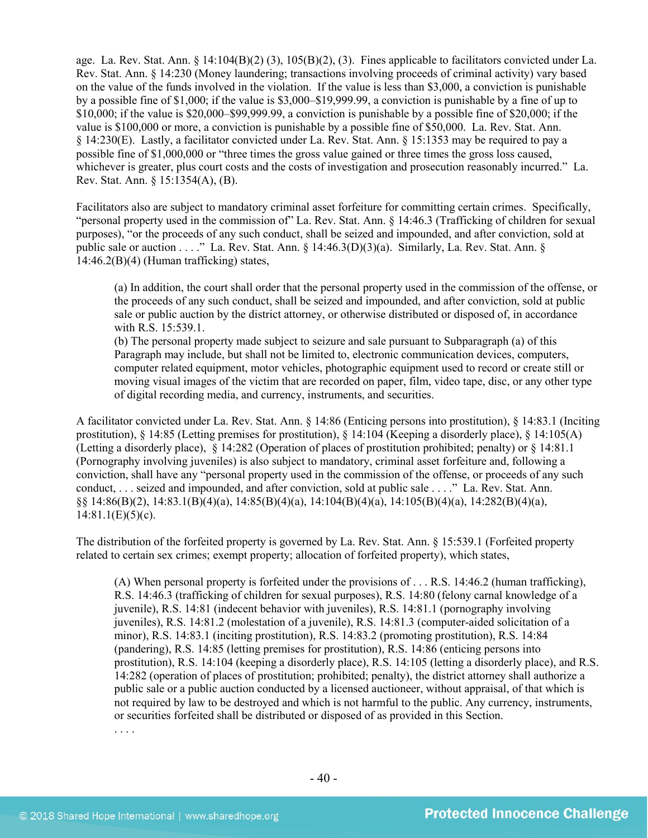age. La. Rev. Stat. Ann. § 14:104(B)(2) (3), 105(B)(2), (3). Fines applicable to facilitators convicted under La. Rev. Stat. Ann. § 14:230 (Money laundering; transactions involving proceeds of criminal activity) vary based on the value of the funds involved in the violation. If the value is less than \$3,000, a conviction is punishable by a possible fine of \$1,000; if the value is \$3,000–\$19,999.99, a conviction is punishable by a fine of up to \$10,000; if the value is \$20,000–\$99,999.99, a conviction is punishable by a possible fine of \$20,000; if the value is \$100,000 or more, a conviction is punishable by a possible fine of \$50,000. La. Rev. Stat. Ann. § 14:230(E). Lastly, a facilitator convicted under La. Rev. Stat. Ann. § 15:1353 may be required to pay a possible fine of \$1,000,000 or "three times the gross value gained or three times the gross loss caused, whichever is greater, plus court costs and the costs of investigation and prosecution reasonably incurred." La. Rev. Stat. Ann. § 15:1354(A), (B).

Facilitators also are subject to mandatory criminal asset forfeiture for committing certain crimes. Specifically, "personal property used in the commission of" La. Rev. Stat. Ann. § 14:46.3 (Trafficking of children for sexual purposes), "or the proceeds of any such conduct, shall be seized and impounded, and after conviction, sold at public sale or auction . . . ." La. Rev. Stat. Ann. § 14:46.3(D)(3)(a). Similarly, La. Rev. Stat. Ann. § 14:46.2(B)(4) (Human trafficking) states,

(a) In addition, the court shall order that the personal property used in the commission of the offense, or the proceeds of any such conduct, shall be seized and impounded, and after conviction, sold at public sale or public auction by the district attorney, or otherwise distributed or disposed of, in accordance with R.S. 15:539.1.

(b) The personal property made subject to seizure and sale pursuant to Subparagraph (a) of this Paragraph may include, but shall not be limited to, electronic communication devices, computers, computer related equipment, motor vehicles, photographic equipment used to record or create still or moving visual images of the victim that are recorded on paper, film, video tape, disc, or any other type of digital recording media, and currency, instruments, and securities.

A facilitator convicted under La. Rev. Stat. Ann. § 14:86 (Enticing persons into prostitution), § 14:83.1 (Inciting prostitution), § 14:85 (Letting premises for prostitution), § 14:104 (Keeping a disorderly place), § 14:105(A) (Letting a disorderly place), § 14:282 (Operation of places of prostitution prohibited; penalty) or § 14:81.1 (Pornography involving juveniles) is also subject to mandatory, criminal asset forfeiture and, following a conviction, shall have any "personal property used in the commission of the offense, or proceeds of any such conduct, . . . seized and impounded, and after conviction, sold at public sale . . . ." La. Rev. Stat. Ann.  $\S$ § 14:86(B)(2), 14:83.1(B)(4)(a), 14:85(B)(4)(a), 14:104(B)(4)(a), 14:105(B)(4)(a), 14:282(B)(4)(a),  $14:81.1(E)(5)(c)$ .

The distribution of the forfeited property is governed by La. Rev. Stat. Ann. § 15:539.1 (Forfeited property related to certain sex crimes; exempt property; allocation of forfeited property), which states,

(A) When personal property is forfeited under the provisions of . . . R.S. 14:46.2 (human trafficking), R.S. 14:46.3 (trafficking of children for sexual purposes), R.S. 14:80 (felony carnal knowledge of a juvenile), R.S. 14:81 (indecent behavior with juveniles), R.S. 14:81.1 (pornography involving juveniles), R.S. 14:81.2 (molestation of a juvenile), R.S. 14:81.3 (computer-aided solicitation of a minor), R.S. 14:83.1 (inciting prostitution), R.S. 14:83.2 (promoting prostitution), R.S. 14:84 (pandering), R.S. 14:85 (letting premises for prostitution), R.S. 14:86 (enticing persons into prostitution), R.S. 14:104 (keeping a disorderly place), R.S. 14:105 (letting a disorderly place), and R.S. 14:282 (operation of places of prostitution; prohibited; penalty), the district attorney shall authorize a public sale or a public auction conducted by a licensed auctioneer, without appraisal, of that which is not required by law to be destroyed and which is not harmful to the public. Any currency, instruments, or securities forfeited shall be distributed or disposed of as provided in this Section. . . . .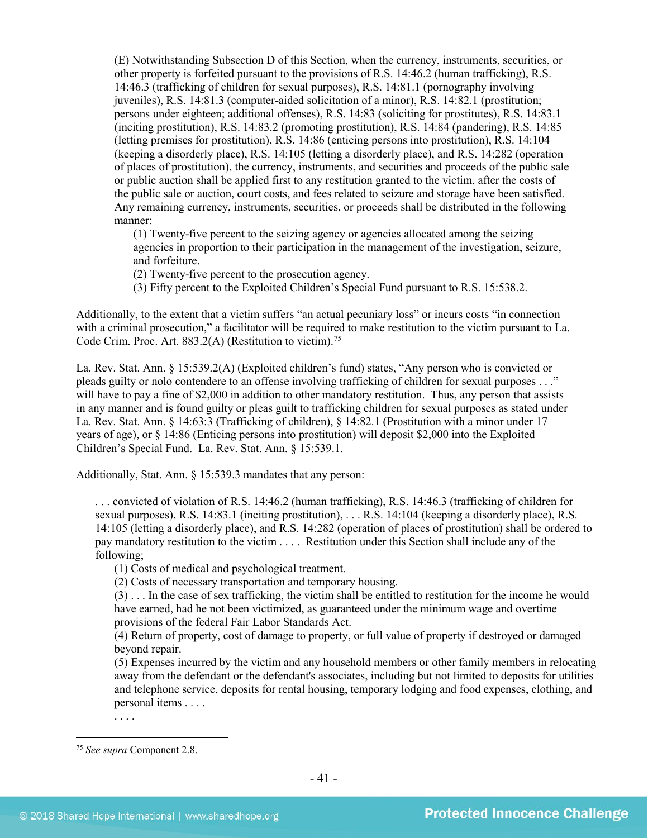(E) Notwithstanding Subsection D of this Section, when the currency, instruments, securities, or other property is forfeited pursuant to the provisions of R.S. 14:46.2 (human trafficking), R.S. 14:46.3 (trafficking of children for sexual purposes), R.S. 14:81.1 (pornography involving juveniles), R.S. 14:81.3 (computer-aided solicitation of a minor), R.S. 14:82.1 (prostitution; persons under eighteen; additional offenses), R.S. 14:83 (soliciting for prostitutes), R.S. 14:83.1 (inciting prostitution), R.S. 14:83.2 (promoting prostitution), R.S. 14:84 (pandering), R.S. 14:85 (letting premises for prostitution), R.S. 14:86 (enticing persons into prostitution), R.S. 14:104 (keeping a disorderly place), R.S. 14:105 (letting a disorderly place), and R.S. 14:282 (operation of places of prostitution), the currency, instruments, and securities and proceeds of the public sale or public auction shall be applied first to any restitution granted to the victim, after the costs of the public sale or auction, court costs, and fees related to seizure and storage have been satisfied. Any remaining currency, instruments, securities, or proceeds shall be distributed in the following manner:

(1) Twenty-five percent to the seizing agency or agencies allocated among the seizing agencies in proportion to their participation in the management of the investigation, seizure, and forfeiture.

(2) Twenty-five percent to the prosecution agency.

(3) Fifty percent to the Exploited Children's Special Fund pursuant to R.S. 15:538.2.

Additionally, to the extent that a victim suffers "an actual pecuniary loss" or incurs costs "in connection with a criminal prosecution," a facilitator will be required to make restitution to the victim pursuant to La. Code Crim. Proc. Art. 883.2(A) (Restitution to victim).<sup>75</sup>

La. Rev. Stat. Ann. § 15:539.2(A) (Exploited children's fund) states, "Any person who is convicted or pleads guilty or nolo contendere to an offense involving trafficking of children for sexual purposes . . ." will have to pay a fine of \$2,000 in addition to other mandatory restitution. Thus, any person that assists in any manner and is found guilty or pleas guilt to trafficking children for sexual purposes as stated under La. Rev. Stat. Ann. § 14:63:3 (Trafficking of children), § 14:82.1 (Prostitution with a minor under 17 years of age), or § 14:86 (Enticing persons into prostitution) will deposit \$2,000 into the Exploited Children's Special Fund. La. Rev. Stat. Ann. § 15:539.1.

Additionally, Stat. Ann. § 15:539.3 mandates that any person:

. . . convicted of violation of R.S. 14:46.2 (human trafficking), R.S. 14:46.3 (trafficking of children for sexual purposes), R.S. 14:83.1 (inciting prostitution), . . . R.S. 14:104 (keeping a disorderly place), R.S. 14:105 (letting a disorderly place), and R.S. 14:282 (operation of places of prostitution) shall be ordered to pay mandatory restitution to the victim . . . . Restitution under this Section shall include any of the following;

(1) Costs of medical and psychological treatment.

(2) Costs of necessary transportation and temporary housing.

(3) . . . In the case of sex trafficking, the victim shall be entitled to restitution for the income he would have earned, had he not been victimized, as guaranteed under the minimum wage and overtime provisions of the federal Fair Labor Standards Act.

(4) Return of property, cost of damage to property, or full value of property if destroyed or damaged beyond repair.

(5) Expenses incurred by the victim and any household members or other family members in relocating away from the defendant or the defendant's associates, including but not limited to deposits for utilities and telephone service, deposits for rental housing, temporary lodging and food expenses, clothing, and personal items . . . .

. . . .

<span id="page-40-0"></span> <sup>75</sup> *See supra* Component 2.8.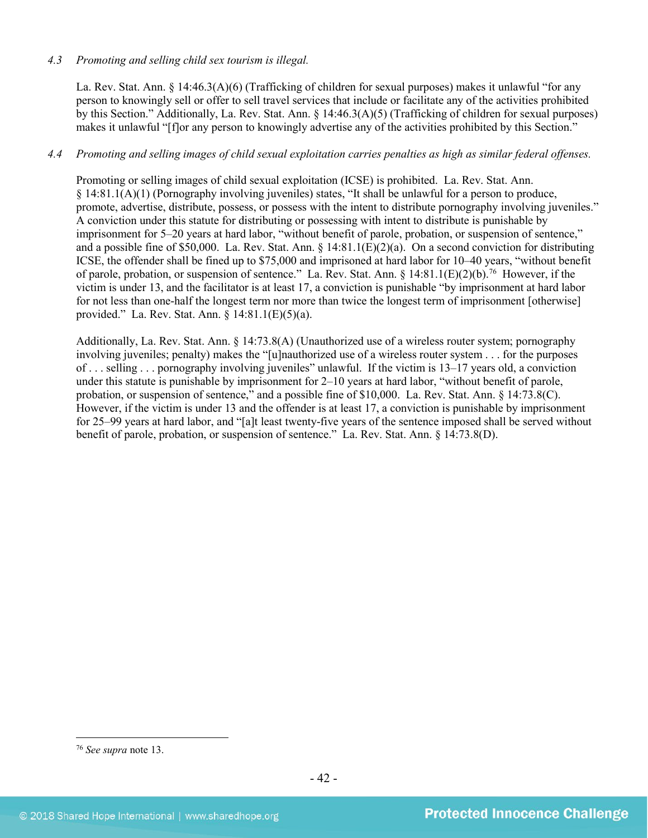# *4.3 Promoting and selling child sex tourism is illegal.*

La. Rev. Stat. Ann. § 14:46.3(A)(6) (Trafficking of children for sexual purposes) makes it unlawful "for any person to knowingly sell or offer to sell travel services that include or facilitate any of the activities prohibited by this Section." Additionally, La. Rev. Stat. Ann. § 14:46.3(A)(5) (Trafficking of children for sexual purposes) makes it unlawful "[f]or any person to knowingly advertise any of the activities prohibited by this Section."

# *4.4 Promoting and selling images of child sexual exploitation carries penalties as high as similar federal offenses.*

Promoting or selling images of child sexual exploitation (ICSE) is prohibited. La. Rev. Stat. Ann. § 14:81.1(A)(1) (Pornography involving juveniles) states, "It shall be unlawful for a person to produce, promote, advertise, distribute, possess, or possess with the intent to distribute pornography involving juveniles." A conviction under this statute for distributing or possessing with intent to distribute is punishable by imprisonment for 5–20 years at hard labor, "without benefit of parole, probation, or suspension of sentence," and a possible fine of \$50,000. La. Rev. Stat. Ann. § 14:81.1(E)(2)(a). On a second conviction for distributing ICSE, the offender shall be fined up to \$75,000 and imprisoned at hard labor for 10–40 years, "without benefit of parole, probation, or suspension of sentence." La. Rev. Stat. Ann. § 14:81.1(E)(2)(b)[.76](#page-41-0) However, if the victim is under 13, and the facilitator is at least 17, a conviction is punishable "by imprisonment at hard labor for not less than one-half the longest term nor more than twice the longest term of imprisonment [otherwise] provided." La. Rev. Stat. Ann. § 14:81.1(E)(5)(a).

Additionally, La. Rev. Stat. Ann. § 14:73.8(A) (Unauthorized use of a wireless router system; pornography involving juveniles; penalty) makes the "[u]nauthorized use of a wireless router system . . . for the purposes of . . . selling . . . pornography involving juveniles" unlawful. If the victim is 13–17 years old, a conviction under this statute is punishable by imprisonment for 2–10 years at hard labor, "without benefit of parole, probation, or suspension of sentence," and a possible fine of \$10,000. La. Rev. Stat. Ann. § 14:73.8(C). However, if the victim is under 13 and the offender is at least 17, a conviction is punishable by imprisonment for 25–99 years at hard labor, and "[a]t least twenty-five years of the sentence imposed shall be served without benefit of parole, probation, or suspension of sentence." La. Rev. Stat. Ann. § 14:73.8(D).

<span id="page-41-0"></span> <sup>76</sup> *See supra* note [13.](#page-5-1)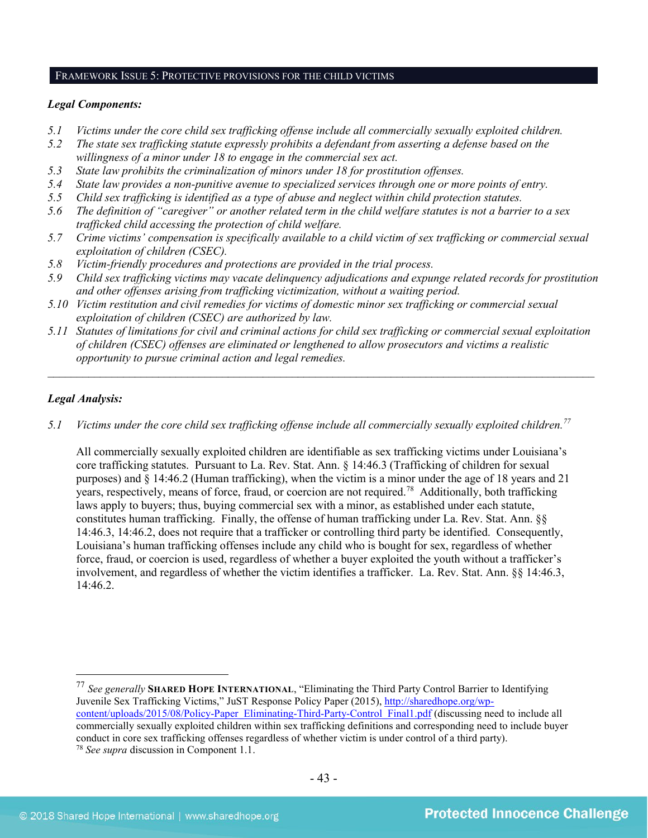# FRAMEWORK ISSUE 5: PROTECTIVE PROVISIONS FOR THE CHILD VICTIMS

### *Legal Components:*

- *5.1 Victims under the core child sex trafficking offense include all commercially sexually exploited children.*
- *5.2 The state sex trafficking statute expressly prohibits a defendant from asserting a defense based on the willingness of a minor under 18 to engage in the commercial sex act.*
- *5.3 State law prohibits the criminalization of minors under 18 for prostitution offenses.*
- *5.4 State law provides a non-punitive avenue to specialized services through one or more points of entry.*
- *5.5 Child sex trafficking is identified as a type of abuse and neglect within child protection statutes.*
- *5.6 The definition of "caregiver" or another related term in the child welfare statutes is not a barrier to a sex trafficked child accessing the protection of child welfare.*
- *5.7 Crime victims' compensation is specifically available to a child victim of sex trafficking or commercial sexual exploitation of children (CSEC).*
- *5.8 Victim-friendly procedures and protections are provided in the trial process.*
- *5.9 Child sex trafficking victims may vacate delinquency adjudications and expunge related records for prostitution and other offenses arising from trafficking victimization, without a waiting period.*
- *5.10 Victim restitution and civil remedies for victims of domestic minor sex trafficking or commercial sexual exploitation of children (CSEC) are authorized by law.*
- *5.11 Statutes of limitations for civil and criminal actions for child sex trafficking or commercial sexual exploitation of children (CSEC) offenses are eliminated or lengthened to allow prosecutors and victims a realistic opportunity to pursue criminal action and legal remedies.*

*\_\_\_\_\_\_\_\_\_\_\_\_\_\_\_\_\_\_\_\_\_\_\_\_\_\_\_\_\_\_\_\_\_\_\_\_\_\_\_\_\_\_\_\_\_\_\_\_\_\_\_\_\_\_\_\_\_\_\_\_\_\_\_\_\_\_\_\_\_\_\_\_\_\_\_\_\_\_\_\_\_\_\_\_\_\_\_\_\_\_\_\_\_\_*

# *Legal Analysis:*

*5.1 Victims under the core child sex trafficking offense include all commercially sexually exploited children.[77](#page-42-0)*

All commercially sexually exploited children are identifiable as sex trafficking victims under Louisiana's core trafficking statutes. Pursuant to La. Rev. Stat. Ann. § 14:46.3 (Trafficking of children for sexual purposes) and § 14:46.2 (Human trafficking), when the victim is a minor under the age of 18 years and 21 years, respectively, means of force, fraud, or coercion are not required.<sup>[78](#page-42-1)</sup> Additionally, both trafficking laws apply to buyers; thus, buying commercial sex with a minor, as established under each statute, constitutes human trafficking. Finally, the offense of human trafficking under La. Rev. Stat. Ann. §§ 14:46.3, 14:46.2, does not require that a trafficker or controlling third party be identified. Consequently, Louisiana's human trafficking offenses include any child who is bought for sex, regardless of whether force, fraud, or coercion is used, regardless of whether a buyer exploited the youth without a trafficker's involvement, and regardless of whether the victim identifies a trafficker. La. Rev. Stat. Ann. §§ 14:46.3, 14:46.2.

<span id="page-42-1"></span><span id="page-42-0"></span> 77 *See generally* **SHARED HOPE INTERNATIONAL**, "Eliminating the Third Party Control Barrier to Identifying Juvenile Sex Trafficking Victims," JuST Response Policy Paper (2015), [http://sharedhope.org/wp](http://sharedhope.org/wp-content/uploads/2015/08/Policy-Paper_Eliminating-Third-Party-Control_Final1.pdf)[content/uploads/2015/08/Policy-Paper\\_Eliminating-Third-Party-Control\\_Final1.pdf](http://sharedhope.org/wp-content/uploads/2015/08/Policy-Paper_Eliminating-Third-Party-Control_Final1.pdf) (discussing need to include all commercially sexually exploited children within sex trafficking definitions and corresponding need to include buyer conduct in core sex trafficking offenses regardless of whether victim is under control of a third party). <sup>78</sup> *See supra* discussion in Component 1.1.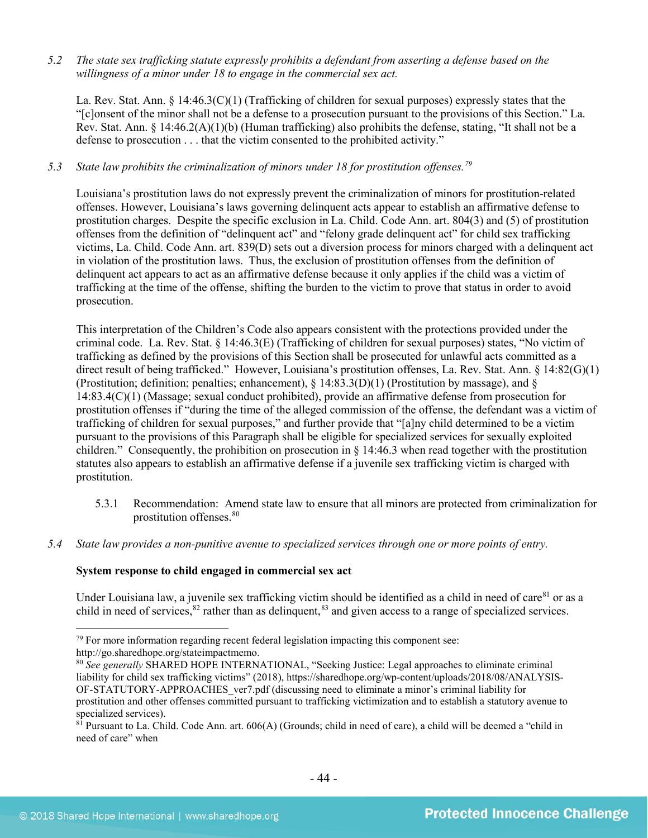*5.2 The state sex trafficking statute expressly prohibits a defendant from asserting a defense based on the willingness of a minor under 18 to engage in the commercial sex act.* 

La. Rev. Stat. Ann. § 14:46.3(C)(1) (Trafficking of children for sexual purposes) expressly states that the "[c]onsent of the minor shall not be a defense to a prosecution pursuant to the provisions of this Section." La. Rev. Stat. Ann. § 14:46.2(A)(1)(b) (Human trafficking) also prohibits the defense, stating, "It shall not be a defense to prosecution . . . that the victim consented to the prohibited activity."

# *5.3 State law prohibits the criminalization of minors under 18 for prostitution offenses. [79](#page-43-0)*

Louisiana's prostitution laws do not expressly prevent the criminalization of minors for prostitution-related offenses. However, Louisiana's laws governing delinquent acts appear to establish an affirmative defense to prostitution charges. Despite the specific exclusion in La. Child. Code Ann. art. 804(3) and (5) of prostitution offenses from the definition of "delinquent act" and "felony grade delinquent act" for child sex trafficking victims, La. Child. Code Ann. art. 839(D) sets out a diversion process for minors charged with a delinquent act in violation of the prostitution laws. Thus, the exclusion of prostitution offenses from the definition of delinquent act appears to act as an affirmative defense because it only applies if the child was a victim of trafficking at the time of the offense, shifting the burden to the victim to prove that status in order to avoid prosecution.

This interpretation of the Children's Code also appears consistent with the protections provided under the criminal code. La. Rev. Stat. § 14:46.3(E) (Trafficking of children for sexual purposes) states, "No victim of trafficking as defined by the provisions of this Section shall be prosecuted for unlawful acts committed as a direct result of being trafficked." However, Louisiana's prostitution offenses, La. Rev. Stat. Ann. § 14:82(G)(1) (Prostitution; definition; penalties; enhancement), § 14:83.3(D)(1) (Prostitution by massage), and § 14:83.4(C)(1) (Massage; sexual conduct prohibited), provide an affirmative defense from prosecution for prostitution offenses if "during the time of the alleged commission of the offense, the defendant was a victim of trafficking of children for sexual purposes," and further provide that "[a]ny child determined to be a victim pursuant to the provisions of this Paragraph shall be eligible for specialized services for sexually exploited children." Consequently, the prohibition on prosecution in  $\S$  14:46.3 when read together with the prostitution statutes also appears to establish an affirmative defense if a juvenile sex trafficking victim is charged with prostitution.

- <span id="page-43-5"></span>5.3.1 Recommendation: Amend state law to ensure that all minors are protected from criminalization for prostitution offenses.[80](#page-43-1)
- <span id="page-43-3"></span>*5.4 State law provides a non-punitive avenue to specialized services through one or more points of entry.*

# **System response to child engaged in commercial sex act**

Under Louisiana law, a juvenile sex trafficking victim should be identified as a child in need of care<sup>[81](#page-43-2)</sup> or as a child in need of services,  $82$  rather than as delinquent,  $83$  and given access to a range of specialized services.

<span id="page-43-4"></span><span id="page-43-0"></span><sup>&</sup>lt;sup>79</sup> For more information regarding recent federal legislation impacting this component see: http://go.sharedhope.org/stateimpactmemo.

<span id="page-43-1"></span><sup>80</sup> *See generally* SHARED HOPE INTERNATIONAL, "Seeking Justice: Legal approaches to eliminate criminal liability for child sex trafficking victims" (2018), https://sharedhope.org/wp-content/uploads/2018/08/ANALYSIS-OF-STATUTORY-APPROACHES\_ver7.pdf (discussing need to eliminate a minor's criminal liability for prostitution and other offenses committed pursuant to trafficking victimization and to establish a statutory avenue to specialized services).

<span id="page-43-2"></span> $81$  Pursuant to La. Child. Code Ann. art. 606(A) (Grounds; child in need of care), a child will be deemed a "child in need of care" when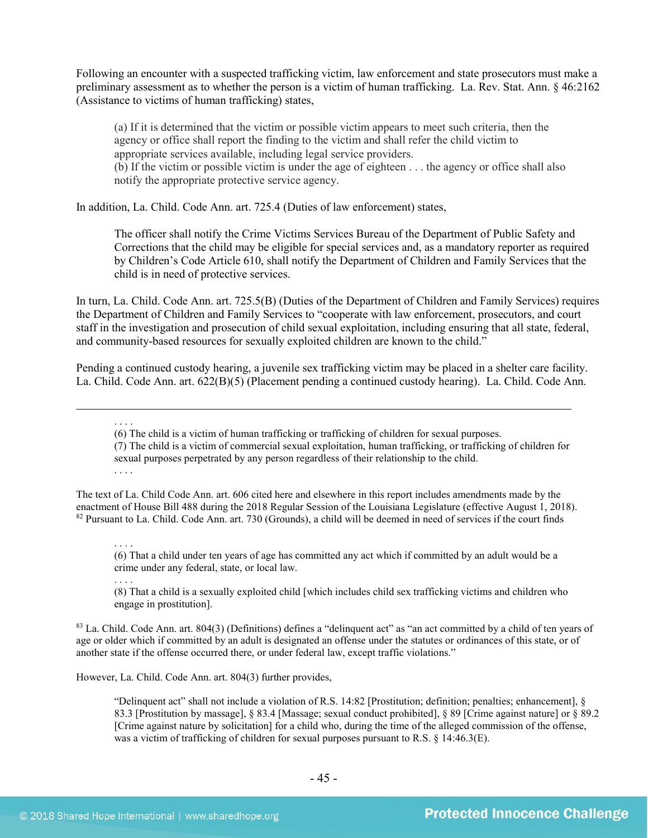Following an encounter with a suspected trafficking victim, law enforcement and state prosecutors must make a preliminary assessment as to whether the person is a victim of human trafficking. La. Rev. Stat. Ann. § 46:2162 (Assistance to victims of human trafficking) states,

(a) If it is determined that the victim or possible victim appears to meet such criteria, then the agency or office shall report the finding to the victim and shall refer the child victim to appropriate services available, including legal service providers. (b) If the victim or possible victim is under the age of eighteen . . . the agency or office shall also

notify the appropriate protective service agency.

In addition, La. Child. Code Ann. art. 725.4 (Duties of law enforcement) states,

The officer shall notify the Crime Victims Services Bureau of the Department of Public Safety and Corrections that the child may be eligible for special services and, as a mandatory reporter as required by Children's Code Article 610, shall notify the Department of Children and Family Services that the child is in need of protective services.

In turn, La. Child. Code Ann. art. 725.5(B) (Duties of the Department of Children and Family Services) requires the Department of Children and Family Services to "cooperate with law enforcement, prosecutors, and court staff in the investigation and prosecution of child sexual exploitation, including ensuring that all state, federal, and community-based resources for sexually exploited children are known to the child."

Pending a continued custody hearing, a juvenile sex trafficking victim may be placed in a shelter care facility. La. Child. Code Ann. art. 622(B)(5) (Placement pending a continued custody hearing). La. Child. Code Ann.

. . . . (6) The child is a victim of human trafficking or trafficking of children for sexual purposes. (7) The child is a victim of commercial sexual exploitation, human trafficking, or trafficking of children for sexual purposes perpetrated by any person regardless of their relationship to the child. . . . .

The text of La. Child Code Ann. art. 606 cited here and elsewhere in this report includes amendments made by the enactment of House Bill 488 during the 2018 Regular Session of the Louisiana Legislature (effective August 1, 2018). <sup>82</sup> Pursuant to La. Child. Code Ann. art. 730 (Grounds), a child will be deemed in need of services if the court finds

. . . . (6) That a child under ten years of age has committed any act which if committed by an adult would be a crime under any federal, state, or local law.

. . . . (8) That a child is a sexually exploited child [which includes child sex trafficking victims and children who engage in prostitution].

 $83$  La. Child. Code Ann. art.  $804(3)$  (Definitions) defines a "delinguent act" as "an act committed by a child of ten years of age or older which if committed by an adult is designated an offense under the statutes or ordinances of this state, or of another state if the offense occurred there, or under federal law, except traffic violations."

However, La. Child. Code Ann. art. 804(3) further provides,

"Delinquent act" shall not include a violation of R.S. 14:82 [Prostitution; definition; penalties; enhancement], § 83.3 [Prostitution by massage], § 83.4 [Massage; sexual conduct prohibited], § 89 [Crime against nature] or § 89.2 [Crime against nature by solicitation] for a child who, during the time of the alleged commission of the offense, was a victim of trafficking of children for sexual purposes pursuant to R.S. § 14:46.3(E).

 $\overline{a}$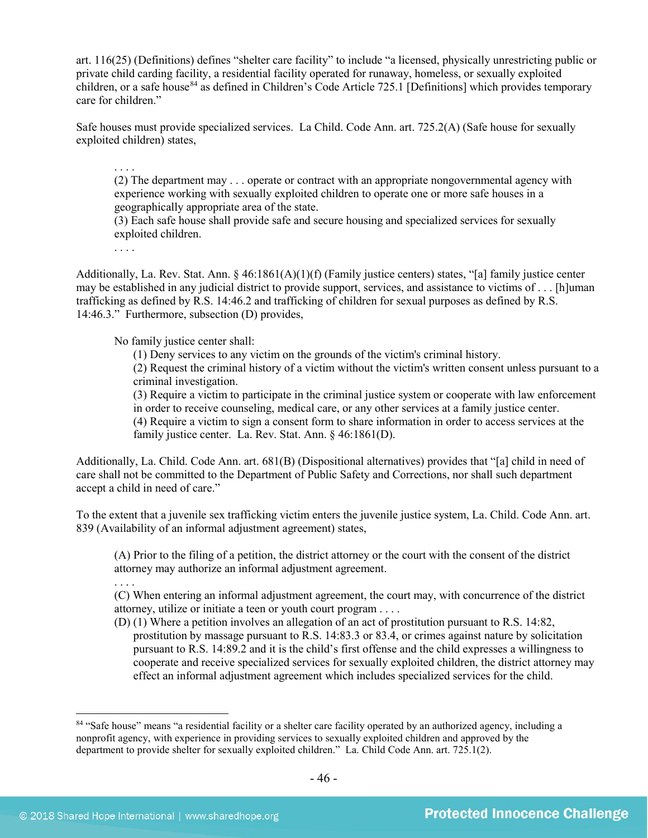art. 116(25) (Definitions) defines "shelter care facility" to include "a licensed, physically unrestricting public or private child carding facility, a residential facility operated for runaway, homeless, or sexually exploited children, or a safe house<sup>[84](#page-45-0)</sup> as defined in Children's Code Article 725.1 [Definitions] which provides temporary care for children."

Safe houses must provide specialized services. La Child. Code Ann. art. 725.2(A) (Safe house for sexually exploited children) states,

(2) The department may . . . operate or contract with an appropriate nongovernmental agency with experience working with sexually exploited children to operate one or more safe houses in a geographically appropriate area of the state.

(3) Each safe house shall provide safe and secure housing and specialized services for sexually exploited children.

. . . .

. . . .

. . . .

Additionally, La. Rev. Stat. Ann. § 46:1861(A)(1)(f) (Family justice centers) states, "[a] family justice center may be established in any judicial district to provide support, services, and assistance to victims of . . . [h]uman trafficking as defined by R.S. 14:46.2 and trafficking of children for sexual purposes as defined by R.S. 14:46.3." Furthermore, subsection (D) provides,

No family justice center shall:

(1) Deny services to any victim on the grounds of the victim's criminal history.

(2) Request the criminal history of a victim without the victim's written consent unless pursuant to a criminal investigation.

(3) Require a victim to participate in the criminal justice system or cooperate with law enforcement in order to receive counseling, medical care, or any other services at a family justice center.

(4) Require a victim to sign a consent form to share information in order to access services at the family justice center. La. Rev. Stat. Ann. § 46:1861(D).

Additionally, La. Child. Code Ann. art. 681(B) (Dispositional alternatives) provides that "[a] child in need of care shall not be committed to the Department of Public Safety and Corrections, nor shall such department accept a child in need of care."

To the extent that a juvenile sex trafficking victim enters the juvenile justice system, La. Child. Code Ann. art. 839 (Availability of an informal adjustment agreement) states,

(A) Prior to the filing of a petition, the district attorney or the court with the consent of the district attorney may authorize an informal adjustment agreement.

(C) When entering an informal adjustment agreement, the court may, with concurrence of the district attorney, utilize or initiate a teen or youth court program . . . .

(D) (1) Where a petition involves an allegation of an act of prostitution pursuant to R.S. 14:82, prostitution by massage pursuant to R.S. 14:83.3 or 83.4, or crimes against nature by solicitation pursuant to R.S. 14:89.2 and it is the child's first offense and the child expresses a willingness to cooperate and receive specialized services for sexually exploited children, the district attorney may effect an informal adjustment agreement which includes specialized services for the child.

<span id="page-45-0"></span><sup>&</sup>lt;sup>84</sup> "Safe house" means "a residential facility or a shelter care facility operated by an authorized agency, including a nonprofit agency, with experience in providing services to sexually exploited children and approved by the department to provide shelter for sexually exploited children." La. Child Code Ann. art. 725.1(2).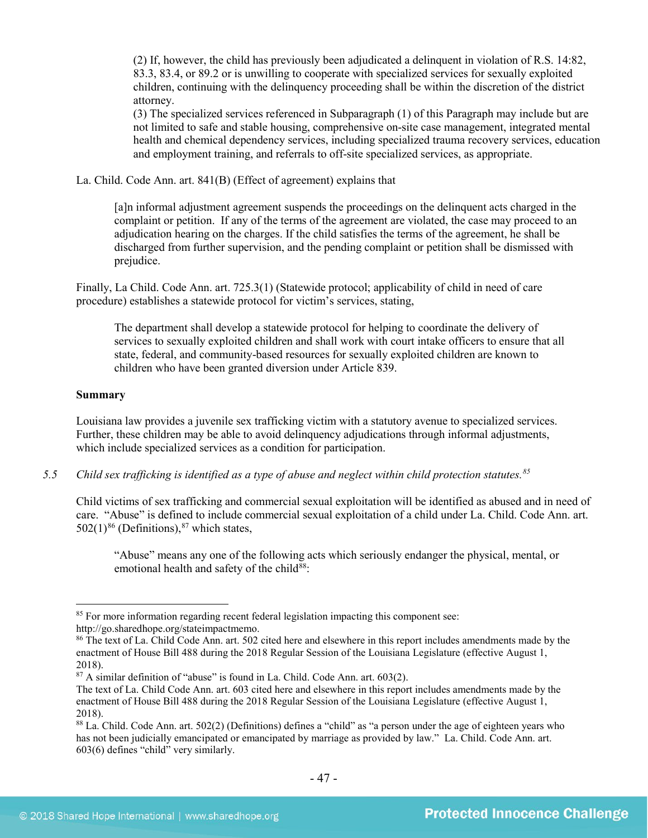(2) If, however, the child has previously been adjudicated a delinquent in violation of R.S. 14:82, 83.3, 83.4, or 89.2 or is unwilling to cooperate with specialized services for sexually exploited children, continuing with the delinquency proceeding shall be within the discretion of the district attorney.

(3) The specialized services referenced in Subparagraph (1) of this Paragraph may include but are not limited to safe and stable housing, comprehensive on-site case management, integrated mental health and chemical dependency services, including specialized trauma recovery services, education and employment training, and referrals to off-site specialized services, as appropriate.

La. Child. Code Ann. art. 841(B) (Effect of agreement) explains that

[a]n informal adjustment agreement suspends the proceedings on the delinquent acts charged in the complaint or petition. If any of the terms of the agreement are violated, the case may proceed to an adjudication hearing on the charges. If the child satisfies the terms of the agreement, he shall be discharged from further supervision, and the pending complaint or petition shall be dismissed with prejudice.

Finally, La Child. Code Ann. art. 725.3(1) (Statewide protocol; applicability of child in need of care procedure) establishes a statewide protocol for victim's services, stating,

The department shall develop a statewide protocol for helping to coordinate the delivery of services to sexually exploited children and shall work with court intake officers to ensure that all state, federal, and community-based resources for sexually exploited children are known to children who have been granted diversion under Article 839.

#### **Summary**

Louisiana law provides a juvenile sex trafficking victim with a statutory avenue to specialized services. Further, these children may be able to avoid delinquency adjudications through informal adjustments, which include specialized services as a condition for participation.

*5.5 Child sex trafficking is identified as a type of abuse and neglect within child protection statutes.[85](#page-46-0)*

Child victims of sex trafficking and commercial sexual exploitation will be identified as abused and in need of care. "Abuse" is defined to include commercial sexual exploitation of a child under La. Child. Code Ann. art.  $502(1)^{86}$  $502(1)^{86}$  $502(1)^{86}$  (Definitions),<sup>[87](#page-46-2)</sup> which states,

"Abuse" means any one of the following acts which seriously endanger the physical, mental, or emotional health and safety of the child $88$ :

<span id="page-46-0"></span><sup>&</sup>lt;sup>85</sup> For more information regarding recent federal legislation impacting this component see: http://go.sharedhope.org/stateimpactmemo.

<span id="page-46-1"></span><sup>86</sup> The text of La. Child Code Ann. art. 502 cited here and elsewhere in this report includes amendments made by the enactment of House Bill 488 during the 2018 Regular Session of the Louisiana Legislature (effective August 1, 2018).

<span id="page-46-2"></span><sup>87</sup> A similar definition of "abuse" is found in La. Child. Code Ann. art. 603(2).

The text of La. Child Code Ann. art. 603 cited here and elsewhere in this report includes amendments made by the enactment of House Bill 488 during the 2018 Regular Session of the Louisiana Legislature (effective August 1, 2018).

<span id="page-46-3"></span><sup>&</sup>lt;sup>88</sup> La. Child. Code Ann. art. 502(2) (Definitions) defines a "child" as "a person under the age of eighteen years who has not been judicially emancipated or emancipated by marriage as provided by law." La. Child. Code Ann. art. 603(6) defines "child" very similarly.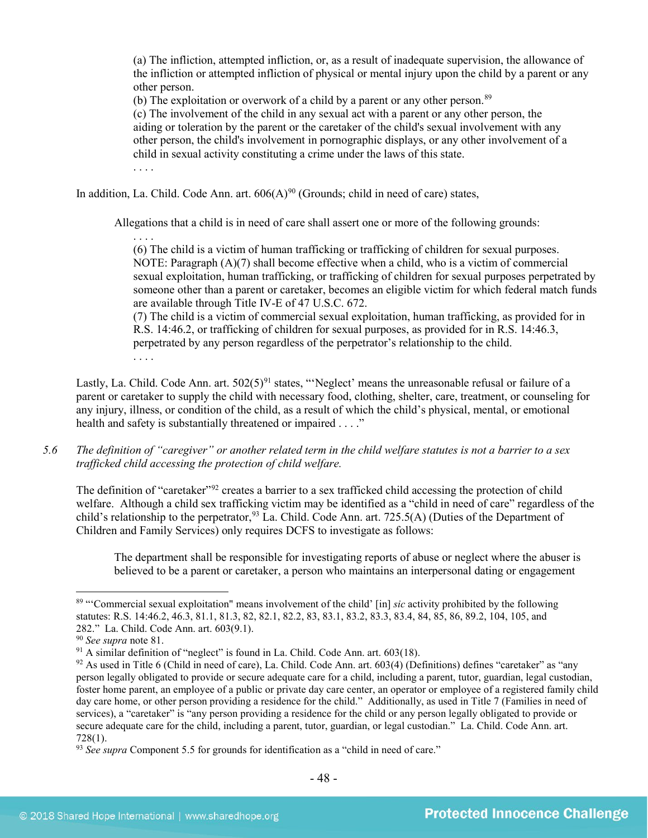(a) The infliction, attempted infliction, or, as a result of inadequate supervision, the allowance of the infliction or attempted infliction of physical or mental injury upon the child by a parent or any other person.

(b) The exploitation or overwork of a child by a parent or any other person. [89](#page-47-0)

(c) The involvement of the child in any sexual act with a parent or any other person, the aiding or toleration by the parent or the caretaker of the child's sexual involvement with any other person, the child's involvement in pornographic displays, or any other involvement of a child in sexual activity constituting a crime under the laws of this state.

. . . .

In addition, La. Child. Code Ann. art.  $606(A)^{90}$  (Grounds; child in need of care) states,

Allegations that a child is in need of care shall assert one or more of the following grounds:

. . . . (6) The child is a victim of human trafficking or trafficking of children for sexual purposes. NOTE: Paragraph (A)(7) shall become effective when a child, who is a victim of commercial sexual exploitation, human trafficking, or trafficking of children for sexual purposes perpetrated by someone other than a parent or caretaker, becomes an eligible victim for which federal match funds are available through Title IV-E of 47 U.S.C. 672.

(7) The child is a victim of commercial sexual exploitation, human trafficking, as provided for in R.S. 14:46.2, or trafficking of children for sexual purposes, as provided for in R.S. 14:46.3, perpetrated by any person regardless of the perpetrator's relationship to the child. . . . .

Lastly, La. Child. Code Ann. art.  $502(5)^{91}$  states, "'Neglect' means the unreasonable refusal or failure of a parent or caretaker to supply the child with necessary food, clothing, shelter, care, treatment, or counseling for any injury, illness, or condition of the child, as a result of which the child's physical, mental, or emotional health and safety is substantially threatened or impaired . . . ."

*5.6 The definition of "caregiver" or another related term in the child welfare statutes is not a barrier to a sex trafficked child accessing the protection of child welfare.*

The definition of "caretaker"[92](#page-47-3) creates a barrier to a sex trafficked child accessing the protection of child welfare. Although a child sex trafficking victim may be identified as a "child in need of care" regardless of the child's relationship to the perpetrator,  $93$  La. Child. Code Ann. art. 725.5(A) (Duties of the Department of Children and Family Services) only requires DCFS to investigate as follows:

The department shall be responsible for investigating reports of abuse or neglect where the abuser is believed to be a parent or caretaker, a person who maintains an interpersonal dating or engagement

<span id="page-47-0"></span> <sup>89</sup> "'Commercial sexual exploitation" means involvement of the child' [in] *sic* activity prohibited by the following statutes: R.S. 14:46.2, 46.3, 81.1, 81.3, 82, 82.1, 82.2, 83, 83.1, 83.2, 83.3, 83.4, 84, 85, 86, 89.2, 104, 105, and 282." La. Child. Code Ann. art. 603(9.1). 90 *See supra* note [81.](#page-43-5)

<span id="page-47-2"></span><span id="page-47-1"></span> $91$  A similar definition of "neglect" is found in La. Child. Code Ann. art. 603(18).

<span id="page-47-3"></span> $92$  As used in Title 6 (Child in need of care), La. Child. Code Ann. art. 603(4) (Definitions) defines "caretaker" as "any person legally obligated to provide or secure adequate care for a child, including a parent, tutor, guardian, legal custodian, foster home parent, an employee of a public or private day care center, an operator or employee of a registered family child day care home, or other person providing a residence for the child." Additionally, as used in Title 7 (Families in need of services), a "caretaker" is "any person providing a residence for the child or any person legally obligated to provide or secure adequate care for the child, including a parent, tutor, guardian, or legal custodian." La. Child. Code Ann. art. 728(1).

<span id="page-47-4"></span><sup>93</sup> *See supra* Component 5.5 for grounds for identification as a "child in need of care."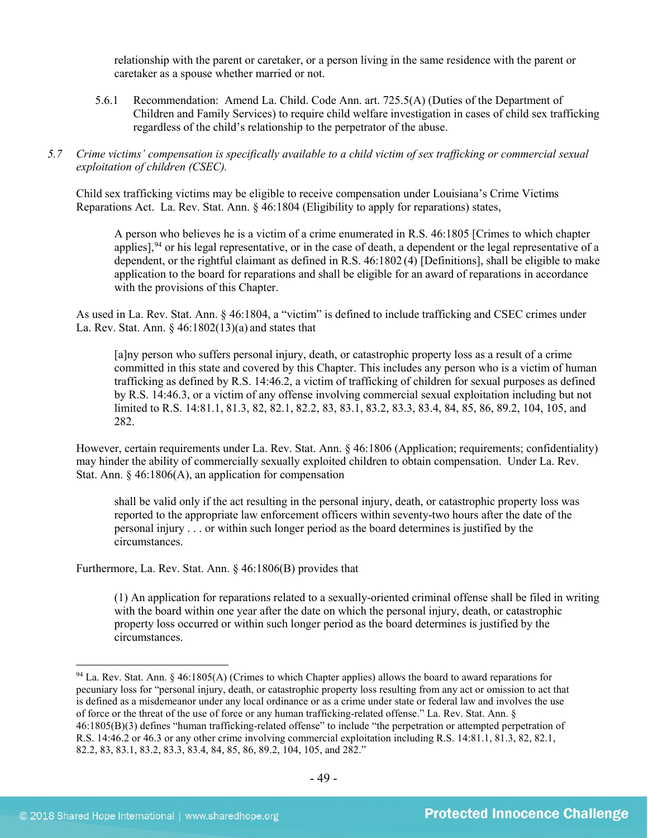relationship with the parent or caretaker, or a person living in the same residence with the parent or caretaker as a spouse whether married or not.

5.6.1 Recommendation: Amend La. Child. Code Ann. art. 725.5(A) (Duties of the Department of Children and Family Services) to require child welfare investigation in cases of child sex trafficking regardless of the child's relationship to the perpetrator of the abuse.

# *5.7 Crime victims' compensation is specifically available to a child victim of sex trafficking or commercial sexual exploitation of children (CSEC).*

Child sex trafficking victims may be eligible to receive compensation under Louisiana's Crime Victims Reparations Act. La. Rev. Stat. Ann. § 46:1804 (Eligibility to apply for reparations) states,

A person who believes he is a victim of a crime enumerated in R.S. 46:1805 [Crimes to which chapter applies], <sup>[94](#page-48-0)</sup> or his legal representative, or in the case of death, a dependent or the legal representative of a dependent, or the rightful claimant as defined in R.S. 46:1802 (4) [Definitions], shall be eligible to make application to the board for reparations and shall be eligible for an award of reparations in accordance with the provisions of this Chapter.

As used in La. Rev. Stat. Ann. § 46:1804, a "victim" is defined to include trafficking and CSEC crimes under La. Rev. Stat. Ann. § 46:1802(13)(a) and states that

[a]ny person who suffers personal injury, death, or catastrophic property loss as a result of a crime committed in this state and covered by this Chapter. This includes any person who is a victim of human trafficking as defined by R.S. 14:46.2, a victim of trafficking of children for sexual purposes as defined by R.S. 14:46.3, or a victim of any offense involving commercial sexual exploitation including but not limited to R.S. 14:81.1, 81.3, 82, 82.1, 82.2, 83, 83.1, 83.2, 83.3, 83.4, 84, 85, 86, 89.2, 104, 105, and 282.

However, certain requirements under La. Rev. Stat. Ann. § 46:1806 (Application; requirements; confidentiality) may hinder the ability of commercially sexually exploited children to obtain compensation. Under La. Rev. Stat. Ann. § 46:1806(A), an application for compensation

shall be valid only if the act resulting in the personal injury, death, or catastrophic property loss was reported to the appropriate law enforcement officers within seventy-two hours after the date of the personal injury . . . or within such longer period as the board determines is justified by the circumstances.

Furthermore, La. Rev. Stat. Ann. § 46:1806(B) provides that

(1) An application for reparations related to a sexually-oriented criminal offense shall be filed in writing with the board within one year after the date on which the personal injury, death, or catastrophic property loss occurred or within such longer period as the board determines is justified by the circumstances.

<span id="page-48-0"></span> <sup>94</sup> La. Rev. Stat. Ann. § 46:1805(A) (Crimes to which Chapter applies) allows the board to award reparations for pecuniary loss for "personal injury, death, or catastrophic property loss resulting from any act or omission to act that is defined as a misdemeanor under any local ordinance or as a crime under state or federal law and involves the use of force or the threat of the use of force or any human trafficking-related offense." La. Rev. Stat. Ann. § 46:1805(B)(3) defines "human trafficking-related offense" to include "the perpetration or attempted perpetration of R.S. 14:46.2 or 46.3 or any other crime involving commercial exploitation including R.S. 14:81.1, 81.3, 82, 82.1, 82.2, 83, 83.1, 83.2, 83.3, 83.4, 84, 85, 86, 89.2, 104, 105, and 282."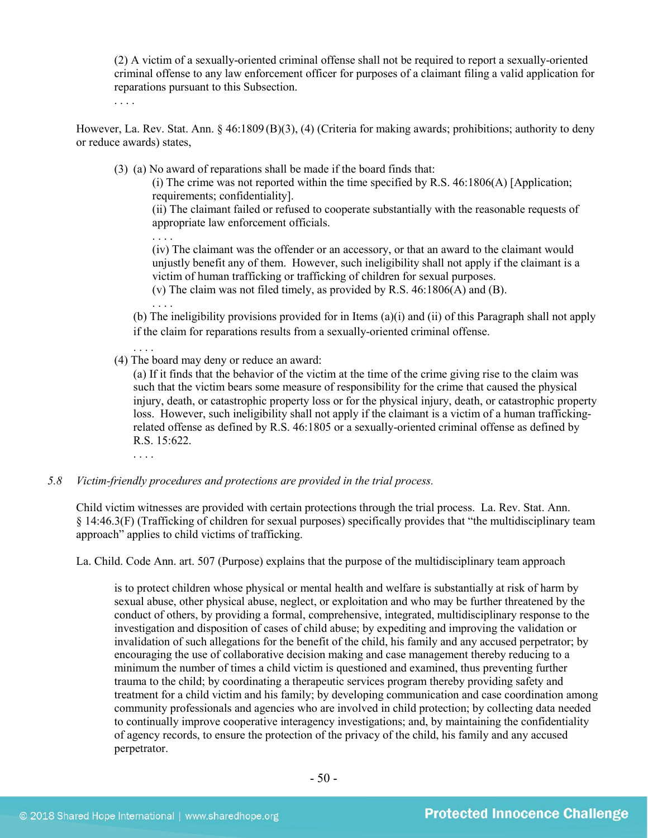(2) A victim of a sexually-oriented criminal offense shall not be required to report a sexually-oriented criminal offense to any law enforcement officer for purposes of a claimant filing a valid application for reparations pursuant to this Subsection.

However, La. Rev. Stat. Ann. § 46:1809 (B)(3), (4) (Criteria for making awards; prohibitions; authority to deny or reduce awards) states,

(3) (a) No award of reparations shall be made if the board finds that:

(i) The crime was not reported within the time specified by R.S.  $46:1806(A)$  [Application; requirements; confidentiality].

(ii) The claimant failed or refused to cooperate substantially with the reasonable requests of appropriate law enforcement officials.

. . . . (iv) The claimant was the offender or an accessory, or that an award to the claimant would unjustly benefit any of them. However, such ineligibility shall not apply if the claimant is a victim of human trafficking or trafficking of children for sexual purposes. (v) The claim was not filed timely, as provided by R.S. 46:1806(A) and (B).

. . . . (b) The ineligibility provisions provided for in Items  $(a)(i)$  and (ii) of this Paragraph shall not apply if the claim for reparations results from a sexually-oriented criminal offense.

(4) The board may deny or reduce an award:

(a) If it finds that the behavior of the victim at the time of the crime giving rise to the claim was such that the victim bears some measure of responsibility for the crime that caused the physical injury, death, or catastrophic property loss or for the physical injury, death, or catastrophic property loss. However, such ineligibility shall not apply if the claimant is a victim of a human traffickingrelated offense as defined by R.S. 46:1805 or a sexually-oriented criminal offense as defined by R.S. 15:622.

. . . .

. . . .

. . . .

*5.8 Victim-friendly procedures and protections are provided in the trial process.*

Child victim witnesses are provided with certain protections through the trial process. La. Rev. Stat. Ann. § 14:46.3(F) (Trafficking of children for sexual purposes) specifically provides that "the multidisciplinary team approach" applies to child victims of trafficking.

La. Child. Code Ann. art. 507 (Purpose) explains that the purpose of the multidisciplinary team approach

is to protect children whose physical or mental health and welfare is substantially at risk of harm by sexual abuse, other physical abuse, neglect, or exploitation and who may be further threatened by the conduct of others, by providing a formal, comprehensive, integrated, multidisciplinary response to the investigation and disposition of cases of child abuse; by expediting and improving the validation or invalidation of such allegations for the benefit of the child, his family and any accused perpetrator; by encouraging the use of collaborative decision making and case management thereby reducing to a minimum the number of times a child victim is questioned and examined, thus preventing further trauma to the child; by coordinating a therapeutic services program thereby providing safety and treatment for a child victim and his family; by developing communication and case coordination among community professionals and agencies who are involved in child protection; by collecting data needed to continually improve cooperative interagency investigations; and, by maintaining the confidentiality of agency records, to ensure the protection of the privacy of the child, his family and any accused perpetrator.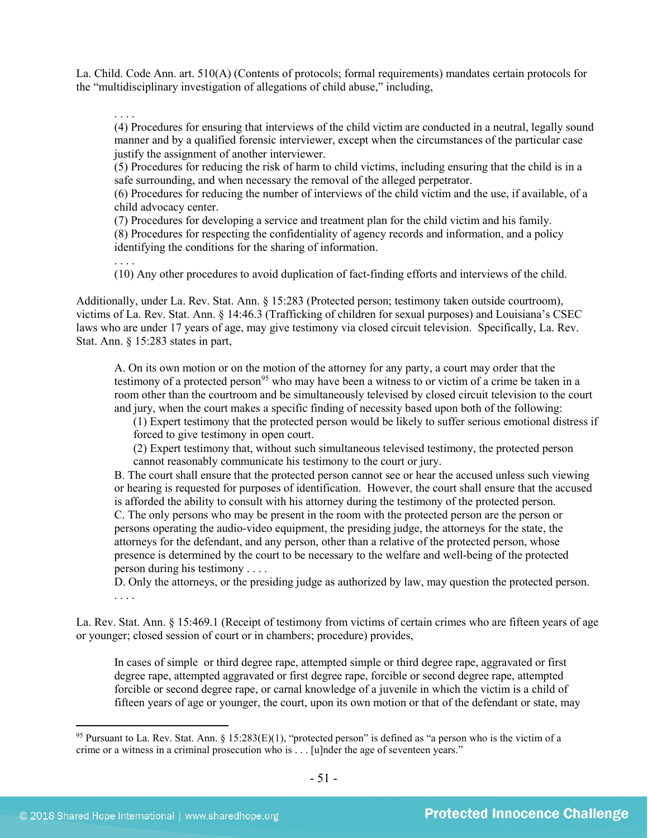La. Child. Code Ann. art. 510(A) (Contents of protocols; formal requirements) mandates certain protocols for the "multidisciplinary investigation of allegations of child abuse," including,

. . . . (4) Procedures for ensuring that interviews of the child victim are conducted in a neutral, legally sound manner and by a qualified forensic interviewer, except when the circumstances of the particular case justify the assignment of another interviewer.

(5) Procedures for reducing the risk of harm to child victims, including ensuring that the child is in a safe surrounding, and when necessary the removal of the alleged perpetrator.

(6) Procedures for reducing the number of interviews of the child victim and the use, if available, of a child advocacy center.

(7) Procedures for developing a service and treatment plan for the child victim and his family. (8) Procedures for respecting the confidentiality of agency records and information, and a policy identifying the conditions for the sharing of information.

. . . .

(10) Any other procedures to avoid duplication of fact-finding efforts and interviews of the child.

Additionally, under La. Rev. Stat. Ann. § 15:283 (Protected person; testimony taken outside courtroom), victims of La. Rev. Stat. Ann. § 14:46.3 (Trafficking of children for sexual purposes) and Louisiana's CSEC laws who are under 17 years of age, may give testimony via closed circuit television. Specifically, La. Rev. Stat. Ann. § 15:283 states in part,

A. On its own motion or on the motion of the attorney for any party, a court may order that the testimony of a protected person<sup>[95](#page-50-0)</sup> who may have been a witness to or victim of a crime be taken in a room other than the courtroom and be simultaneously televised by closed circuit television to the court and jury, when the court makes a specific finding of necessity based upon both of the following:

(1) Expert testimony that the protected person would be likely to suffer serious emotional distress if forced to give testimony in open court.

(2) Expert testimony that, without such simultaneous televised testimony, the protected person cannot reasonably communicate his testimony to the court or jury.

B. The court shall ensure that the protected person cannot see or hear the accused unless such viewing or hearing is requested for purposes of identification. However, the court shall ensure that the accused is afforded the ability to consult with his attorney during the testimony of the protected person. C. The only persons who may be present in the room with the protected person are the person or persons operating the audio-video equipment, the presiding judge, the attorneys for the state, the attorneys for the defendant, and any person, other than a relative of the protected person, whose presence is determined by the court to be necessary to the welfare and well-being of the protected person during his testimony . . . .

D. Only the attorneys, or the presiding judge as authorized by law, may question the protected person. . . . .

La. Rev. Stat. Ann. § 15:469.1 (Receipt of testimony from victims of certain crimes who are fifteen years of age or younger; closed session of court or in chambers; procedure) provides,

In cases of simple or third degree rape, attempted simple or third degree rape, aggravated or first degree rape, attempted aggravated or first degree rape, forcible or second degree rape, attempted forcible or second degree rape, or carnal knowledge of a juvenile in which the victim is a child of fifteen years of age or younger, the court, upon its own motion or that of the defendant or state, may

<span id="page-50-0"></span><sup>&</sup>lt;sup>95</sup> Pursuant to La. Rev. Stat. Ann. §  $15:283(E)(1)$ , "protected person" is defined as "a person who is the victim of a crime or a witness in a criminal prosecution who is . . . [u]nder the age of seventeen years."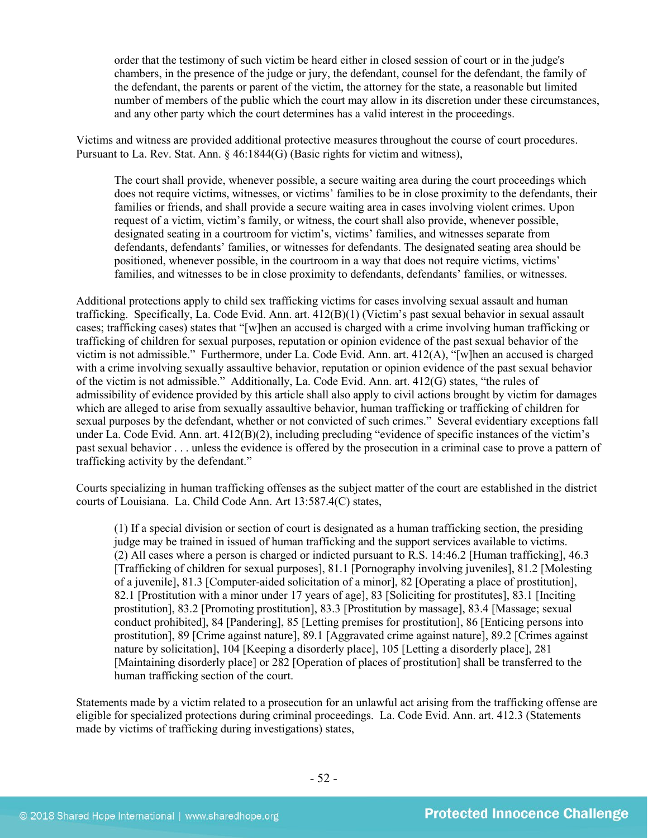order that the testimony of such victim be heard either in closed session of court or in the judge's chambers, in the presence of the judge or jury, the defendant, counsel for the defendant, the family of the defendant, the parents or parent of the victim, the attorney for the state, a reasonable but limited number of members of the public which the court may allow in its discretion under these circumstances, and any other party which the court determines has a valid interest in the proceedings.

Victims and witness are provided additional protective measures throughout the course of court procedures. Pursuant to La. Rev. Stat. Ann. § 46:1844(G) (Basic rights for victim and witness),

The court shall provide, whenever possible, a secure waiting area during the court proceedings which does not require victims, witnesses, or victims' families to be in close proximity to the defendants, their families or friends, and shall provide a secure waiting area in cases involving violent crimes. Upon request of a victim, victim's family, or witness, the court shall also provide, whenever possible, designated seating in a courtroom for victim's, victims' families, and witnesses separate from defendants, defendants' families, or witnesses for defendants. The designated seating area should be positioned, whenever possible, in the courtroom in a way that does not require victims, victims' families, and witnesses to be in close proximity to defendants, defendants' families, or witnesses.

Additional protections apply to child sex trafficking victims for cases involving sexual assault and human trafficking. Specifically, La. Code Evid. Ann. art. 412(B)(1) (Victim's past sexual behavior in sexual assault cases; trafficking cases) states that "[w]hen an accused is charged with a crime involving human trafficking or trafficking of children for sexual purposes, reputation or opinion evidence of the past sexual behavior of the victim is not admissible." Furthermore, under La. Code Evid. Ann. art. 412(A), "[w]hen an accused is charged with a crime involving sexually assaultive behavior, reputation or opinion evidence of the past sexual behavior of the victim is not admissible." Additionally, La. Code Evid. Ann. art. 412(G) states, "the rules of admissibility of evidence provided by this article shall also apply to civil actions brought by victim for damages which are alleged to arise from sexually assaultive behavior, human trafficking or trafficking of children for sexual purposes by the defendant, whether or not convicted of such crimes." Several evidentiary exceptions fall under La. Code Evid. Ann. art. 412(B)(2), including precluding "evidence of specific instances of the victim's past sexual behavior . . . unless the evidence is offered by the prosecution in a criminal case to prove a pattern of trafficking activity by the defendant."

Courts specializing in human trafficking offenses as the subject matter of the court are established in the district courts of Louisiana. La. Child Code Ann. Art 13:587.4(C) states,

(1) If a special division or section of court is designated as a human trafficking section, the presiding judge may be trained in issued of human trafficking and the support services available to victims. (2) All cases where a person is charged or indicted pursuant to R.S. 14:46.2 [Human trafficking], 46.3 [Trafficking of children for sexual purposes], 81.1 [Pornography involving juveniles], 81.2 [Molesting of a juvenile], 81.3 [Computer-aided solicitation of a minor], 82 [Operating a place of prostitution], 82.1 [Prostitution with a minor under 17 years of age], 83 [Soliciting for prostitutes], 83.1 [Inciting prostitution], 83.2 [Promoting prostitution], 83.3 [Prostitution by massage], 83.4 [Massage; sexual conduct prohibited], 84 [Pandering], 85 [Letting premises for prostitution], 86 [Enticing persons into prostitution], 89 [Crime against nature], 89.1 [Aggravated crime against nature], 89.2 [Crimes against nature by solicitation], 104 [Keeping a disorderly place], 105 [Letting a disorderly place], 281 [Maintaining disorderly place] or 282 [Operation of places of prostitution] shall be transferred to the human trafficking section of the court.

Statements made by a victim related to a prosecution for an unlawful act arising from the trafficking offense are eligible for specialized protections during criminal proceedings. La. Code Evid. Ann. art. 412.3 (Statements made by victims of trafficking during investigations) states,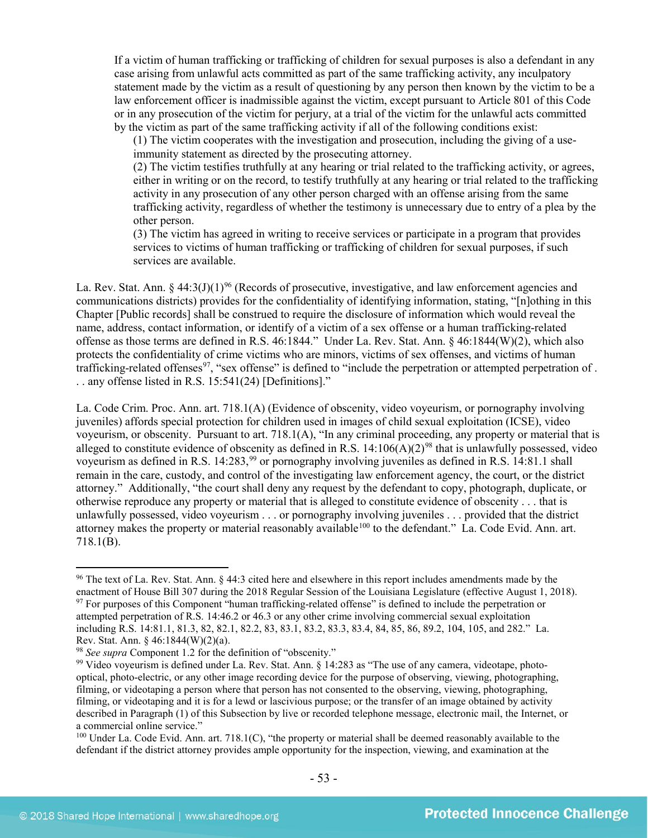If a victim of human trafficking or trafficking of children for sexual purposes is also a defendant in any case arising from unlawful acts committed as part of the same trafficking activity, any inculpatory statement made by the victim as a result of questioning by any person then known by the victim to be a law enforcement officer is inadmissible against the victim, except pursuant to Article 801 of this Code or in any prosecution of the victim for perjury, at a trial of the victim for the unlawful acts committed by the victim as part of the same trafficking activity if all of the following conditions exist:

(1) The victim cooperates with the investigation and prosecution, including the giving of a useimmunity statement as directed by the prosecuting attorney.

(2) The victim testifies truthfully at any hearing or trial related to the trafficking activity, or agrees, either in writing or on the record, to testify truthfully at any hearing or trial related to the trafficking activity in any prosecution of any other person charged with an offense arising from the same trafficking activity, regardless of whether the testimony is unnecessary due to entry of a plea by the other person.

(3) The victim has agreed in writing to receive services or participate in a program that provides services to victims of human trafficking or trafficking of children for sexual purposes, if such services are available.

La. Rev. Stat. Ann.  $\S 44:3(J)(1)^{96}$  $\S 44:3(J)(1)^{96}$  $\S 44:3(J)(1)^{96}$  (Records of prosecutive, investigative, and law enforcement agencies and communications districts) provides for the confidentiality of identifying information, stating, "[n]othing in this Chapter [Public records] shall be construed to require the disclosure of information which would reveal the name, address, contact information, or identify of a victim of a sex offense or a human trafficking-related offense as those terms are defined in R.S. 46:1844." Under La. Rev. Stat. Ann. § 46:1844(W)(2), which also protects the confidentiality of crime victims who are minors, victims of sex offenses, and victims of human trafficking-related offenses<sup>97</sup>, "sex offense" is defined to "include the perpetration or attempted perpetration of . . . any offense listed in R.S. 15:541(24) [Definitions]."

La. Code Crim. Proc. Ann. art. 718.1(A) (Evidence of obscenity, video voyeurism, or pornography involving juveniles) affords special protection for children used in images of child sexual exploitation (ICSE), video voyeurism, or obscenity. Pursuant to art. 718.1(A), "In any criminal proceeding, any property or material that is alleged to constitute evidence of obscenity as defined in R.S.  $14:106(A)(2)^{98}$  $14:106(A)(2)^{98}$  $14:106(A)(2)^{98}$  that is unlawfully possessed, video voyeurism as defined in R.S. 14:283,<sup>[99](#page-52-3)</sup> or pornography involving juveniles as defined in R.S. 14:81.1 shall remain in the care, custody, and control of the investigating law enforcement agency, the court, or the district attorney." Additionally, "the court shall deny any request by the defendant to copy, photograph, duplicate, or otherwise reproduce any property or material that is alleged to constitute evidence of obscenity . . . that is unlawfully possessed, video voyeurism . . . or pornography involving juveniles . . . provided that the district attorney makes the property or material reasonably available<sup>[100](#page-52-4)</sup> to the defendant." La. Code Evid. Ann. art. 718.1(B).

<span id="page-52-1"></span><span id="page-52-0"></span> <sup>96</sup> The text of La. Rev. Stat. Ann. § 44:3 cited here and elsewhere in this report includes amendments made by the enactment of House Bill 307 during the 2018 Regular Session of the Louisiana Legislature (effective August 1, 2018). <sup>97</sup> For purposes of this Component "human trafficking-related offense" is defined to include the perpetration or attempted perpetration of R.S. 14:46.2 or 46.3 or any other crime involving commercial sexual exploitation including R.S. 14:81.1, 81.3, 82, 82.1, 82.2, 83, 83.1, 83.2, 83.3, 83.4, 84, 85, 86, 89.2, 104, 105, and 282." La. Rev. Stat. Ann. § 46:1844(W)(2)(a).<br><sup>98</sup> See supra Component 1.2 for the definition of "obscenity."

<span id="page-52-3"></span><span id="page-52-2"></span><sup>&</sup>lt;sup>99</sup> Video voveurism is defined under La. Rev. Stat. Ann. § 14:283 as "The use of any camera, videotape, photooptical, photo-electric, or any other image recording device for the purpose of observing, viewing, photographing, filming, or videotaping a person where that person has not consented to the observing, viewing, photographing, filming, or videotaping and it is for a lewd or lascivious purpose; or the transfer of an image obtained by activity described in Paragraph (1) of this Subsection by live or recorded telephone message, electronic mail, the Internet, or a commercial online service."

<span id="page-52-4"></span><sup>&</sup>lt;sup>100</sup> Under La. Code Evid. Ann. art. 718.1(C), "the property or material shall be deemed reasonably available to the defendant if the district attorney provides ample opportunity for the inspection, viewing, and examination at the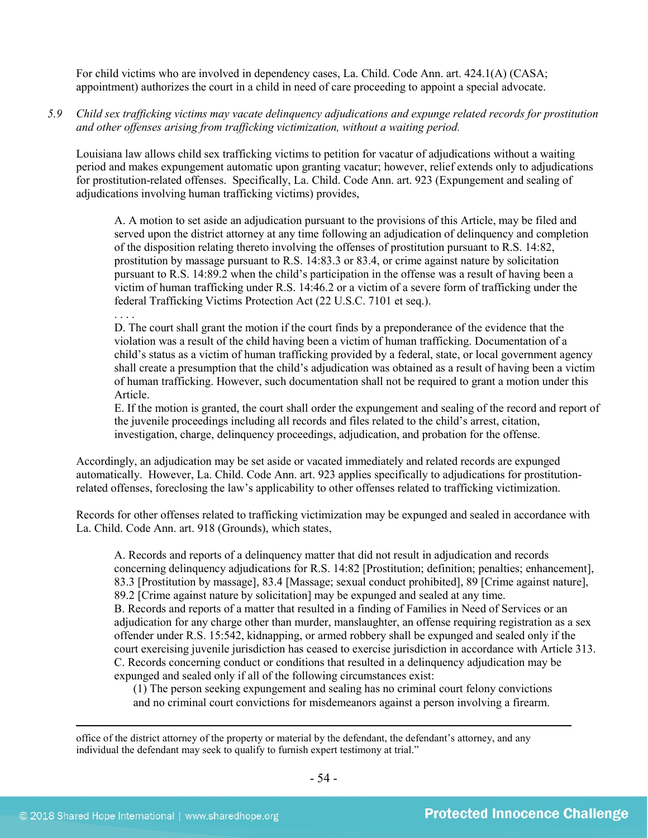For child victims who are involved in dependency cases, La. Child. Code Ann. art. 424.1(A) (CASA; appointment) authorizes the court in a child in need of care proceeding to appoint a special advocate.

*5.9 Child sex trafficking victims may vacate delinquency adjudications and expunge related records for prostitution and other offenses arising from trafficking victimization, without a waiting period.*

Louisiana law allows child sex trafficking victims to petition for vacatur of adjudications without a waiting period and makes expungement automatic upon granting vacatur; however, relief extends only to adjudications for prostitution-related offenses. Specifically, La. Child. Code Ann. art. 923 (Expungement and sealing of adjudications involving human trafficking victims) provides,

A. A motion to set aside an adjudication pursuant to the provisions of this Article, may be filed and served upon the district attorney at any time following an adjudication of delinquency and completion of the disposition relating thereto involving the offenses of prostitution pursuant to R.S. 14:82, prostitution by massage pursuant to R.S. 14:83.3 or 83.4, or crime against nature by solicitation pursuant to R.S. 14:89.2 when the child's participation in the offense was a result of having been a victim of human trafficking under R.S. 14:46.2 or a victim of a severe form of trafficking under the federal Trafficking Victims Protection Act (22 U.S.C. 7101 et seq.).

. . . .

D. The court shall grant the motion if the court finds by a preponderance of the evidence that the violation was a result of the child having been a victim of human trafficking. Documentation of a child's status as a victim of human trafficking provided by a federal, state, or local government agency shall create a presumption that the child's adjudication was obtained as a result of having been a victim of human trafficking. However, such documentation shall not be required to grant a motion under this Article.

E. If the motion is granted, the court shall order the expungement and sealing of the record and report of the juvenile proceedings including all records and files related to the child's arrest, citation, investigation, charge, delinquency proceedings, adjudication, and probation for the offense.

Accordingly, an adjudication may be set aside or vacated immediately and related records are expunged automatically. However, La. Child. Code Ann. art. 923 applies specifically to adjudications for prostitutionrelated offenses, foreclosing the law's applicability to other offenses related to trafficking victimization.

Records for other offenses related to trafficking victimization may be expunged and sealed in accordance with La. Child. Code Ann. art. 918 (Grounds), which states,

A. Records and reports of a delinquency matter that did not result in adjudication and records concerning delinquency adjudications for R.S. 14:82 [Prostitution; definition; penalties; enhancement], 83.3 [Prostitution by massage], 83.4 [Massage; sexual conduct prohibited], 89 [Crime against nature], 89.2 [Crime against nature by solicitation] may be expunged and sealed at any time.

B. Records and reports of a matter that resulted in a finding of Families in Need of Services or an adjudication for any charge other than murder, manslaughter, an offense requiring registration as a sex offender under R.S. 15:542, kidnapping, or armed robbery shall be expunged and sealed only if the court exercising juvenile jurisdiction has ceased to exercise jurisdiction in accordance with Article 313. C. Records concerning conduct or conditions that resulted in a delinquency adjudication may be expunged and sealed only if all of the following circumstances exist:

(1) The person seeking expungement and sealing has no criminal court felony convictions and no criminal court convictions for misdemeanors against a person involving a firearm.

office of the district attorney of the property or material by the defendant, the defendant's attorney, and any individual the defendant may seek to qualify to furnish expert testimony at trial."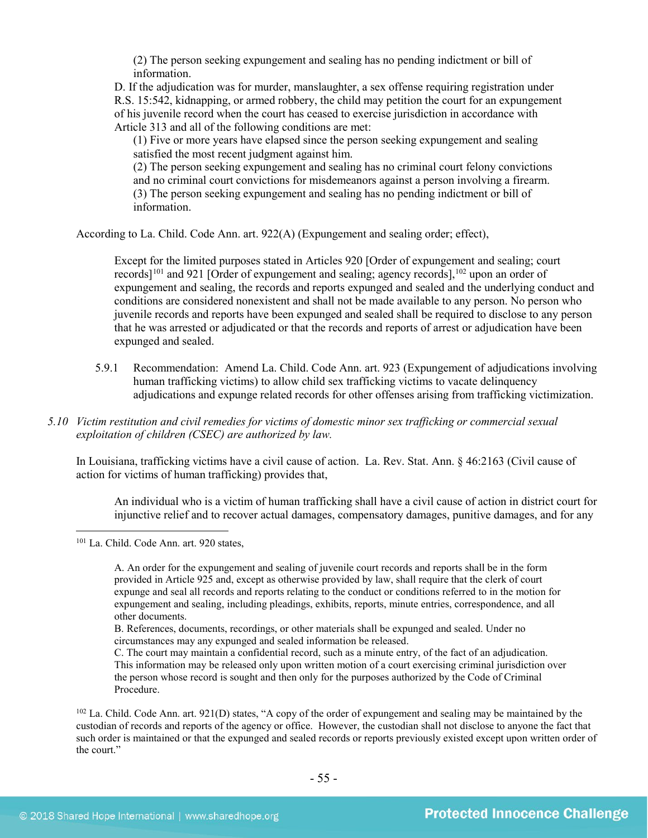(2) The person seeking expungement and sealing has no pending indictment or bill of information.

D. If the adjudication was for murder, manslaughter, a sex offense requiring registration under R.S. 15:542, kidnapping, or armed robbery, the child may petition the court for an expungement of his juvenile record when the court has ceased to exercise jurisdiction in accordance with Article 313 and all of the following conditions are met:

(1) Five or more years have elapsed since the person seeking expungement and sealing satisfied the most recent judgment against him.

(2) The person seeking expungement and sealing has no criminal court felony convictions and no criminal court convictions for misdemeanors against a person involving a firearm. (3) The person seeking expungement and sealing has no pending indictment or bill of information.

According to La. Child. Code Ann. art. 922(A) (Expungement and sealing order; effect),

Except for the limited purposes stated in Articles 920 [Order of expungement and sealing; court records]<sup>[101](#page-54-0)</sup> and 921 [Order of expungement and sealing; agency records],<sup>102</sup> upon an order of expungement and sealing, the records and reports expunged and sealed and the underlying conduct and conditions are considered nonexistent and shall not be made available to any person. No person who juvenile records and reports have been expunged and sealed shall be required to disclose to any person that he was arrested or adjudicated or that the records and reports of arrest or adjudication have been expunged and sealed.

- 5.9.1 Recommendation: Amend La. Child. Code Ann. art. 923 (Expungement of adjudications involving human trafficking victims) to allow child sex trafficking victims to vacate delinquency adjudications and expunge related records for other offenses arising from trafficking victimization.
- *5.10 Victim restitution and civil remedies for victims of domestic minor sex trafficking or commercial sexual exploitation of children (CSEC) are authorized by law.*

In Louisiana, trafficking victims have a civil cause of action. La. Rev. Stat. Ann. § 46:2163 (Civil cause of action for victims of human trafficking) provides that,

An individual who is a victim of human trafficking shall have a civil cause of action in district court for injunctive relief and to recover actual damages, compensatory damages, punitive damages, and for any

<span id="page-54-0"></span> <sup>101</sup> La. Child. Code Ann. art. 920 states,

A. An order for the expungement and sealing of juvenile court records and reports shall be in the form provided in Article 925 and, except as otherwise provided by law, shall require that the clerk of court expunge and seal all records and reports relating to the conduct or conditions referred to in the motion for expungement and sealing, including pleadings, exhibits, reports, minute entries, correspondence, and all other documents.

B. References, documents, recordings, or other materials shall be expunged and sealed. Under no circumstances may any expunged and sealed information be released.

C. The court may maintain a confidential record, such as a minute entry, of the fact of an adjudication. This information may be released only upon written motion of a court exercising criminal jurisdiction over the person whose record is sought and then only for the purposes authorized by the Code of Criminal Procedure.

<span id="page-54-1"></span><sup>102</sup> La. Child. Code Ann. art. 921(D) states, "A copy of the order of expungement and sealing may be maintained by the custodian of records and reports of the agency or office. However, the custodian shall not disclose to anyone the fact that such order is maintained or that the expunged and sealed records or reports previously existed except upon written order of the court."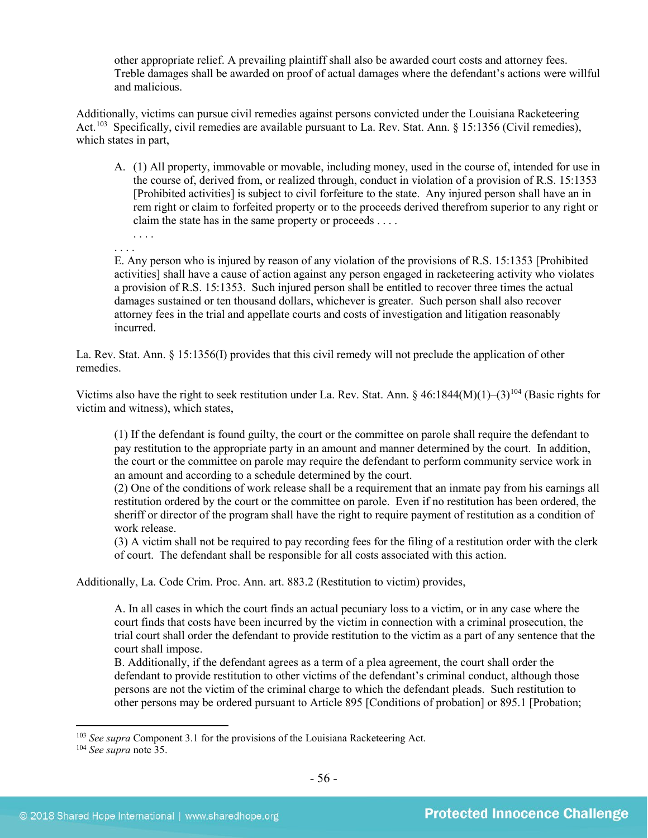other appropriate relief. A prevailing plaintiff shall also be awarded court costs and attorney fees. Treble damages shall be awarded on proof of actual damages where the defendant's actions were willful and malicious.

Additionally, victims can pursue civil remedies against persons convicted under the Louisiana Racketeering Act.[103](#page-55-0) Specifically, civil remedies are available pursuant to La. Rev. Stat. Ann. § 15:1356 (Civil remedies), which states in part,

A. (1) All property, immovable or movable, including money, used in the course of, intended for use in the course of, derived from, or realized through, conduct in violation of a provision of [R.S. 15:1353](https://www.lexis.com/research/buttonTFLink?_m=adbaaf1e18f2b659dc9b502e460590c9&_xfercite=%3ccite%20cc%3d%22USA%22%3e%3c%21%5bCDATA%5bLa.%20R.S.%2015%3a1356%5d%5d%3e%3c%2fcite%3e&_butType=4&_butStat=0&_butNum=2&_butInline=1&_butinfo=LACODE%2015%3a1353&_fmtstr=FULL&docnum=1&_startdoc=1&wchp=dGLbVzV-zSkAW&_md5=1d254099e34f73c122bf836a1bcd50ac) [Prohibited activities] is subject to civil forfeiture to the state. Any injured person shall have an in rem right or claim to forfeited property or to the proceeds derived therefrom superior to any right or claim the state has in the same property or proceeds . . . .

. . . . . . . .

E. Any person who is injured by reason of any violation of the provisions of R.S. 15:1353 [Prohibited activities] shall have a cause of action against any person engaged in racketeering activity who violates a provision of R.S. 15:1353. Such injured person shall be entitled to recover three times the actual damages sustained or ten thousand dollars, whichever is greater. Such person shall also recover attorney fees in the trial and appellate courts and costs of investigation and litigation reasonably incurred.

La. Rev. Stat. Ann. § 15:1356(I) provides that this civil remedy will not preclude the application of other remedies.

Victims also have the right to seek restitution under La. Rev. Stat. Ann. § 46:1844(M)(1)–(3)<sup>[104](#page-55-1)</sup> (Basic rights for victim and witness), which states,

(1) If the defendant is found guilty, the court or the committee on parole shall require the defendant to pay restitution to the appropriate party in an amount and manner determined by the court. In addition, the court or the committee on parole may require the defendant to perform community service work in an amount and according to a schedule determined by the court.

(2) One of the conditions of work release shall be a requirement that an inmate pay from his earnings all restitution ordered by the court or the committee on parole. Even if no restitution has been ordered, the sheriff or director of the program shall have the right to require payment of restitution as a condition of work release.

(3) A victim shall not be required to pay recording fees for the filing of a restitution order with the clerk of court. The defendant shall be responsible for all costs associated with this action.

Additionally, La. Code Crim. Proc. Ann. art. 883.2 (Restitution to victim) provides,

A. In all cases in which the court finds an actual pecuniary loss to a victim, or in any case where the court finds that costs have been incurred by the victim in connection with a criminal prosecution, the trial court shall order the defendant to provide restitution to the victim as a part of any sentence that the court shall impose.

B. Additionally, if the defendant agrees as a term of a plea agreement, the court shall order the defendant to provide restitution to other victims of the defendant's criminal conduct, although those persons are not the victim of the criminal charge to which the defendant pleads. Such restitution to other persons may be ordered pursuant to Article 895 [Conditions of probation] or 895.1 [Probation;

<span id="page-55-0"></span> <sup>103</sup> *See supra* Component 3.1 for the provisions of the Louisiana Racketeering Act.

<span id="page-55-1"></span><sup>104</sup> *See supra* not[e 35.](#page-22-1)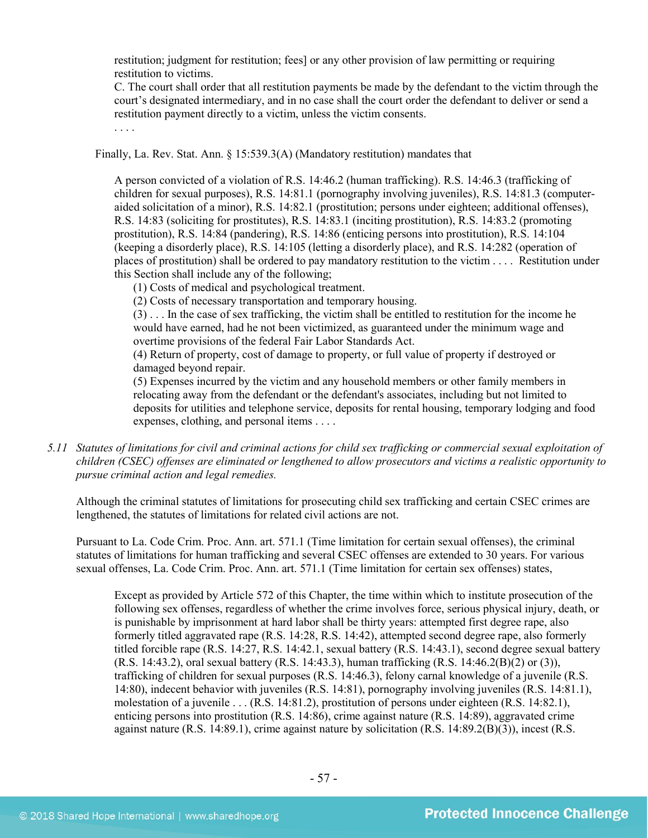restitution; judgment for restitution; fees] or any other provision of law permitting or requiring restitution to victims.

C. The court shall order that all restitution payments be made by the defendant to the victim through the court's designated intermediary, and in no case shall the court order the defendant to deliver or send a restitution payment directly to a victim, unless the victim consents.

. . . .

Finally, La. Rev. Stat. Ann. § 15:539.3(A) (Mandatory restitution) mandates that

A person convicted of a violation of R.S. 14:46.2 (human trafficking). R.S. 14:46.3 (trafficking of children for sexual purposes), R.S. 14:81.1 (pornography involving juveniles), R.S. 14:81.3 (computeraided solicitation of a minor), R.S. 14:82.1 (prostitution; persons under eighteen; additional offenses), R.S. 14:83 (soliciting for prostitutes), R.S. 14:83.1 (inciting prostitution), R.S. 14:83.2 (promoting prostitution), R.S. 14:84 (pandering), R.S. 14:86 (enticing persons into prostitution), R.S. 14:104 (keeping a disorderly place), R.S. 14:105 (letting a disorderly place), and R.S. 14:282 (operation of places of prostitution) shall be ordered to pay mandatory restitution to the victim . . . . Restitution under this Section shall include any of the following;

(1) Costs of medical and psychological treatment.

(2) Costs of necessary transportation and temporary housing.

(3) . . . In the case of sex trafficking, the victim shall be entitled to restitution for the income he would have earned, had he not been victimized, as guaranteed under the minimum wage and overtime provisions of the federal Fair Labor Standards Act.

(4) Return of property, cost of damage to property, or full value of property if destroyed or damaged beyond repair.

(5) Expenses incurred by the victim and any household members or other family members in relocating away from the defendant or the defendant's associates, including but not limited to deposits for utilities and telephone service, deposits for rental housing, temporary lodging and food expenses, clothing, and personal items . . . .

*5.11 Statutes of limitations for civil and criminal actions for child sex trafficking or commercial sexual exploitation of children (CSEC) offenses are eliminated or lengthened to allow prosecutors and victims a realistic opportunity to pursue criminal action and legal remedies.*

Although the criminal statutes of limitations for prosecuting child sex trafficking and certain CSEC crimes are lengthened, the statutes of limitations for related civil actions are not.

Pursuant to La. Code Crim. Proc. Ann. art. 571.1 (Time limitation for certain sexual offenses), the criminal statutes of limitations for human trafficking and several CSEC offenses are extended to 30 years. For various sexual offenses, La. Code Crim. Proc. Ann. art. 571.1 (Time limitation for certain sex offenses) states,

Except as provided by Article 572 of this Chapter, the time within which to institute prosecution of the following sex offenses, regardless of whether the crime involves force, serious physical injury, death, or is punishable by imprisonment at hard labor shall be thirty years: attempted first degree rape, also formerly titled aggravated rape (R.S. 14:28, R.S. 14:42), attempted second degree rape, also formerly titled forcible rape (R.S. 14:27, R.S. 14:42.1, sexual battery (R.S. 14:43.1), second degree sexual battery (R.S. 14:43.2), oral sexual battery (R.S. 14:43.3), human trafficking (R.S. 14:46.2(B)(2) or (3)), trafficking of children for sexual purposes (R.S. 14:46.3), felony carnal knowledge of a juvenile (R.S. 14:80), indecent behavior with juveniles (R.S. 14:81), pornography involving juveniles (R.S. 14:81.1), molestation of a juvenile . . . (R.S. 14:81.2), prostitution of persons under eighteen (R.S. 14:82.1), enticing persons into prostitution (R.S. 14:86), crime against nature (R.S. 14:89), aggravated crime against nature  $(R.S. 14:89.1)$ , crime against nature by solicitation  $(R.S. 14:89.2(B)(3))$ , incest  $(R.S. 14:89.1)$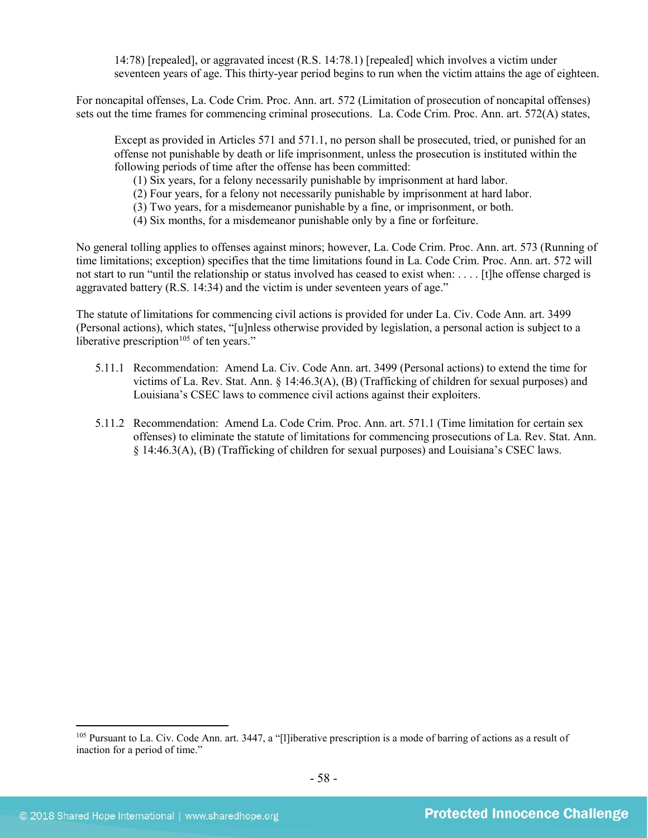14:78) [repealed], or aggravated incest (R.S. 14:78.1) [repealed] which involves a victim under seventeen years of age. This thirty-year period begins to run when the victim attains the age of eighteen.

For noncapital offenses, La. Code Crim. Proc. Ann. art. 572 (Limitation of prosecution of noncapital offenses) sets out the time frames for commencing criminal prosecutions. La. Code Crim. Proc. Ann. art. 572(A) states,

Except as provided in Articles 571 and 571.1, no person shall be prosecuted, tried, or punished for an offense not punishable by death or life imprisonment, unless the prosecution is instituted within the following periods of time after the offense has been committed:

- (1) Six years, for a felony necessarily punishable by imprisonment at hard labor.
- (2) Four years, for a felony not necessarily punishable by imprisonment at hard labor.
- (3) Two years, for a misdemeanor punishable by a fine, or imprisonment, or both.
- (4) Six months, for a misdemeanor punishable only by a fine or forfeiture.

No general tolling applies to offenses against minors; however, La. Code Crim. Proc. Ann. art. 573 (Running of time limitations; exception) specifies that the time limitations found in La. Code Crim. Proc. Ann. art. 572 will not start to run "until the relationship or status involved has ceased to exist when: . . . . [t]he offense charged is aggravated battery (R.S. 14:34) and the victim is under seventeen years of age."

The statute of limitations for commencing civil actions is provided for under La. Civ. Code Ann. art. 3499 (Personal actions), which states, "[u]nless otherwise provided by legislation, a personal action is subject to a liberative prescription<sup> $105$ </sup> of ten years."

- 5.11.1 Recommendation: Amend La. Civ. Code Ann. art. 3499 (Personal actions) to extend the time for victims of La. Rev. Stat. Ann. § 14:46.3(A), (B) (Trafficking of children for sexual purposes) and Louisiana's CSEC laws to commence civil actions against their exploiters.
- 5.11.2 Recommendation: Amend La. Code Crim. Proc. Ann. art. 571.1 (Time limitation for certain sex offenses) to eliminate the statute of limitations for commencing prosecutions of La. Rev. Stat. Ann. § 14:46.3(A), (B) (Trafficking of children for sexual purposes) and Louisiana's CSEC laws.

<span id="page-57-0"></span> <sup>105</sup> Pursuant to La. Civ. Code Ann. art. 3447, a "[l]iberative prescription is a mode of barring of actions as a result of inaction for a period of time."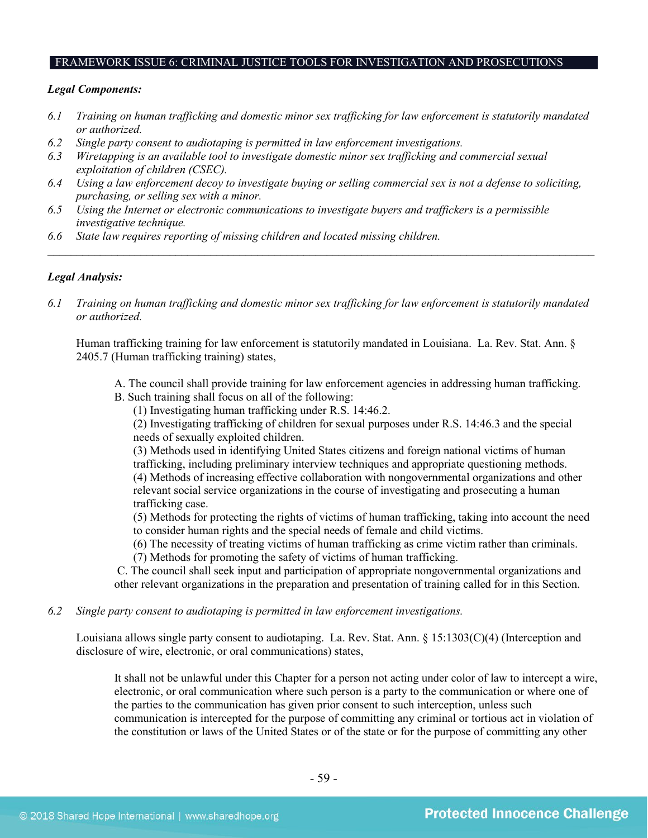#### FRAMEWORK ISSUE 6: CRIMINAL JUSTICE TOOLS FOR INVESTIGATION AND PROSECUTIONS

#### *Legal Components:*

- *6.1 Training on human trafficking and domestic minor sex trafficking for law enforcement is statutorily mandated or authorized.*
- *6.2 Single party consent to audiotaping is permitted in law enforcement investigations.*
- *6.3 Wiretapping is an available tool to investigate domestic minor sex trafficking and commercial sexual exploitation of children (CSEC).*
- *6.4 Using a law enforcement decoy to investigate buying or selling commercial sex is not a defense to soliciting, purchasing, or selling sex with a minor.*
- *6.5 Using the Internet or electronic communications to investigate buyers and traffickers is a permissible investigative technique.*
- *6.6 State law requires reporting of missing children and located missing children.*

# *Legal Analysis:*

*6.1 Training on human trafficking and domestic minor sex trafficking for law enforcement is statutorily mandated or authorized.*

*\_\_\_\_\_\_\_\_\_\_\_\_\_\_\_\_\_\_\_\_\_\_\_\_\_\_\_\_\_\_\_\_\_\_\_\_\_\_\_\_\_\_\_\_\_\_\_\_\_\_\_\_\_\_\_\_\_\_\_\_\_\_\_\_\_\_\_\_\_\_\_\_\_\_\_\_\_\_\_\_\_\_\_\_\_\_\_\_\_\_\_\_\_\_*

Human trafficking training for law enforcement is statutorily mandated in Louisiana. La. Rev. Stat. Ann. § 2405.7 (Human trafficking training) states,

- A. The council shall provide training for law enforcement agencies in addressing human trafficking.
- B. Such training shall focus on all of the following:

(1) Investigating human trafficking under R.S. 14:46.2.

(2) Investigating trafficking of children for sexual purposes under R.S. 14:46.3 and the special needs of sexually exploited children.

(3) Methods used in identifying United States citizens and foreign national victims of human trafficking, including preliminary interview techniques and appropriate questioning methods. (4) Methods of increasing effective collaboration with nongovernmental organizations and other relevant social service organizations in the course of investigating and prosecuting a human trafficking case.

(5) Methods for protecting the rights of victims of human trafficking, taking into account the need to consider human rights and the special needs of female and child victims.

(6) The necessity of treating victims of human trafficking as crime victim rather than criminals.

(7) Methods for promoting the safety of victims of human trafficking.

C. The council shall seek input and participation of appropriate nongovernmental organizations and other relevant organizations in the preparation and presentation of training called for in this Section.

*6.2 Single party consent to audiotaping is permitted in law enforcement investigations.*

Louisiana allows single party consent to audiotaping. La. Rev. Stat. Ann. § 15:1303(C)(4) (Interception and disclosure of wire, electronic, or oral communications) states,

It shall not be unlawful under this Chapter for a person not acting under color of law to intercept a wire, electronic, or oral communication where such person is a party to the communication or where one of the parties to the communication has given prior consent to such interception, unless such communication is intercepted for the purpose of committing any criminal or tortious act in violation of the constitution or laws of the United States or of the state or for the purpose of committing any other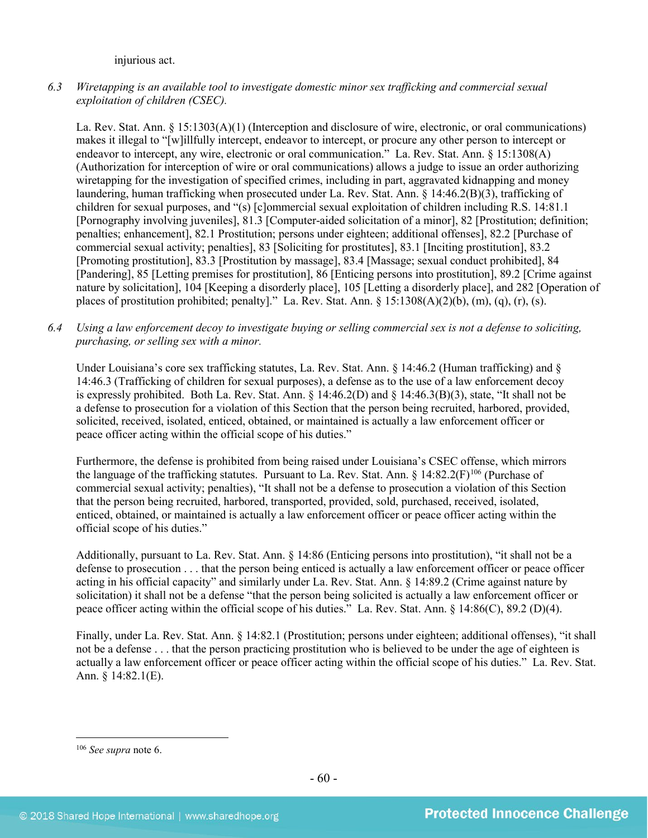injurious act.

*6.3 Wiretapping is an available tool to investigate domestic minor sex trafficking and commercial sexual exploitation of children (CSEC).*

La. Rev. Stat. Ann. § 15:1303(A)(1) (Interception and disclosure of wire, electronic, or oral communications) makes it illegal to "[w]illfully intercept, endeavor to intercept, or procure any other person to intercept or endeavor to intercept, any wire, electronic or oral communication." La. Rev. Stat. Ann. § 15:1308(A) (Authorization for interception of wire or oral communications) allows a judge to issue an order authorizing wiretapping for the investigation of specified crimes, including in part, aggravated kidnapping and money laundering, human trafficking when prosecuted under La. Rev. Stat. Ann. § 14:46.2(B)(3), trafficking of children for sexual purposes, and "(s) [c]ommercial sexual exploitation of children including R.S. 14:81.1 [Pornography involving juveniles], 81.3 [Computer-aided solicitation of a minor], 82 [Prostitution; definition; penalties; enhancement], 82.1 Prostitution; persons under eighteen; additional offenses], 82.2 [Purchase of commercial sexual activity; penalties], 83 [Soliciting for prostitutes], 83.1 [Inciting prostitution], 83.2 [Promoting prostitution], 83.3 [Prostitution by massage], 83.4 [Massage; sexual conduct prohibited], 84 [Pandering], 85 [Letting premises for prostitution], 86 [Enticing persons into prostitution], 89.2 [Crime against nature by solicitation], 104 [Keeping a disorderly place], 105 [Letting a disorderly place], and 282 [Operation of places of prostitution prohibited; penalty]." La. Rev. Stat. Ann. § 15:1308(A)(2)(b), (m), (q), (r), (s).

*6.4 Using a law enforcement decoy to investigate buying or selling commercial sex is not a defense to soliciting, purchasing, or selling sex with a minor.*

Under Louisiana's core sex trafficking statutes, La. Rev. Stat. Ann. § 14:46.2 (Human trafficking) and § 14:46.3 (Trafficking of children for sexual purposes), a defense as to the use of a law enforcement decoy is expressly prohibited. Both La. Rev. Stat. Ann. § 14:46.2(D) and § 14:46.3(B)(3), state, "It shall not be a defense to prosecution for a violation of this Section that the person being recruited, harbored, provided, solicited, received, isolated, enticed, obtained, or maintained is actually a law enforcement officer or peace officer acting within the official scope of his duties."

Furthermore, the defense is prohibited from being raised under Louisiana's CSEC offense, which mirrors the language of the trafficking statutes. Pursuant to La. Rev. Stat. Ann.  $\S$  14:82.2(F)<sup>[106](#page-59-0)</sup> (Purchase of commercial sexual activity; penalties), "It shall not be a defense to prosecution a violation of this Section that the person being recruited, harbored, transported, provided, sold, purchased, received, isolated, enticed, obtained, or maintained is actually a law enforcement officer or peace officer acting within the official scope of his duties."

Additionally, pursuant to La. Rev. Stat. Ann. § 14:86 (Enticing persons into prostitution), "it shall not be a defense to prosecution . . . that the person being enticed is actually a law enforcement officer or peace officer acting in his official capacity" and similarly under La. Rev. Stat. Ann. § 14:89.2 (Crime against nature by solicitation) it shall not be a defense "that the person being solicited is actually a law enforcement officer or peace officer acting within the official scope of his duties." La. Rev. Stat. Ann. § 14:86(C), 89.2 (D)(4).

Finally, under La. Rev. Stat. Ann. § 14:82.1 (Prostitution; persons under eighteen; additional offenses), "it shall not be a defense . . . that the person practicing prostitution who is believed to be under the age of eighteen is actually a law enforcement officer or peace officer acting within the official scope of his duties." La. Rev. Stat. Ann. § 14:82.1(E).

<span id="page-59-0"></span> <sup>106</sup> *See supra* not[e 6.](#page-3-3)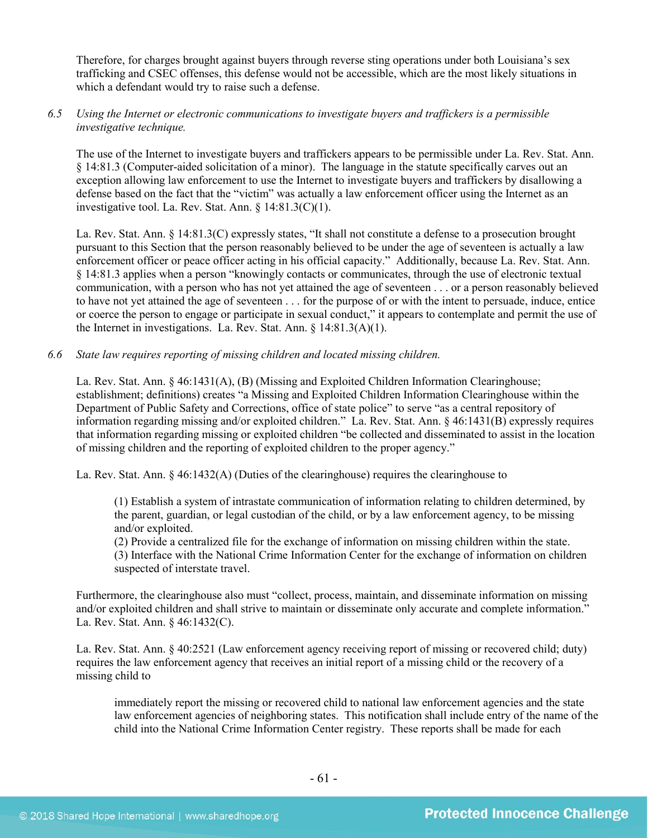Therefore, for charges brought against buyers through reverse sting operations under both Louisiana's sex trafficking and CSEC offenses, this defense would not be accessible, which are the most likely situations in which a defendant would try to raise such a defense.

# *6.5 Using the Internet or electronic communications to investigate buyers and traffickers is a permissible investigative technique.*

The use of the Internet to investigate buyers and traffickers appears to be permissible under La. Rev. Stat. Ann. § 14:81.3 (Computer-aided solicitation of a minor). The language in the statute specifically carves out an exception allowing law enforcement to use the Internet to investigate buyers and traffickers by disallowing a defense based on the fact that the "victim" was actually a law enforcement officer using the Internet as an investigative tool. La. Rev. Stat. Ann. § 14:81.3(C)(1).

La. Rev. Stat. Ann. § 14:81.3(C) expressly states, "It shall not constitute a defense to a prosecution brought pursuant to this Section that the person reasonably believed to be under the age of seventeen is actually a law enforcement officer or peace officer acting in his official capacity." Additionally, because La. Rev. Stat. Ann. § 14:81.3 applies when a person "knowingly contacts or communicates, through the use of electronic textual communication, with a person who has not yet attained the age of seventeen . . . or a person reasonably believed to have not yet attained the age of seventeen . . . for the purpose of or with the intent to persuade, induce, entice or coerce the person to engage or participate in sexual conduct," it appears to contemplate and permit the use of the Internet in investigations. La. Rev. Stat. Ann. § 14:81.3(A)(1).

# *6.6 State law requires reporting of missing children and located missing children.*

La. Rev. Stat. Ann. § 46:1431(A), (B) (Missing and Exploited Children Information Clearinghouse; establishment; definitions) creates "a Missing and Exploited Children Information Clearinghouse within the Department of Public Safety and Corrections, office of state police" to serve "as a central repository of information regarding missing and/or exploited children." La. Rev. Stat. Ann. § 46:1431(B) expressly requires that information regarding missing or exploited children "be collected and disseminated to assist in the location of missing children and the reporting of exploited children to the proper agency."

La. Rev. Stat. Ann. § 46:1432(A) (Duties of the clearinghouse) requires the clearinghouse to

(1) Establish a system of intrastate communication of information relating to children determined, by the parent, guardian, or legal custodian of the child, or by a law enforcement agency, to be missing and/or exploited.

(2) Provide a centralized file for the exchange of information on missing children within the state. (3) Interface with the National Crime Information Center for the exchange of information on children suspected of interstate travel.

Furthermore, the clearinghouse also must "collect, process, maintain, and disseminate information on missing and/or exploited children and shall strive to maintain or disseminate only accurate and complete information." La. Rev. Stat. Ann. § 46:1432(C).

La. Rev. Stat. Ann. § 40:2521 (Law enforcement agency receiving report of missing or recovered child; duty) requires the law enforcement agency that receives an initial report of a missing child or the recovery of a missing child to

immediately report the missing or recovered child to national law enforcement agencies and the state law enforcement agencies of neighboring states. This notification shall include entry of the name of the child into the National Crime Information Center registry. These reports shall be made for each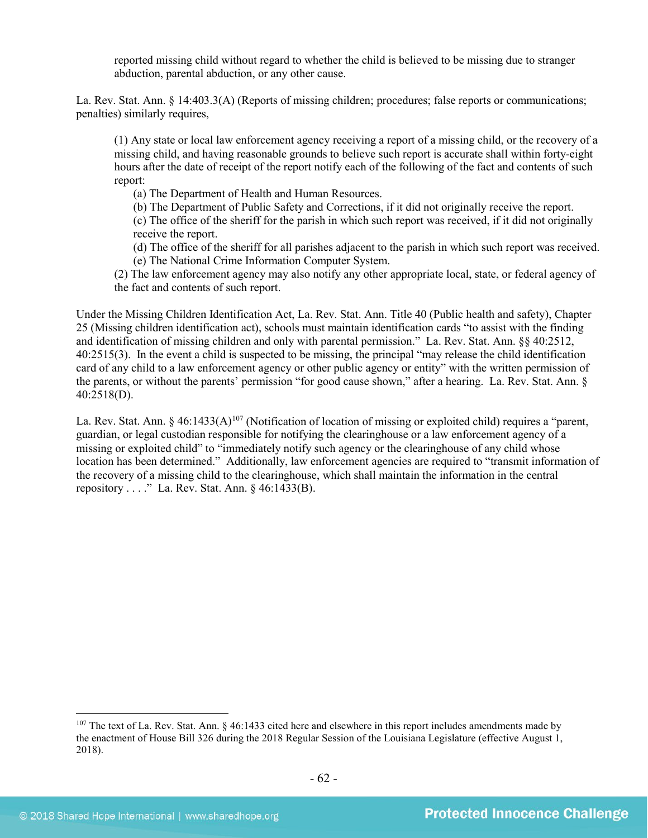reported missing child without regard to whether the child is believed to be missing due to stranger abduction, parental abduction, or any other cause.

La. Rev. Stat. Ann. § 14:403.3(A) (Reports of missing children; procedures; false reports or communications; penalties) similarly requires,

(1) Any state or local law enforcement agency receiving a report of a missing child, or the recovery of a missing child, and having reasonable grounds to believe such report is accurate shall within forty-eight hours after the date of receipt of the report notify each of the following of the fact and contents of such report:

(a) The Department of Health and Human Resources.

(b) The Department of Public Safety and Corrections, if it did not originally receive the report.

(c) The office of the sheriff for the parish in which such report was received, if it did not originally receive the report.

(d) The office of the sheriff for all parishes adjacent to the parish in which such report was received. (e) The National Crime Information Computer System.

(2) The law enforcement agency may also notify any other appropriate local, state, or federal agency of the fact and contents of such report.

Under the Missing Children Identification Act, La. Rev. Stat. Ann. Title 40 (Public health and safety), Chapter 25 (Missing children identification act), schools must maintain identification cards "to assist with the finding and identification of missing children and only with parental permission." La. Rev. Stat. Ann. §§ 40:2512, 40:2515(3). In the event a child is suspected to be missing, the principal "may release the child identification card of any child to a law enforcement agency or other public agency or entity" with the written permission of the parents, or without the parents' permission "for good cause shown," after a hearing. La. Rev. Stat. Ann. § 40:2518(D).

La. Rev. Stat. Ann. § 46:1433(A)<sup>107</sup> (Notification of location of missing or exploited child) requires a "parent, guardian, or legal custodian responsible for notifying the clearinghouse or a law enforcement agency of a missing or exploited child" to "immediately notify such agency or the clearinghouse of any child whose location has been determined." Additionally, law enforcement agencies are required to "transmit information of the recovery of a missing child to the clearinghouse, which shall maintain the information in the central repository . . . ." La. Rev. Stat. Ann. § 46:1433(B).

<span id="page-61-0"></span> $107$  The text of La. Rev. Stat. Ann. § 46:1433 cited here and elsewhere in this report includes amendments made by the enactment of House Bill 326 during the 2018 Regular Session of the Louisiana Legislature (effective August 1, 2018).